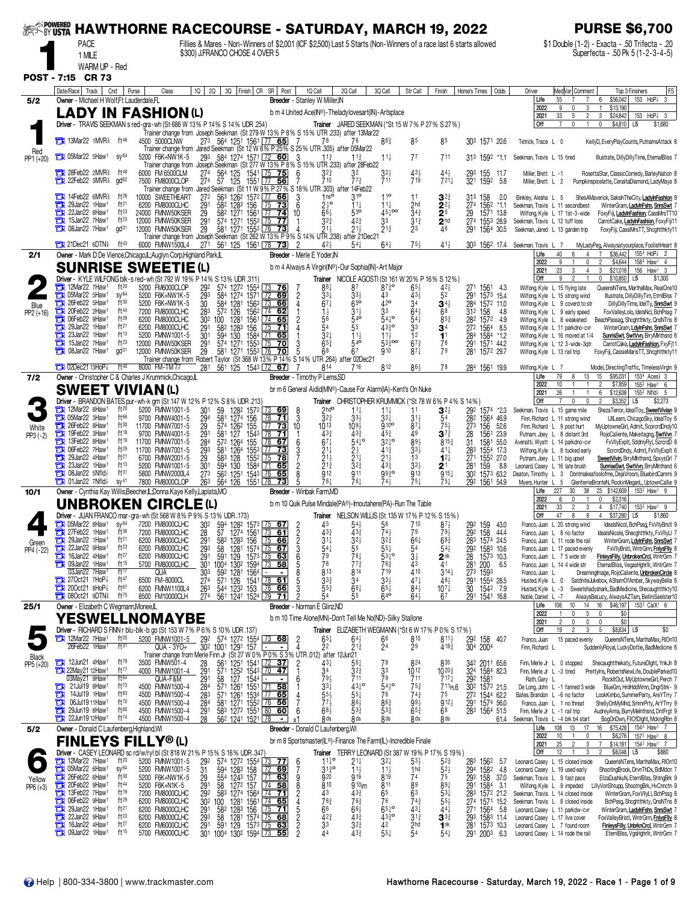| <b>EXAMPOWERED</b>   |                                                                                                      | <b>HAWTHORNE RACECOURSE - SATURDAY, MARCH 19, 2022</b>                                                                          |                                                                                         |                                                                                                                 |                                                                              |                                                                                                                   | <b>PURSE \$6,700</b>                                                                                                                                                                 |
|----------------------|------------------------------------------------------------------------------------------------------|---------------------------------------------------------------------------------------------------------------------------------|-----------------------------------------------------------------------------------------|-----------------------------------------------------------------------------------------------------------------|------------------------------------------------------------------------------|-------------------------------------------------------------------------------------------------------------------|--------------------------------------------------------------------------------------------------------------------------------------------------------------------------------------|
|                      | PACE                                                                                                 |                                                                                                                                 |                                                                                         |                                                                                                                 |                                                                              | Fillies & Mares - Non-Winners of \$2,001 (ICF \$2,500) Last 5 Starts (Non-Winners of a race last 6 starts allowed | \$1 Double (1-2) - Exacta - .50 Trifecta - .20                                                                                                                                       |
|                      | 1 MILE<br>WARM UP - Red                                                                              | \$300) J.FRANCO CHOSE 4 OVER 5                                                                                                  |                                                                                         |                                                                                                                 |                                                                              |                                                                                                                   | Superfecta - .50 Pk 5 (1-2-3-4-5)                                                                                                                                                    |
|                      | POST - 7:15 CR 73                                                                                    |                                                                                                                                 |                                                                                         |                                                                                                                 |                                                                              |                                                                                                                   |                                                                                                                                                                                      |
|                      | Date/Race   Track  <br>Cnd<br>Purse                                                                  | $1Q$   2Q  <br>Class                                                                                                            | 3Q Finish CR SR Post                                                                    | 1Q Call<br>2Q Call                                                                                              | 3Q Call<br>Str Call                                                          | Odds<br>Finish<br>Horse's Times                                                                                   | Med Var  Comment<br>FS<br>Driver<br>Top 3 Finishers                                                                                                                                  |
| 5/2                  | Owner - Michael H Wolf, Ft Lauderdale, FL<br>LADY IN FASHION(L)                                      |                                                                                                                                 |                                                                                         | Breeder - Stanley W Miller, IN<br>b m 4 United Ace(IN®)-Theladylovesart(IN)-Artsplace                           |                                                                              |                                                                                                                   | 153 HoP <sup>2</sup> 3<br>55<br>\$56,042<br>Life<br>6<br>2022<br>9<br>\$13,190                                                                                                       |
|                      |                                                                                                      | Driver - TRAVIS SEEKMAN s red-gra-wh (St 686 W 13% P 14% S 14% UDR .254)                                                        |                                                                                         | Trainer JARED SEEKMAN (*St 15 W 7 % P 27 % S 27 %)                                                              |                                                                              |                                                                                                                   | 2021<br>33<br>$\overline{2}$<br>3<br>\$24,842<br>153 HoP <sup>3</sup><br>5<br>3<br>l Off<br>\$4,810<br>\$1,680<br>$\overline{7}$<br>0<br>0<br>L5                                     |
|                      | <b>The 13Mar22 1MVR</b> ft <sup>46</sup>                                                             | Trainer change from Joseph Seekman (St 279 W 13% P 8% S 15% UTR .233) after 13Mar22<br>273 564 1251 1561 77 65<br>4500 5000CLNW | - 7                                                                                     | 78<br>76                                                                                                        | 85<br>86 <sup>3</sup>                                                        | 85<br>303 1571 20.6                                                                                               | Tetrick, Trace L 0<br>KellyD, EveryPlayCounts, PutnamsAttack 8                                                                                                                       |
| Red<br>PP1 (+20)     | 105Mar22 5Haw1<br>SV <sup>64</sup>                                                                   | Trainer change from Jared Seekman (St 12 W 8% P 25% S 25% UTR 305) after 05Mar22<br>5200 F6K+NW1K-5<br>293                      | 584 1274 1571 72 60<br>- 3                                                              | 11 <sup>3</sup><br>$11\frac{3}{4}$                                                                              | 77<br>$11\frac{1}{4}$                                                        | 711<br>313 1592 *1.1                                                                                              | Illustrate, DillyDillyTime, EternalBliss 7<br>Seekman, Travis L 15 tired                                                                                                             |
|                      | <b>TEM</b> 28Feb22 2MVR <sup>§</sup><br>$ft^{49}$                                                    | Trainer change from Joseph Seekman (St 277 W 13% P 8% S 15% UTR .233) after 28Feb22<br>6000 FM 6500CLM<br>274                   | 1541 75 75<br>1551 77 56<br>6                                                           | $3^{2^{3}}$<br>32                                                                                               | $4^{3\frac{1}{2}}$<br>719                                                    | 155<br>-11.7                                                                                                      | RosettaStar, ClassicComedy, BarleyNation 8<br>Miller, Brett L -1                                                                                                                     |
|                      | <b>THE 22Feb22 3MVR</b><br>gd <sub>62</sub>                                                          | 564 125<br>57 125<br>274<br>7500 FM8000CLOP<br>Trainer change from Jared Seekman (St 11 W 9% P 27% S 18% UTR 303) after 14Feb22 |                                                                                         | 710<br>77}                                                                                                      | 711                                                                          | $44\frac{1}{2}$<br>$721\frac{1}{4}$<br>293<br>321<br>1592<br>5.8                                                  | Miller, Brett L 2<br>Pumpkinspicelatte, CenaltaDiamond, LadyMaya 8                                                                                                                   |
|                      | 14Feb22 6MVR <sup>§</sup><br>ft $26$<br>о<br>ft <sup>21</sup><br>29Jan22 1Haw <sup>1</sup><br>с      | 10000 SWEETHEART<br>272<br>6200 FM8000CLHC<br>291<br>582 1283 156                                                               | 563 1262 1572 77 66<br>3<br>$\overline{6}$<br>$\sqrt{75}$<br>73                         | 1 <sup>0</sup><br>310<br>$2\frac{1}{2}$ <sup>o</sup><br>$11\frac{1}{4}$                                         | 11<br>$11\frac{1}{4}$<br>2hd                                                 | $3^{2^{3}}$<br>313<br>158<br>2.0<br>1562<br>$2^{2}$<br>274<br>-*1.1                                               | ShesAMaverick, SaksInTheCity, LadyInFashion 9<br>Binkley, Alesha L 5<br>Seekman, Travis L 11 secondbest<br>WinterGram, LadylnFshn, SnrsSwt 7                                         |
|                      | $ft^{23}$<br>22Jan22 8Haw <sup>1</sup><br>о<br>$ft^{23}$<br>a<br>15Jan22 7Haw <sup>1</sup>           | 24000 FMNW50KSER<br>$\frac{29}{29}$<br>582 1271 1561<br>12000 FMNW50KSER                                                        | 74<br>10<br>L77<br>574 1271 1553 75 77                                                  | $66\frac{1}{2}$<br>$5^{30}$<br>$3^{2^{3}}$<br>42 <sup>3</sup>                                                   | $45\frac{1}{6}$ 00<br>$34\frac{3}{4}$<br>33<br>$3^{13}$                      | 25<br>1571 13.8<br>$^{29}_{274}$<br>2 <sup>hd</sup><br>1553 28.9                                                  | Wilfong, Kyle L 17 1st-3-wide<br>FoxyFiji, LadylnFashion, CassMrsTT10<br>Seekman, Travis L 12 tuff loss<br>CarrotCake, LadylnFashion, FoxyFiji11                                     |
|                      | <b>13 08Jan22 7Haw1</b><br>gd <sup>31</sup>                                                          | 12000 FMNW50KSER<br>29<br>Trainer change from Joseph Seekman (St 262 W 13% P 9% S 14% UTR .238) after 21Dec21                   | 581 1271 1553 76 73                                                                     | $21\frac{1}{2}$<br>21}                                                                                          | 23<br>$2^{13}$                                                               | 46<br>291<br>1564 30.5                                                                                            | Seekman, Jared L 13 garden trip<br>FoxyFiji, CassiMrsTT, Shcghtthkty11                                                                                                               |
|                      | <b>EXA</b> 21Dec21 6DTN<br>ft $43$                                                                   | 27 <sup>1</sup> 56 <sup>1</sup> 125 156 <sup>1</sup> 78 <b>73</b><br>6000 FMNW1500L4                                            | $\overline{2}$                                                                          | $42\frac{1}{2}$<br>541                                                                                          | $64\frac{1}{4}$<br>$75\frac{1}{2}$                                           | $41\frac{1}{2}$                                                                                                   | 303 1562 17.4 Seekman, Travis L 7<br>MyLadyPeg, Alwaysatyourplace, FoolishHeart 8<br>1554 HoP <sup>3</sup> 2<br>40<br>\$36,442<br>Life<br>6                                          |
| 2/1                  | Owner - Mark D De Vience, Chicago, IL; Auglyn Corp, Highland Park, IL<br><b>SUNRISE SWEETIE(L)</b>   |                                                                                                                                 | Breeder - Merle E Yoder, IN                                                             | b m 4 Always A Virgin(IN®)-Our Sophia(IN)-Art Major                                                             |                                                                              |                                                                                                                   | 2022<br>\$4,644<br>9<br>0<br>2<br>1584 Haw1 4<br>3                                                                                                                                   |
|                      |                                                                                                      | Driver - KYLE WILFONG blk-s red-wh (St 792 W 19% P 14% S 13% UDR .311)                                                          |                                                                                         | Trainer NICOLE AGOSTI (St 161 W 20% P 16% S 12%)                                                                |                                                                              |                                                                                                                   | 23<br>3<br>\$21,018<br>156<br>Haw <sup>1</sup><br>2021<br>4<br>3<br>Off<br>9<br>2<br>\$10,850<br>L <sub>5</sub><br>\$1,300<br>0                                                      |
|                      | ft20<br>12Mar22 7Haw1<br>о<br>05Mar22 5Haw1<br>SV <sup>64</sup>                                      | 5200 FM6000CLOP<br>292<br>574 1272 1554<br>293<br>5200 F6K+NW1K-5<br>584 1274 1571                                              | 73, 76 <br>$\sqrt{72}$<br>$\frac{2}{4}$<br>69                                           | 881<br>87<br>$3^{3}{}_{4}$                                                                                      | $87\frac{3}{4}$ o<br>$65\frac{1}{2}$<br>$43\frac{1}{2}$<br>43                | 271 1561<br>- 43<br>52<br>1573 15.4<br>291                                                                        | Wilfong, Kyle L 15 flying late<br>QueensNTens, MarthaMax, RealOne10<br>Illustrate, DillyDillyTim, EtrnIBlss 7<br>Wilfong, Kyle L 15 strong wind                                      |
| Blue<br>$PP2 (+16)$  | $ft^{30}$<br>a<br>26Feb22 5Haw1<br>ft44<br>20Feb22 2Haw1                                             | $\overline{30}$<br>584 1281<br>5200 F6K+NW1K-5<br>7200 FM8000CLHC<br>283<br>572 126                                             | $\overline{73}$ 66<br>1563<br>1562<br> 74 62                                            | $67\frac{1}{4}$<br>$65^{\circ}$<br>$31\frac{1}{2}$<br>$1\frac{1}{2}$                                            | 42°<br>3 <sup>4</sup><br>33<br>$64\frac{1}{2}$                               | 284 1572 11.0<br>$34\frac{1}{2}$<br>68<br>312 158<br>4.8                                                          | Wilfong, Kyle L 9 coverd to str<br>DillyDillyTime, IdelTy, SnrsSwt 9<br>Wilfong, Kyle L 9 early speed<br>FoxValleyLolo, IdelsNcl, BchPssg 7                                          |
|                      | $ft^{29}$<br>о<br>06Feb22 9Haw1<br>29Jan22 1Haw1<br>ft <sup>21</sup><br>о                            | 6200 FM8000CLHC<br>100 1281<br>58 <sup>2</sup> 1283<br>302<br>$\frac{29}{1}$<br>6200 FM8000CLHC                                 | $\sqrt{74}$<br>$\frac{2}{4}$<br>1561<br>156<br>65<br>$\sqrt{75}$<br>71                  | $\frac{56}{54}$<br>$54^{\circ}$<br>55                                                                           | $54^{10}$<br>$\frac{541}{33}$<br>4330                                        | $8^{5.3}$<br>28 <sup>2</sup><br>272<br>1572 4.9<br>1564 8.5<br>$\tilde{\mathbf{3}}^4$                             | Wilfong, Kyle L 8 weakened<br>BeachPassag, Shcghtthkty, QnsNTns 8<br>WinterGram, LdylnFshn, SnrsSwt<br>Wilfong, Kyle L 11 parkdno-cvr                                                |
|                      | ft13<br>23Jan22 1Haw <sup>1</sup><br>о<br>$ft^{23}$<br>15Jan22 7Haw <sup>1</sup><br>о                | 301<br>594 130<br>5200 FMNW1001-5<br>12000 FMNW50KSER<br>$\frac{29}{29}$ <sup>1</sup><br>574 1271 1553 75<br>581 1271 1553 76   | 1584<br>7165<br>70<br>$\frac{3}{5}$                                                     | 3 <sup>2</sup><br>$11\frac{1}{2}$<br>$65\frac{3}{4}$<br>$54^{\circ}$                                            | 12<br>$11\frac{1}{2}$<br>53300<br>$67\frac{3}{4}$                            | 1 <sup>1</sup><br>1584 *1.2<br>284<br>$\frac{78}{79}$<br>$\frac{291}{281}$<br>1571 44.2                           | Wilfong, Kyle L 16 moved at 1/4<br><b>SunrisSwt, SwtVvn, BrryMinthsnd 6</b><br>Wilfong, Kyle L 12 3-wide-3qtr<br>CarrotCake, LadylnFashion, FxyFi1                                   |
|                      | а<br>08Jan22 7Haw1<br>gd <sup>31</sup>                                                               | 12000 FMNW50KSER<br>Trainer change from Robert Taylor (St 368 W 13% P 14% S 14% UTR .264) after 02Dec21                         | $\overline{70}$                                                                         | 68                                                                                                              | $87\frac{1}{4}$<br>Q <sub>10</sub>                                           | 1572 29.7                                                                                                         | Wilfong, Kyle L 13 rail trip<br>FoxyFiji, CassieMarisTT, Shcghtthkty11                                                                                                               |
| 7/2                  | $13HOP$ <sub>8</sub><br>$ft^{40}$<br>Owner - Christopher C & Charles J Krummick, Chicago, IL         | 8000 FM-TM 77<br>281 561 125 1543 72 67                                                                                         | -7                                                                                      | 814<br>716<br>Breeder - Timothy P Lems, SD                                                                      | 812<br>863                                                                   | 78<br>284 1561 199                                                                                                | Model, DirectingTraffic, TimelessVirgin 9<br>Wilfong, Kyle L 7<br>15<br>\$95,031<br>1534 Aces <sup>§</sup> 3<br>Life<br>79<br>13                                                     |
|                      | <b>SWEET VIVIAN(L)</b>                                                                               |                                                                                                                                 |                                                                                         | br m 6 General Aidid(MN®)-Cause For Alarm(IA)-Kent's On Nuke                                                    |                                                                              |                                                                                                                   | 2022<br>10<br>$\overline{c}$<br>\$7,859<br>155 <sup>2</sup> Haw <sup>1</sup> 6<br>$155^2$ Nfld $\frac{1}{2}$ 5<br>6<br>\$12,638<br>2021<br>26<br>$\overline{1}$                      |
|                      | 12Mar22 8Haw1<br>$ft^{20}$                                                                           | Driver - BRANDON BATES pur-wh-k grn (St 147 W 12% P 12% S 8% UDR .213)<br>30 <sup>1</sup><br>5200 FMNW1001-5<br>59 1282 1572    | 73 69<br>8                                                                              | Trainer CHRISTOPHER KRUMMICK (*St 78 W 6% P 4% S 14%)<br>2 <sup>hdo</sup><br>$11\frac{1}{4}$                    | $11\frac{1}{4}$<br>11                                                        | $3^{2\frac{1}{2}}$<br>292 1574 *2.3                                                                               | Off<br>0<br>\$3,352<br>L <sub>5</sub><br>\$2,273<br>7<br>0<br>$\overline{2}$<br>Seekman, Travis L 15 game mile<br>ShezaTerror, IdealToy, SweetVivian 9                               |
|                      | <b>THE 05Mar22 3Haw1</b><br>ft <sup>66</sup><br>26Feb22 8Haw1<br>ft30<br>a                           | 294<br>581 1274<br>9700 FMNW4001-5<br>29<br>11700 FMNW7001-5                                                                    | 3<br>156<br>78<br>71<br>$\overline{77}$<br>$\overline{73}$<br>10                        | $3^{2^{3}}$<br>$33\frac{1}{2}$<br>1013<br>$109\frac{1}{2}$                                                      | $33\frac{1}{4}$<br>$31\frac{1}{2}$<br>910 <sup>o</sup><br>$87\frac{1}{4}$    | 54<br>282<br>1564 46.9<br>273<br>156<br>52.6<br>$75\frac{1}{2}$                                                   | Finn, Richard L 11 strong wind<br>UllLearn, ChicagoSky, IdealToy 6<br>Finn, Richard L 9 post hurt<br>MyUptowneGirl, Admit, ScorcrdDndy10                                             |
| White<br>PP3 (-2)    | ō<br>19Feb22 3Haw1<br>ft18<br>ft19<br>ъ<br>13Feb22 8Haw <sup>1</sup>                                 | 574 1262<br>581 127<br>291<br>9700 FMNW4001-5<br>284<br>572 1264<br>11700 FMNW7001-5                                            | $\frac{155}{1543}$<br>$\frac{78}{71}$<br>$\sqrt{78}$<br>155<br>67<br>6                  | $43\frac{3}{4}$<br>$43\frac{3}{4}$<br>$67\frac{1}{4}$<br>$54^{10}$                                              | $45\frac{3}{4}$<br>49<br>$3^{24}$ <sup>o</sup><br>893                        | $3^{7\frac{3}{4}}$<br>28<br>1561 23.9<br>$8^{15}$<br>31<br>1581 55.0                                              | RojoCaliente, Makeitagng, SwtVvn<br>Putnam, Joey L 8 distant 3rd<br>Avenatti, Wyatt L 14 parkdno-cvr<br>FxVIIyExplt, SddnlyRyl, ScrcrdD 8                                            |
|                      | 06Feb22 7Haw1<br>$ft^{29}$<br>о<br>29Jan22 4Haw1<br>ft <sup>21</sup><br>о                            | 581 1264<br>583 128<br>594 130<br>11700 FMNW7001-5<br>29 <sub>3</sub><br>29<br>301<br>6700 FMNW2001-5                           | 155 <sup>3</sup><br>1552<br>77<br>73<br>3<br>7<br>$75$ 78                               | $2^{11}_{21}$<br>$2\frac{1}{2}$<br>$21\frac{1}{4}$                                                              | $3^{31}_{2}$<br>$41\frac{3}{4}$<br>$21\frac{1}{2}$                           | $\frac{283}{271}$<br>1554 17.3<br>$41\frac{1}{4}$<br>$12\frac{1}{4}$<br>1552 27.0                                 | Wilfong, Kyle L 8 tucked early<br>ScrcrdDndy, Admit, FxVIIyExplt 6<br>SweetVivin, BrryMInthsnd, SpxysGrl 7                                                                           |
|                      | ft13<br>23Jan22 1Haw <sup>1</sup><br>п<br>ft31<br>о<br>08Jan22 $5$ Nfld $\frac{1}{2}$                | 5200 FMNW1001-5<br>273<br>5800 FMNW2000L4                                                                                       | $\overline{2}$<br>1584<br> 71<br>65<br>8<br>$\sqrt{76}$<br>65                           | $\bar{2}^{1\bar{3}}$<br>$3^{23}$<br>912<br>911                                                                  | $43\frac{3}{4}$<br>$3^{2}\frac{1}{2}$<br>9930<br>913                         | 281<br>$2^{\scriptscriptstyle \dagger}$<br>159<br>8.8<br>$915\frac{1}{4}$<br>302<br>1573 63.2                     | Putnam, Joey L 11 big upset<br>Leonard, Casey L 16 late brush<br>SunriseSwt, SwtVvn, BrryMInthsnd 6<br>Dontmakeafoolofme, DejaVroom, BluebirdCammi 9<br>Deaton, Timothy L 3          |
|                      | <b>The 01Jan22 7Nfld</b><br>SV <sup>41</sup>                                                         | 56 <sup>2</sup> 1251<br>564 126<br>263<br>7800 FM8000CLOP                                                                       | 1543<br>$\overline{73}$<br>1551 78                                                      | 781<br>761                                                                                                      | 75,<br>741                                                                   | $75\frac{1}{4}$<br>292 1561 54.9                                                                                  | Myers, Hunter L<br>GlenferrieBronteN, RockinMeganL, UptownCallie 9<br>-5<br>23 \$142,609                                                                                             |
| 10/1                 | Owner - Cynthia Kay Willis, Beecher, IL; Donna Kaye Kelly, Laplata, MO<br><b>UNBROKEN CIRCLE (L)</b> |                                                                                                                                 | Breeder - Winbak Farm, MD                                                               | b m 10 Quik Pulse Mindale(PA®)-Imoutahere(PA)-Run The Table                                                     |                                                                              |                                                                                                                   | 227<br>30<br>38<br>153 <sup>2</sup> Haw <sup>1</sup> 9<br>Life<br>\$2,316<br>2022<br>6<br>$\mathbf{0}$<br>$\mathbf 0$                                                                |
|                      |                                                                                                      | Driver - JUAN FRANCO mar-gra-wh (St 568 W 8% P 9% S 13% UDR .173)                                                               |                                                                                         | Trainer NELSON WILLIS (St 135 W 17% P 12% S 15%)                                                                |                                                                              |                                                                                                                   | 33<br>\$17,740<br>153 <sup>2</sup> Haw <sup>1</sup><br>2021<br>$\overline{2}$<br>3<br>$\overline{4}$<br>9<br>47<br>8<br>Off<br>9<br>$\overline{4}$<br>\$37,290<br>L5<br>\$1,860      |
|                      | $7105$ Mar22 8Haw <sup>1</sup> sy <sup>64</sup><br>27Feb22 1Haw1<br>$ft^{36}$                        | 7200 FM8000CLHC<br>30 <sup>2</sup> 594 128 <sup>2</sup> 157 <sup>3</sup> 75 67<br>7200 FM8000CLHC<br>28                         | $\overline{2}$<br>57 1274 1561 $\overline{73}$ 61                                       | 45<br>$54\frac{1}{2}$<br>$43\frac{3}{7}$                                                                        | 56<br>710                                                                    | $87\frac{1}{2}$<br>292 159 43.0<br>292<br>158<br>44.4                                                             | Franco, Juan L 20 strong wind<br>IdealsNicol, BchPssq, FxVIIyBrstI 9<br>ldealsNicole, Shecghtthkty, FxVIIyLI<br>Franco, Juan L 8 no factor                                           |
| Green<br>PP4 (-22)   | 29Jan22 1Haw <sup>1</sup><br>ft <sup>21</sup><br>о<br>ft <sup>23</sup><br>22Jan22 9Haw1<br>멻         | 6200 FM8000CLHC<br>29 <sup>1</sup><br>$58^{2}$<br>293<br>6200 FM8000CLHC                                                        | $\frac{2}{3}$<br>128 <sup>3</sup> 156 75 66<br>1281 1574 75 67                          | $3^{21}_{5}$<br>$31\frac{1}{4}$<br>$54\frac{1}{4}$                                                              | $3^{2\frac{3}{4}}$<br>55 <sup>1</sup><br>661<br>54                           | 283<br>1574 24.5<br>$68\frac{3}{4}$<br>$54\frac{1}{2}$<br>29 <sup>2</sup><br>28<br>1583 10.6                      | WinterGram, LdylnFshn, SnrsSwt<br>Franco, Juan L 11 rode the rail<br>Franco, Juan L 17 paced evenly<br>FxVIIyBrstl, WntrGrm, FnlysFlly 8                                             |
|                      | 16Jan22 4Haw <sup>1</sup><br>ft27<br>09Jan22 1Haw1<br>$ft^{15}$<br>а                                 | 58 1281 1574<br>591 129 1573<br>1004 1302 1594<br>291<br>6200 FM8000CLHC<br>30 <sup>1</sup><br>5700 FM8000CLHC                  | $\overline{75}$ 63<br>1573<br>6<br>$\frac{73}{58}$                                      | 79<br>$78\frac{1}{4}$<br>78<br>77 <sub>3</sub>                                                                  | $53\frac{1}{4}$<br>$3\frac{1}{2}$<br>$76\frac{3}{4}$<br>7 19<br>43           | 1573 10.3<br>$2^{\text{nk}}_{41}$<br>28 <sup>1</sup><br>200<br>6.5                                                | Franco, Juan L 7 5 wide str<br>FinleysFilly, UnbrokenCrcl, WntrGrm 7<br>EternalBliss, VegasHghrllr, WntrGrm 7<br>Franco, Juan L 14 4 wide str                                        |
|                      | 03Jan22 7Haw1<br>ft17<br>27Oct21 7HoP3<br>ft47                                                       | QUA<br>303<br>59 <sup>2</sup> 1281<br>571 126<br>27 <sup>4</sup><br>6500 FM-8000CL                                              | 1564<br>8<br>1541 78 61<br>5                                                            | 813<br>814<br>$3^{3}$<br>34                                                                                     | 410<br>$33\frac{1}{2}$<br>$47\frac{1}{4}$                                    | $3^{14}$<br>273<br>1593<br>291<br>48 <sup>1</sup><br>1554 28.5                                                    | DreamingImage, RojoCaliente, UnbrokenCircle 8<br>Franco, Juan L<br>SatdniteJukebox, AShamOfAmber, SkywayBella 6<br>Husted, Kyle L 0                                                  |
|                      | ft67<br>200ct21 8HoP<br>$ft^{75}$<br><b>EN 080ct21 9DTN&amp;</b>                                     | 544 1232 153<br>6200 FMNW1100L4<br>$\frac{263}{274}$<br>561 1241 1524 79<br>8500 FM10000CLH                                     | $[76 \t66]$                                                                             | $55\frac{3}{4}$<br>$66\frac{1}{4}$<br>55<br>54                                                                  | $65\frac{1}{4}$<br>$8^{41}_{64}$<br>$64$ <sup>o</sup>                        | 30<br>1542 7.9<br>$10^{7}$<br>291 1541 16.8<br>67                                                                 | Husted, Kyle L -3<br>Sweetshadyshark, BadMedicine, Shecaughtthkty10<br>Noble, Daniel L -7<br>AlwaysBeLucy, AlwaysAZTam, BelliniSeelster10                                            |
| 25/1                 | Owner - Elizabeth C Wegmann, Monee, IL                                                               |                                                                                                                                 |                                                                                         | Breeder - Norman E Glinz, ND                                                                                    |                                                                              |                                                                                                                   | 106<br>14<br>16 \$46,197 153 <sup>3</sup> CalX <sup>1</sup> 6<br>Life<br>10 <sup>10</sup><br>2022<br>$\mathbf{1}$<br>\$0<br>0<br>0<br>0                                              |
|                      | YESWELLNOMAYBE                                                                                       | Driver - RICHARD S FINN r blu-blk-b go (St 153 W 7% P 6% S 10% UDR .137)                                                        |                                                                                         | b m 10 Time Alone(MN)-Don't Tell Me No(ND)-Silky Stallone<br>Trainer ELIZABETH WEGMANN (*St 6 W 17% P 0% S 17%) |                                                                              |                                                                                                                   | $\overline{2}$<br>\$0<br>2021<br>0<br>0<br>$\mathbf 0$<br>Off<br>19<br>\$8,634 L5<br>$\mathfrak{p}$<br>3<br>5<br>\$0                                                                 |
|                      | $12$ Mar22 7Haw <sup>1</sup><br>$ft^{20}$<br>26Feb22 1Haw1<br>$f$ <sup>131</sup>                     | 29 <sup>2</sup> 574 1272 1554 73 68<br>302 1001 1291 157<br>5200 FMNW1001-5<br>$QUA - 3YO +$                                    |                                                                                         | $65\frac{1}{4}$<br>$64\frac{1}{2}$<br>2 <sup>2</sup><br>$21\frac{3}{4}$                                         | 810<br>66<br>2 <sup>9</sup><br>24                                            | $811\frac{1}{2}$<br>292<br>158<br>40.7<br>304 2004<br>$4^{18}$                                                    | Franco, Juan<br>15 paced evenly<br>QueensNTens, MarthaMax, RIOn10<br>Finn. Richard L<br>SuddenlyRoyal, LuckyDottie, BadMedicine 6                                                    |
| Black<br>PP5 (+20)   | 12Jun21 4Haw <sup>1</sup><br>$ft^{79}$                                                               | Trainer change from Merle Finn Jr (St 27 W 0% P 0% S 3% UTR .012) after 12Jun21<br>3500 FMNW501-4<br>28                         | $\overline{c}$                                                                          | 431<br>56‡                                                                                                      | 78<br>824                                                                    | 835<br>342 2011 65.6                                                                                              | Finn, Merle Jr L 0 stopped<br>Shecaughtthekaty, FutureDlght, YnkJn 8                                                                                                                 |
|                      | $\frac{1}{2}$ 12Jun21 4Haw <sup>1</sup><br>ft77<br>ft64<br>03May21 9Haw1                             | $\frac{29}{29}$ <sup>1</sup><br>4000 FMNW1001-4<br>127<br>QUA-F&M<br>58                                                         | 561 1251 1541 72 37<br>571 125 <sup>2</sup> 1543 70 47<br>1544 ⊡<br>6<br>$\blacksquare$ | 34<br>$3^{2^{3}}$<br>793<br>711                                                                                 | 33<br>79<br>1012<br>711                                                      | 324<br>$10^{20\frac{3}{4}}$<br>1584 82.3<br>29 <sup>2</sup><br>$717\frac{1}{4}$<br>1581                           | Finn, Merle Jr L -3 tired<br>Prettylris, RobertsNewLife, DoubleParked10<br>Rath, Gary L<br>RockItOut, MyUptowneGirl, Perch 7                                                         |
|                      | 21Jul19 8Haw1<br>$ft^{73}$<br>о<br>14Jul19 1Haw1<br>$ft^{83}$<br>а                                   | 4500 FMNW1500-4<br>284<br>571 1261<br>283<br>571 1261<br>4500 FMNW1500-4                                                        | 1551 71 58<br>1534 77 65                                                                | $33\frac{1}{4}$<br>$43^{10}$<br>$55\frac{1}{4}$                                                                 | $54^{10}_{2}$<br>$75\frac{3}{4}$<br>76<br>$74\frac{3}{4}$                    | 711 <sub>PL6</sub><br>30 <sup>2</sup> 157 <sup>2</sup> 21.5<br>272 1544 62.2<br>75                                | BlueGm, HrdHddWmn, DngrStrk-9<br>De Long, John L -1 fanned 3 wide<br>Bates, Brandon L -6 no factor<br>LookKimbo, SummerParty, AreYTrry 7                                             |
|                      | 06Jul19 11Haw <sup>1</sup><br>$ft^{70}$<br>о<br>29Jun19 8Haw1<br>Э<br>ft80                           | 284<br>4500 FMNW1500-4<br>291<br>4500 FMNW1500-4                                                                                | 581 1271 1552 76 56<br>583 1272 1551 80 60<br>6                                         | $\frac{55\frac{1}{2}}{77\frac{1}{2}}$<br>86}<br>$68\frac{1}{2}$<br>533                                          | 863<br>$99\frac{1}{2}$<br>$65\frac{3}{4}$<br>53}                             | $912\frac{1}{2}$<br>291 1574 56.0<br>68<br>283 1564 51.5                                                          | ShellyOnMyMnd, SmmrPrty, ArYTrry 9<br>Franco, Juan L 1 no threat<br>Finn, Merle Jr L -1 rail trip<br>Audrey Anna, Burry MeInthsnd, DntFrgt 9                                         |
|                      | ft74<br>$22$ Jun19 12Haw <sup>1</sup>                                                                | 28<br>562 1241 1521 78<br>4500 FMNW1500-4                                                                                       |                                                                                         | 8 <sub>ds</sub><br>8 ds                                                                                         | R <sub>ds</sub><br>8 ds                                                      | <b>Ads</b><br>61.4                                                                                                | Seekman, Travis L -4 brk b4 start<br>BogOnDwn, FIIOfDlght, MckngRbn 8                                                                                                                |
| 5/2                  | Owner - Donald C Laufenberg, Highland, WI<br>FINLEYS FILLY® (L)                                      |                                                                                                                                 |                                                                                         | Breeder - Donald C Laufenberg, WI<br>br m 8 Sportsmaster(IL®)-Finance The Farm(IL)-Incredible Finale            |                                                                              |                                                                                                                   | 16 \$75,428 1543 Haw1 7<br>Life<br>108 13<br>17<br>2022<br>10<br>\$6,276<br>0<br>$157^3$ Haw <sup>1</sup> 8                                                                          |
|                      |                                                                                                      | Driver - CASEY LEONARD sc rd/w/ryl bl (St 818 W 21% P 15% S 16% UDR .347                                                        |                                                                                         | <b>Trainer</b> TERRY LEONARD (St 387 W 19% P 17% S 19%)                                                         |                                                                              |                                                                                                                   | 25<br>$\overline{c}$<br>$\overline{7}$<br>154 <sup>3</sup> Haw <sup>1</sup><br>$\overline{7}$<br>2021<br>\$14,181<br>\$8,048<br>Off<br>12<br>3<br>2<br>L5<br>\$880<br>$\overline{1}$ |
|                      | 12Mar22 7Haw1<br>$ft^{20}$<br>05Mar22 6Haw1<br>$sy^{64}$<br>а                                        | $\frac{29^2}{31}$<br>5200 FMNW1001-5<br>594 1283 158<br>5200 FMNW1001-5                                                         | 574 1272 1554 73 77<br>6<br>$72$ 69<br>7                                                | $11^{10}_{4}$<br>$31^{30}_{4}$<br>$21\frac{1}{4}$<br>$11\frac{1}{2}$                                            | 32‡<br>$5^{3}\frac{1}{2}$<br>1 <sub>hd</sub><br>$11\frac{1}{2}$              | $5^{2^{3}}$<br>283<br>1562<br>-5.7<br>294<br>1582<br>$5^{2}$<br>4.8                                               | Leonard, Casey L 15 closed inside<br>QueensNTens, MarthaMax, RIOn10<br>Leonard, Casey L 19 used early<br>ShootingBrook, DrvnThDx, BdMdcn 7                                           |
| Yellow<br>$PP6 (+3)$ | $ft^{30}$<br>26Feb22 6Haw1<br>20Feb22 9Haw1<br>ft 44                                                 | 554 1243 157<br>5200 F6K+NW1K-5<br>$\frac{29}{29}$<br>58<br>1272 157<br>5200 F6K+N1K-5                                          | $\frac{1}{1}$ 63<br>9<br>$74$ 58                                                        | 920<br>Q 19<br>810<br>910 <sub>im</sub>                                                                         | 74<br>819<br>89<br>811                                                       | 75<br>293<br>158 37.0<br>$1584$ 3.1<br>$89\frac{1}{4}$<br>291                                                     | Seekman, Travis L 9 fast pace<br>ElizaDushkuN, EternIBIss, ShtngBrk 9<br>Wilfong, Kyle L 9 impeded<br>LillyVonShtupp, ShootngBrk, HvCnnctn 9                                         |
|                      | 13Feb22 7Haw1<br>ft <sup>19</sup><br>a<br>06Feb22 9Haw1<br>ft29<br>о                                 | 7200 FM8000CLHC<br>292<br>6200 FM8000CLHC<br>302<br>100 1281                                                                    | $^{8}_{2}$ 4<br>583 1274 1564 74 71                                                     | 43<br>433<br>78 <sub>3</sub><br>763                                                                             | 65<br>63<br>76<br>743                                                        | $53\frac{1}{4}$<br>283<br>1572 21.2<br>$55\frac{1}{2}$<br>1571 15.2<br>274                                        | Seekman, Travis L 14 closed inside<br>WinterGram, FoxVIIyLI, BchPssg 8<br>Seekman, Travis L 8 closed inside<br>BchPssg, Shcghtthkty, QnsNTns 8                                       |
|                      | ft <sup>21</sup><br>29Jan22 1Haw <sup>1</sup><br>о<br>22Jan22 9Haw1<br>$ft^{23}$<br>о                | 582 1283<br>6200 FM8000CLHC<br>291<br>6200 FM8000CLHC<br>293<br>1281<br>58                                                      | 1561 74 65<br>1574 75 68                                                                | 66<br>663<br>$42\frac{3}{4}$<br>433                                                                             | $43\frac{1}{4}$<br>$65\frac{1}{4}$ <sup>o</sup><br>$43^{30}_{4}$<br>$3^{13}$ | $44\frac{1}{4}$<br>271<br>1564 5.8<br>$3^{3}$<br>293<br>1583 11.4                                                 | Leonard, Casey L 11 parkdw-cvr<br>WinterGram, LadyInFshn, SnrsSwt 7<br>Leonard, Casey L 17 live cover<br>FoxValleyBristl, WntrGrm, FnlysFlly 8                                       |
|                      | ft27<br>16Jan22 4Haw <sup>1</sup><br>о<br>09Jan22 1Haw1<br>ft15<br>о                                 | 6200 FM6000CLHC<br>291 591 129 1573 75 63<br>301 1004 1302 1594 73 55<br>5700 FM6000CLHC                                        | $\frac{2}{2}$                                                                           | 3 <sup>3</sup><br>$3^{2^{3}}$<br>44<br>433                                                                      | 42<br>2 <sub>hd</sub><br>54<br>$55\frac{1}{4}$                               | 1573 10.3<br>1nk<br>281<br>$54\frac{1}{4}$<br>291 2003<br>6.3                                                     | Leonard, Casey L 7 found room<br>FinleysFilly, UnbrknCrcl, WntrGrm 7<br>Leonard, Casey L 14 rode the rail<br>EternIBlss, VgsHghrllr, WntrGrm 7                                       |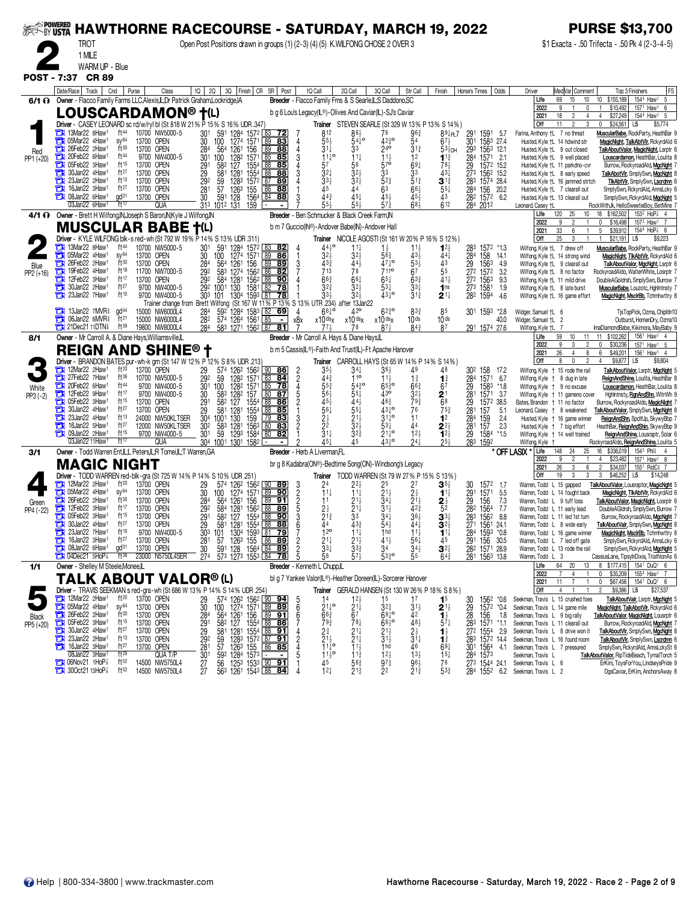| <b>EXAMPOWERED</b> |                                                                                                                                                                              |                                      |                          |                                   |                                     |                                                                                                                                                                                            |               |                                            |                |                                                    |                                                                                                          |                                      |                                                         |                                                        |                                                              |                                                                     |                                                                    | <b>PURSE \$13,700</b>                                                                                                     |
|--------------------|------------------------------------------------------------------------------------------------------------------------------------------------------------------------------|--------------------------------------|--------------------------|-----------------------------------|-------------------------------------|--------------------------------------------------------------------------------------------------------------------------------------------------------------------------------------------|---------------|--------------------------------------------|----------------|----------------------------------------------------|----------------------------------------------------------------------------------------------------------|--------------------------------------|---------------------------------------------------------|--------------------------------------------------------|--------------------------------------------------------------|---------------------------------------------------------------------|--------------------------------------------------------------------|---------------------------------------------------------------------------------------------------------------------------|
|                    | <b>HAWTHORNE RACECOURSE - SATURDAY, MARCH 19, 2022</b><br>Open Post Positions drawn in groups (1) (2-3) (4) (5) K.WILFONG CHOSE 2 OVER 3<br>TROT<br>1 MILE<br>WARM UP - Blue |                                      |                          |                                   |                                     |                                                                                                                                                                                            |               |                                            |                |                                                    |                                                                                                          |                                      |                                                         |                                                        |                                                              |                                                                     |                                                                    | \$1 Exacta - .50 Trifecta - .50 Pk 4 (2-3-4-5)                                                                            |
|                    |                                                                                                                                                                              |                                      |                          |                                   |                                     |                                                                                                                                                                                            |               |                                            |                |                                                    |                                                                                                          |                                      |                                                         |                                                        |                                                              |                                                                     |                                                                    |                                                                                                                           |
|                    | POST - 7:37 CR 89                                                                                                                                                            |                                      |                          |                                   |                                     |                                                                                                                                                                                            |               |                                            |                |                                                    |                                                                                                          |                                      |                                                         |                                                        |                                                              |                                                                     |                                                                    |                                                                                                                           |
|                    | Date/Race Track                                                                                                                                                              | Cnd                                  | Purse                    | Class                             |                                     |                                                                                                                                                                                            |               | 10 20 30 Finish CR SR Post                 |                | 1Q Call                                            | 2Q Call                                                                                                  | 3Q Call                              | Str Call                                                | Finish                                                 | Horse's Times   Odds                                         | Driver                                                              | Med Var  Comment                                                   | Top 3 Finishers<br> FS                                                                                                    |
|                    | 6/1 O Owner - Flacco Family Farms LLC.Alexis.IL.Dr Patrick Graham.Lockridge.IA                                                                                               |                                      |                          |                                   |                                     |                                                                                                                                                                                            |               |                                            |                |                                                    | Breeder - Flacco Family Fms & S Searle, L; S Daddono, SC                                                 |                                      |                                                         |                                                        |                                                              | Life                                                                | 69<br>15<br>10                                                     | 10 \$155,189<br>1544 Haw1 5                                                                                               |
|                    | LOUSCARDAMON® †(L)                                                                                                                                                           |                                      |                          |                                   |                                     |                                                                                                                                                                                            |               |                                            |                |                                                    | b g 6 Lou's Legacy(L®)-Olives And Caviar(L)-SJ's Caviar                                                  |                                      |                                                         |                                                        |                                                              | 2022<br>2021                                                        | 0<br>18<br>4                                                       | \$10,492<br>157 <sup>1</sup> Haw <sup>1</sup> 6<br>\$27,249<br>4<br>154 <sup>4</sup> Haw <sup>1</sup><br>-5               |
|                    | Driver - CASEY LEONARD sc rd/w/ryl bl (St 818 W 21% P 15% S 16% UDR .347)                                                                                                    |                                      |                          |                                   |                                     |                                                                                                                                                                                            |               |                                            |                |                                                    |                                                                                                          |                                      |                                                         | Trainer STEVEN SEARLE (St 329 W 13% P 13% S 14%)       |                                                              | Off                                                                 | 11                                                                 | \$24,561<br>\$5,774<br>0<br>L5                                                                                            |
|                    | $\frac{1}{2}$ 13Mar22 8Haw <sup>1</sup><br>05Mar22 4Haw1<br>а                                                                                                                | ft44<br>SV <sup>64</sup>             | 13700 OPEN               | 10700 NW5000-5                    | 30                                  | 301 591 1284 1572 83<br>100                                                                                                                                                                | 1274 1571     | <u>72 </u><br>89<br>83                     | 4              | 812<br>$55\frac{1}{2}$                             | $86\frac{1}{2}$<br>$54^{10}$                                                                             | 76<br>$42^{30}_{4}$                  | 963<br>54                                               | 894P17<br>673                                          | 291<br>1591<br>5.7<br>301<br>1583 27.4                       | Farina, Anthony +L 7 no threat<br>Husted, Kyle +L 14 hdwind str     |                                                                    | MuscularBabe, RockParty, HeathBar<br>MagicNight, TalkAbtVlr, RckyrdAld                                                    |
| Red<br>PP1 (+20)   | 26Feb22 2Haw1<br>а<br>20Feb22 6Haw1<br>ъ                                                                                                                                     | ft30<br>ft44                         | 13700 OPEN               | 9700 NW4000-5                     | 284<br>301                          | 564 1261 156<br>128 <sup>2</sup><br>100                                                                                                                                                    | 1571 85       | 89<br><u>88</u><br>85                      | 3              | 31‡<br>$11^{10}$                                   | 33<br>$11\frac{1}{4}$                                                                                    | 240                                  | $3^{13}$<br>12                                          | $53\overline{2}$ DH<br>$1^{13}$                        | 293 1563 12.1<br>284<br>1571 2.1                             |                                                                     | Husted, Kyle +L 9 out closed<br>Husted, Kyle +L 9 well placed      | TalkAboutValor, MagicNight, Lsrptr<br>Louscardamon, HeathBar, Loulita                                                     |
|                    | $\Box$ 05Feb22 3Haw1<br>30Jan22 4Haw <sup>1</sup>                                                                                                                            | ft 15<br>ft27                        | 13700 OPEN               |                                   | 291                                 | 582<br>127                                                                                                                                                                                 | 1554<br>1554  | 88<br>85                                   |                | 57                                                 | 56                                                                                                       | 570                                  | $69\frac{1}{4}$                                         | 78,                                                    | 29<br>1572 15.2                                              |                                                                     | Husted, Kyle +L 11 parkdno-cvr                                     | Burrow, RockyroadAld, MacNaht                                                                                             |
|                    | с<br>23Jan22 2Haw1<br>а                                                                                                                                                      | ft13                                 | 13700 OPEN<br>13700 OPEN |                                   | 29<br>292                           | 581<br>1281<br>59<br>1283                                                                                                                                                                  | 1572          | 88<br>88<br>87 89                          |                | 321<br>$33\frac{1}{2}$                             | $3^{2}$                                                                                                  | 3 <sup>3</sup><br>52 <sub>4</sub>    | 33<br>$51\frac{3}{4}$                                   | $43\frac{1}{4}$<br>$3^{13}$                            | 273<br>1562 15.2<br>283 1574 28.4                            |                                                                     | Husted, Kyle +L 8 early speed<br>Husted, Kyle +L 16 jammed strtch  | TalkAbotVlr, SmplySwn, MgcNght<br><b>TikAbtVir, SmplySwn, Lscrdmn</b>                                                     |
|                    | 16Jan22 3Haw <sup>1</sup><br>ш<br>08Jan22 6Haw <sup>1</sup><br>т                                                                                                             | ft27<br>$\alpha$ d <sup>31</sup>     | 13700 OPEN<br>13700 OPEN |                                   | 281<br>30                           | 57<br>1263<br>591 128                                                                                                                                                                      | 155<br>1564   | 86<br>88<br>84<br>88                       |                | 45<br>443                                          | 44<br>$45\frac{1}{4}$                                                                                    | 63<br>454                            | $66\frac{1}{2}$<br>45}                                  | $55\frac{1}{4}$<br>43                                  | 284<br>156 20.2<br>28 <sup>2</sup> 157 <sup>2</sup> 6.2      |                                                                     | Husted, Kyle †L 7 clearall out<br>Husted, Kyle +L 13 clearall out  | SmplySwn, RokyrdAld, AnnsLoky 6<br>SimplySwn, RckyrdAld, MgcNght                                                          |
|                    | 03Jan22 6Haw1                                                                                                                                                                | ft17                                 |                          | QUA                               |                                     | 313 1012 131                                                                                                                                                                               | 159           |                                            |                | 55,                                                |                                                                                                          | $5^{73}$                             | 683                                                     | 612                                                    | 284 2012                                                     | Leonard, Casey †L                                                   |                                                                    | RockWithJk, HelloSweetieBoy, BetMine                                                                                      |
|                    | 4/1 O Owner - Brett H Wilfong, N; Joseph S Baron, N; Kyle J Wilfong, N                                                                                                       |                                      |                          |                                   |                                     |                                                                                                                                                                                            |               |                                            |                |                                                    | Breeder - Ben Schmucker & Black Creek Farm, IN<br>b m 7 Guccio(IN®)-Andover Babe(IN)-Andover Hall        |                                      |                                                         |                                                        |                                                              | Life<br>2022                                                        | 120<br>25<br>10<br>9                                               | $153^2$ HoP <sup>7</sup> <sub>8</sub> 4<br>18 \$162,502<br>$\mathbf 0$<br>\$16,498<br>157 <sup>2</sup> Haw <sup>1</sup> 7 |
|                    | <b>MUSCULAR BABE</b><br>Driver - KYLE WILFONG blk-s red-wh (St 792 W 19% P 14% S 13% UDR .311)                                                                               |                                      |                          |                                   |                                     |                                                                                                                                                                                            |               |                                            |                |                                                    | <b>Trainer</b> NICOLE AGOSTI (St 161 W 20% P 16% S 12%)                                                  |                                      |                                                         |                                                        |                                                              | 2021<br>Off                                                         | 33<br>25                                                           | 5<br>\$39,912<br>1544 HoP <sup>3</sup> 6<br>\$21,191<br>L5<br>\$9,223                                                     |
|                    | $\frac{1}{2}$ 13Mar22 8Haw <sup>1</sup><br>$\frac{1}{2}$ 05Mar22 4Haw <sup>1</sup>                                                                                           | ft <sup>44</sup><br>sy <sup>64</sup> |                          | 10700 NW5000-5                    | 30 <sup>1</sup>                     | 591 1284 1572 83 82<br>100 1274 1571 89 86                                                                                                                                                 |               |                                            |                | $44\frac{1}{2}$ <sup>o</sup>                       | $11\frac{1}{4}$                                                                                          |                                      | $1^{11}_{2}$<br>43 <sup>1</sup>                         |                                                        |                                                              | Wilfong, Kyle +L 7 drew off                                         |                                                                    | MuscularBabe, RockParty, HeathBar                                                                                         |
| Blue               | 26Feb22 2Haw1<br>а                                                                                                                                                           | ft30                                 | 13700 OPEN<br>13700 OPEN |                                   | 30<br>284                           | 100<br>564 1261                                                                                                                                                                            | 156           | 89<br> 89                                  | 3              | $3^{2}$<br>433                                     | $3^{2}\frac{1}{2}$<br>$44\frac{1}{2}$                                                                    | $56\frac{3}{4}$<br>4710              | $53\frac{1}{2}$                                         | 441<br>43                                              | 283 1572 *1.3<br>284 158 14.1<br>29 1563 4.9<br>272 1572 3.2 |                                                                     | Wilfong, Kyle †L 14 strong wind<br>Wilfong, Kyle +L 9 clearall out | MagicNight, TlkAbtVlr, RckyrdAld (<br>TalkAboutValor, MgcNght, Lsrptr 6                                                   |
| PP2 (+16)          | 19Feb22 4Haw1<br>12Feb22 3Haw1<br>哉                                                                                                                                          | ft18<br>ft 17                        | 13700 OPEN               | 11700 NW7000-5                    | $\frac{292}{292}$                   | 583<br>584 1281 1562 88                                                                                                                                                                    | 1274 1562     | 86<br>82<br>90                             |                | 713<br>$66\substack{3 \\ 4}$                       | 78<br>$66\frac{1}{4}$                                                                                    | 7110<br>$65\frac{1}{4}$              | 6 <sup>7</sup><br>$63\frac{3}{4}$                       | 55<br>$41\frac{1}{2}$                                  | 272 1563<br>9.3                                              | Wilfong, Kyle +L 8 no factor<br>Wilfong, Kyle +L 11 mild drive      |                                                                    | RockyroadAldo, WalterWhite, Losrptr<br>DoubleAGoldrsh, SmplySwn, Burrow                                                   |
|                    | 30Jan22 2Haw1<br>a<br>23Jan22 7Haw1<br>т                                                                                                                                     | ft27<br>ft10                         |                          | 9700 NW4000-5<br>9700 NW4000-5    | 303 101                             | 292 1001 130                                                                                                                                                                               | 1581          | 82<br>78                                   |                | $3^{2^{3}}$                                        | $32\frac{1}{2}$<br>32 <sub>3</sub>                                                                       | 531<br>431º                          | $3^{3+}$<br>$31\frac{3}{4}$                             | 1 <sub>ns</sub>                                        | 273 1581<br>1.9                                              | Wilfong, Kyle +L 8 late burst                                       |                                                                    | MuscularBabe, Louzotc, HghIntnsty 7                                                                                       |
|                    |                                                                                                                                                                              |                                      |                          | Trainer change from Brett Wilfong |                                     |                                                                                                                                                                                            | 1304 1593 81  | 78                                         |                |                                                    | (St 167 W 11% P 13% S 13% UTR 234) after 13Jan22                                                         |                                      |                                                         | $\mathbf{2}$ 1 $\ddagger$                              | 282 1594<br>4.6                                              |                                                                     | Wilfong, Kyle †L 16 game effort                                    | MagicNight, MsclrBb, Tchmhwttry 8                                                                                         |
|                    | $\frac{1}{2}$ 13Jan22 7MVR <sup>§</sup><br><b>TH</b> 06Jan22 8MVR <sup>§</sup>                                                                                               | gd <sup>44</sup><br>ft <sup>21</sup> |                          | 15000 NW6000L4<br>15000 NW6000L4  | 284<br>282                          | 592<br>574 1264 1561                                                                                                                                                                       | 1284 1583 L82 | 69                                         | Δ<br>x8x       | $66^{10}$<br>x10dsx                                | x10dsx                                                                                                   | $6^{230}$<br>x10 dsx                 | $8^{3}$<br>10 <sub>ds</sub>                             | 85<br>10 <sub>ds</sub>                                 | 301 1593<br>$*2.8$<br>40.0                                   | Widger, Samuel †L 6<br>Widger, Samuel +L 2                          |                                                                    | TjsTopPick, Ozma, ChipItIn10<br>Outburst, HomenDry, Ozma10                                                                |
|                    | <b>THE 21Dec21 11DTN</b>                                                                                                                                                     | ft $39$                              |                          | 19800 NW8000L4                    | 284                                 | 583 1271 1562 87                                                                                                                                                                           |               | <u>81</u>                                  |                |                                                    |                                                                                                          |                                      | 84 <sup>3</sup>                                         | 87                                                     | 291 1574 27.6                                                | Wilfong, Kyle +L 7<br>Life                                          | 59<br>10<br>11                                                     | ImaDiamondBabe, Kikimora, MayBaby 9<br>\$102,262<br>156 <sup>1</sup> Haw <sup>1</sup> 4<br>11                             |
| 8/1                | Owner - Mr Carroll A. & Diane Hays, Williamsville, IL<br><b>REIGN AND SHINE® t</b>                                                                                           |                                      |                          |                                   |                                     |                                                                                                                                                                                            |               |                                            |                |                                                    | Breeder - Mr Carroll A. Hays & Diane Hays, IL<br>b m 5 Cassis(IL®)-Faith And Trust(IL)-Ft Apache Hanover |                                      |                                                         |                                                        |                                                              | 2022                                                                | $\overline{2}$                                                     | 0<br>\$30,236<br>157 <sup>1</sup> Haw <sup>1</sup> 5                                                                      |
|                    | Driver - BRANDON BATES pur-wh-k grn (St 147 W 12% P 12% S 8% UDR .213)                                                                                                       |                                      |                          |                                   |                                     |                                                                                                                                                                                            |               |                                            |                |                                                    | <b>Trainer</b> CARROLL HAYS (St 65 W 14 % P 14 % S 14 %)                                                 |                                      |                                                         |                                                        |                                                              | 2021<br>Off                                                         | 26<br>$\overline{4}$<br>8                                          | 6<br>\$49,201<br>156 <sup>1</sup> Haw <sup>1</sup> 4<br>$$9,877$ L5<br>\$9,804<br>4                                       |
|                    | $\frac{1}{2}$ 12Mar22 2Haw <sup>1</sup><br>27Feb22 7Haw1                                                                                                                     | $ft^{20}$<br>ft36                    | 13700 OPEN               | 10700 NW5000-5                    | 29<br>292                           | 574 1262 1562 90 86<br>59                                                                                                                                                                  | 1282 1571     | 83<br>$\frac{84}{ }$                       | $\frac{2}{2}$  | 35)<br>44                                          | $34\frac{1}{4}$<br>110                                                                                   | 36}<br>11,                           | 49<br>$1\frac{3}{4}$                                    | 48<br>$\mathbf{1}^3$                                   | 30 <sup>2</sup> 158 17.2<br>1571 6.7                         |                                                                     | Wilfong, Kyle + 15 rode the rail<br>Wilfong, Kyle + 8 dug in late  | <b>TalkAboutValor, Lsrptr, MacNaht</b><br>ReignAndShine, Loulita, HeathBar                                                |
| White              | 20Feb22 6Haw1                                                                                                                                                                | ft44                                 |                          | 9700 NW4000-5                     | 30 <sup>1</sup>                     | 100                                                                                                                                                                                        | 1282 1571     | 85<br>$\overline{78}$                      |                | $5^{5^{\circ}_{4}}$                                | $54\frac{3}{4}$ <sup>o</sup>                                                                             | $65\frac{3}{4}$ <sup>o</sup>         | $66\frac{3}{4}$                                         | 67                                                     | $^{284}_{29}$<br>1583<br>$*1.8$                              | Wilfong, Kyle + 9 no excuse                                         |                                                                    | Louscardamon, HeathBar, Loulita                                                                                           |
| $PP3 (-2)$         | 12Feb22 9Haw1<br>05Feb22 3Haw1<br>а                                                                                                                                          | ft17<br>ft15                         | 13700 OPEN               | 9700 NW4000-5                     | 30<br>291                           | 583 1282 157<br>582 127                                                                                                                                                                    | 1554          | 80<br><u>87</u><br>88<br><u>86</u>         |                | $56\frac{1}{2}$<br>45                              | $55\frac{1}{4}$                                                                                          | 430<br>463                           | $3^{2}$<br>793                                          | $\frac{2}{68}$                                         | 281<br>1571 3.7<br>1572 38.5                                 | Bates, Brandon + 11 no factor                                       | Wilfong, Kyle + 11 gameno cover                                    | HghIntnsty, RanAndShn, WitrWh 9<br>Burrow, RockyroadAldo, MagicNight                                                      |
|                    | 30Jan22 4Haw <sup>1</sup><br>а<br>23Jan22 4Haw <sup>1</sup><br>о                                                                                                             | ft $27$<br>ft13                      | 13700 OPEN               | 24000 NW50KLTSER                  | 29<br>304                           | 581<br>1281<br>1001 130                                                                                                                                                                    | 1554<br>159   | 88<br>85<br>$\sqrt{79}$<br>83              |                | $56\frac{1}{4}$                                    | $55\frac{1}{4}$                                                                                          | 431º<br>$31\frac{1}{4}$ o            | 76<br>11                                                | $75\frac{3}{4}$<br>1 <sup>2</sup>                      | $^{29}_{281}$<br>157<br>5.1<br>284<br>159<br>2.4             | Leonard, Casey † 8 weakened                                         | Husted, Kyle + 16 game winner                                      | TalkAboutValor, SmplySwn, MgcNght<br>ReignAndShn, SpcltUp, SkywyBbp                                                       |
|                    | 16Jan22 5Haw1<br>с                                                                                                                                                           | ft27<br>ft15                         |                          | 12000 NW50KLTSER                  | 302                                 | 583<br>1281                                                                                                                                                                                | 1563          | 80<br><u>83</u>                            | $\overline{2}$ | $2\frac{1}{2}$<br>$2\frac{2}{3}$<br>$1\frac{1}{4}$ | $2^{11/2}$<br>32 <sup>1</sup>                                                                            | 531                                  | 44                                                      | $2^{21}_{22}$                                          | $\frac{28}{29}$ <sup>1</sup><br>157<br>2.3                   | Husted, Kyle   7 big effort                                         |                                                                    | HeathBar <b>, <u>ReignAndShin</u>,</b> SkywyBbp                                                                           |
|                    | $\Box$ 09Jan22 2Haw <sup>1</sup><br>03Jan22 11Haw                                                                                                                            | ft17                                 |                          | 9700 NW4000-5<br>qua              | 301                                 | 59<br>304 1001 1301 1582                                                                                                                                                                   | 1293 1584     | 80<br>82                                   |                | $45\frac{1}{4}$                                    | $32\frac{3}{4}$                                                                                          | $21\frac{1}{4}$ <sup>o</sup><br>434° | 12 <sub>3</sub><br>$24\frac{1}{4}$                      | $25\frac{1}{2}$                                        | 1584<br>$*1.5$<br>283 1592                                   | Wilfong, Kyle                                                       | Wilfong, Kyle + 14 well trained                                    | ReignAndShine, Lousraptr, Solar<br>RockyroadAldo, ReignAndShine, Loulita                                                  |
| 3/1                | Owner - Todd Warren Ent,IL;L Peters,IL;R Tomei,IL;T Warren,GA                                                                                                                |                                      |                          |                                   |                                     |                                                                                                                                                                                            |               | <b>Breeder</b> - Herb A Liverman, FL       |                |                                                    |                                                                                                          |                                      |                                                         |                                                        |                                                              | Life<br>* OFF LASIX *<br>2022                                       | 148<br>24<br>25                                                    | \$336,019<br>154 <sup>3</sup> Phl็<br>16<br>$\frac{4}{3}$<br>\$23,482<br>157 <sup>1</sup> Haw <sup>1</sup> 8<br>4         |
|                    | <b>MAGIC NIGHT</b>                                                                                                                                                           |                                      |                          |                                   |                                     |                                                                                                                                                                                            |               |                                            |                |                                                    | br g 8 Kadabra(ON®)-Bedtime Song(ON)-Windsong's Legacy                                                   |                                      |                                                         |                                                        |                                                              | 2021<br>Off                                                         | 26<br>6<br>3<br>3<br>3<br>19                                       | $\overline{2}$<br>\$34,037<br>155 <sup>1</sup> RidC <sup>§</sup> 7<br>$\mathbf{3}$                                        |
|                    | Driver - TODD WARREN red-blk-gra (St 725 W 14% P 14% S 10% UDR 251)<br>$\Box$ 12Mar22 2Haw <sup>1</sup>                                                                      | $ft^{20}$                            | 13700 OPEN               |                                   | 29                                  | 574 1262 1562<br>100 1274 1571                                                                                                                                                             |               | 90<br><u>89</u>                            |                | $24$<br>$11\frac{1}{4}$                            | Trainer TODD WARREN (St 79 W 27% P 15% S 13%)                                                            | 25                                   |                                                         | $\mathbf{3}$ $5\frac{1}{2}$                            | 30<br>1572<br>1.7                                            | Warren, Todd L 15 gapped                                            |                                                                    | \$46,252<br>L5<br>\$14,248<br><b>TalkAboutValor, Lousraptor, MagicNght</b>                                                |
| Green              | $\Box$ 05Mar22 4Haw <sup>1</sup><br>26Feb22 2Haw <sup>1</sup>                                                                                                                | SV <sup>64</sup><br>ft30             | 13700 OPEN<br>13700 OPEN |                                   | 30<br>284                           | 564 1261 156                                                                                                                                                                               |               | $\overline{89}$<br>90<br>$\sqrt{89}$<br>91 | 325253         | 11                                                 | $11\frac{1}{4}$                                                                                          | 341                                  | $\frac{2}{2}$ <sup>1</sup>                              | $1^{11}$                                               | $\frac{29}{29}$ <sup>1</sup><br>1571<br>5.5<br>156<br>7.3    | Warren, Todd L 9 tuff loss                                          | Warren, Todd L 14 fought back                                      | MagicNight, TikAbtVir, RckyrdAld<br>TalkAboutValor, MagicNight, Losrptr                                                   |
| PP4 (-22)          | 12Feb22 3Haw1<br>с<br>05Feb22 3Haw1                                                                                                                                          | ft17<br>ft15                         | 13700 OPEN               |                                   | $\frac{29}{29}$ <sup>2</sup><br>291 | 584 1281                                                                                                                                                                                   | 1562          | 88<br>89<br>$\overline{90}$<br>88          |                | $2\frac{1}{2}$<br>$2\frac{13}{4}$                  | $\frac{2^{1\frac{1}{2}}}{2^{1\frac{1}{4}}}$<br>3 <sup>3</sup>                                            | $3^{11}_{3}$<br>$3^{41}_{4}$         | $42\frac{3}{4}$<br>36 <sup>1</sup>                      | $\frac{2}{5^2}$                                        | 282<br>1564<br>7.7                                           | Warren, Todd L 11 early lead                                        |                                                                    | DoubleAGldrsh, SmplySwn, Burrow                                                                                           |
|                    | 30Jan22 4Haw <sup>1</sup><br>o                                                                                                                                               | ft27                                 | 13700 OPEN<br>13700 OPEN |                                   |                                     | 582 127<br>581 1281 1554 88                                                                                                                                                                | 1554          | 88                                         | 6              |                                                    | 433                                                                                                      | 543                                  | $44\frac{1}{4}$                                         | $\mathbf{3}^{3\frac{1}{2}}$<br>$3^{2}$                 | $\frac{28}{27}$ <sup>3</sup><br>1562<br>8.8<br>1561 24.1     |                                                                     | Warren, Todd L 11 led 1st turn<br>Warren, Todd L 8 wide early      | Burrow, RockyroadAldo, MacNaht<br>TalkAboutValr, SmplySwn, MgcNght 8                                                      |
|                    | 23Jan22 7Haw <sup>1</sup><br>а<br>16Jan22 3Haw <sup>1</sup>                                                                                                                  | ft10<br>ft $27$                      | 13700 OPEN               | 9700 NW4000-5                     |                                     | 303 101 1304 1593 <b>81 79</b><br>281 57 1263 155 86 <b>89</b><br>30 591 128 1564 84 <b>89</b>                                                                                             |               |                                            |                | 12 <sup>o</sup>                                    |                                                                                                          | 1 <sub>hd</sub><br>$41\frac{1}{2}$   | 11 <sub>3</sub>                                         | $1^{11}$<br>45                                         | 284 1593 *0.8<br>291 156 30.5<br>282 1571 28.9               |                                                                     | Warren, Todd L 16 game winner<br>Warren, Todd L 7 led off gate     | MagicNight, MsclrBb, Tchmhwttry 8<br>SmplySwn, RckyrdAld, AnnsLcky 6                                                      |
|                    | <b>THE 08Jan22 6Haw1</b><br><b>THE O4Dec21 5HoP</b>                                                                                                                          | gd <sup>31</sup><br>$ft^{38}$        | 13700 OPEN               | 23000 N5750L4SER                  |                                     | 30 591 128 1564 84 89<br>274 573 1273 1553 84 78                                                                                                                                           |               |                                            | 5              | $\frac{2^{11}}{3^{31}}$<br>58                      | $2^{11/2}$<br>33 <sup>3</sup><br>57 <sup>1</sup>                                                         | 34<br>$53\frac{3}{4}$ <sup>o</sup>   | $56\frac{1}{4}$<br>34 <sup>1</sup> / <sub>2</sub><br>55 | $3^{2}\frac{1}{2}$<br>$64\frac{3}{4}$                  | 281 1563 13.8                                                | Warren, Todd L 3                                                    | Warren, Todd L 13 rode the rail                                    | SimplySwn, RckyrdAld, MgcNght<br>CassiusLane, TipsylnDixie, TriathlonAs 6                                                 |
| 1/1                | Owner - Shelley M Steele, Monee, IL                                                                                                                                          |                                      |                          |                                   |                                     |                                                                                                                                                                                            |               | Breeder - Kenneth L Chupp, IL              |                |                                                    |                                                                                                          |                                      |                                                         |                                                        |                                                              | Life                                                                | 13<br>64 20                                                        | 8 \$177,415 1541 DuQ1 6                                                                                                   |
|                    | <b>TALK ABOUT VALOR®(L)</b>                                                                                                                                                  |                                      |                          |                                   |                                     |                                                                                                                                                                                            |               |                                            |                |                                                    | bl g 7 Yankee Valor(IL®)-Heather Doreen(IL)-Sorcerer Hanover                                             |                                      |                                                         |                                                        |                                                              | 2022<br>2021                                                        | 7<br>4<br>$\mathbf{1}$<br>11<br>$\overline{7}$                     | \$35,209<br>0<br>1554 Haw1 7<br>\$67,456<br>1541 DuQ1 6<br>0                                                              |
|                    | Driver - TRAVIS SEEKMAN s red-gra-wh (St 686 W 13% P 14% S 14% UDR .254)<br>$\frac{1}{2}$ 12Mar22 2Haw <sup>1</sup>                                                          | $ft^{20}$                            |                          |                                   |                                     |                                                                                                                                                                                            |               |                                            |                |                                                    |                                                                                                          |                                      |                                                         | <b>Trainer</b> GERALD HANSEN (St 130 W 26% P 18% S 8%) |                                                              | Off                                                                 | 4                                                                  | \$9,386 L5<br>\$27,537                                                                                                    |
|                    | <b>Et 05Mar22 4Haw1</b>                                                                                                                                                      | SV <sup>64</sup>                     | 13700 OPEN<br>13700 OPEN |                                   | 29<br>30                            | 574 1262 1562 90 94<br>100 1274 1571 89 89                                                                                                                                                 |               |                                            | 5<br>6         | $21\frac{1}{4}$ <sup>o</sup>                       | $12_{2}$<br>$\frac{2^{1\overline{3}}}{6^{7}}$                                                            | 1 <sup>5</sup><br>$3^{2^{3}}$        | 17<br>$31\frac{1}{2}$                                   | 1 <sup>5</sup><br>$2^{1\frac{1}{2}}$                   | 1562<br>*0.6<br>30<br>29<br>1572 *0.4                        | Seekman, Travis L 15 crushed foes<br>Seekman, Travis L 14 game mile |                                                                    | TalkAboutValr, Lsrptr, MacNaht<br>MagicNight, TalkAbotVlr, RckyrdAld 6                                                    |
| Black<br>PP5 (+20) | 26Feb22 2Haw1<br>05Feb22 3Haw1                                                                                                                                               | ft30<br>$ft^{15}$                    | 13700 OPEN<br>13700 OPEN |                                   | 284                                 |                                                                                                                                                                                            |               |                                            | 6              | 663<br>$79\frac{3}{4}$                             | 781                                                                                                      | $69^{10}_{4}$<br>6830                | 42<br>$48\frac{1}{2}$                                   | $1\frac{1}{2}$<br>$57\frac{1}{4}$                      | 28<br>156<br>1.8<br>283 1571 *1.1                            | Seekman, Travis L 9 big rally<br>Seekman, Travis L 11 clearall out  |                                                                    | TalkAboutValor, MagicNight, Lousrptr 6<br>Burrow, RockyroadAld, MgcNght                                                   |
|                    | 30Jan22 4Haw1                                                                                                                                                                | ft27                                 | 13700 OPEN               |                                   | 291<br>29                           | $\begin{array}{r} 1664 & 1261 & 156 & 89 & 991 \\ 564 & 1261 & 1564 & 88 & 86 \\ 582 & 127 & 1554 & 88 & 91 \\ 591 & 1263 & 1572 & 87 & 91 \\ 591 & 1263 & 1572 & 86 & 918 \\ \end{array}$ |               |                                            |                | 2∛                                                 | $21\frac{1}{4}$                                                                                          | 21}                                  | $2\frac{1}{2}$                                          | $\mathbf{1}_{2}^{1}$                                   | $27^2$ $155^4$ 2.9                                           | Seekman, Travis L 8 drive won it                                    |                                                                    | TalkAboutVlr, SmplySwn, MgcNght 8                                                                                         |
|                    | 23Jan22 2Haw <sup>1</sup><br>о<br>16Jan22 3Haw1                                                                                                                              | $ft^{13}$<br>ft27                    | 13700 OPEN<br>13700 OPEN |                                   | 292<br>281                          | $\frac{57}{59^2}$ $\frac{126^3}{128^4}$ $\frac{155}{157^3}$ $\frac{86}{157^3}$ $\frac{85}{157^3}$                                                                                          |               |                                            | $\overline{2}$ | $\frac{21\frac{1}{2}}{11\frac{1}{4}}$              | $21\frac{1}{4}$<br>$11\frac{1}{2}$                                                                       | $31\frac{1}{2}$<br>1 <sub>hd</sub>   | $31\frac{1}{4}$<br>46                                   | $1\frac{3}{4}$<br>$69\frac{1}{4}$                      | 283 1572 14.4<br>301 1564 4.1                                | Seekman, Travis L 16 found room<br>Seekman, Travis L 7 pressured    |                                                                    | TalkAboutVir, SmplySwn, Lscrdmn 6<br>SmplySwn, RokyrdAld, AnnsLokySt 6                                                    |
|                    | 08Jan22 3Haw1<br><b>THO</b> 06Nov21 1HoP <sup>3</sup>                                                                                                                        | $ft^{28}$<br>ft $52$                 |                          | QUA T/P<br>14500 NW5750L4         | 30 <sup>1</sup><br>$\overline{27}$  |                                                                                                                                                                                            |               |                                            |                | $11\frac{1}{2}$<br>45                              | $11\frac{3}{4}$<br>563                                                                                   | 12 <sub>3</sub><br>$97\frac{3}{4}$   | $13\frac{1}{2}$<br>963                                  | $15\frac{1}{4}$<br>76                                  | 284 1573<br>273 1544 24.1                                    | Seekman, Travis L<br>Seekman, Travis L 6                            |                                                                    | TalkAboutValor, RipTideBeach, TymalTorch 5<br>ErKim, ToysForYou, LindseysPride 9                                          |
|                    | 300ct2113HoP3                                                                                                                                                                | ft $52$                              |                          | 14500 NW5750L4                    | 27                                  | 56 1253 1533 00 91<br>563 1261 1543 88 84                                                                                                                                                  |               |                                            |                | $12\frac{1}{4}$                                    | $21\frac{3}{4}$                                                                                          | 22                                   | $21\frac{3}{4}$                                         | 53}                                                    |                                                              | 284 1552 6.2 Seekman, Travis L 2                                    |                                                                    | DgsCaviar, ErKim, AnchorsAway 8                                                                                           |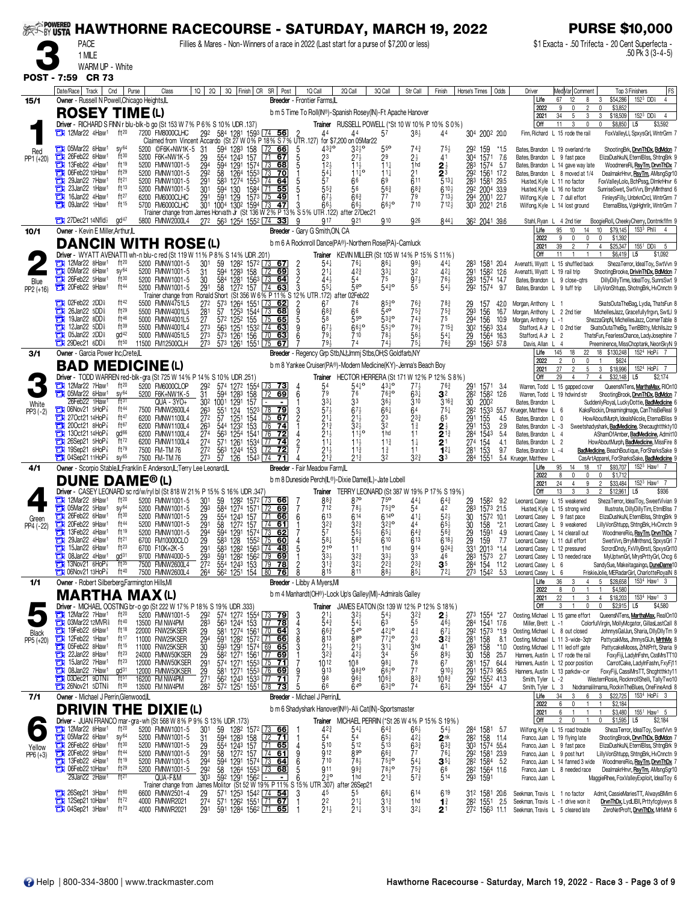|                    | <b>EXAMPOWERED</b><br><b>HAWTHORNE RACECOURSE - SATURDAY, MARCH 19, 2022</b><br><b>PACE</b><br>Fillies & Mares - Non-Winners of a race in 2022 (Last start for a purse of \$7,200 or less) |                                    |                                      |                                                                                                                |                                                                                                                                                                                                                                                                                                             |                                                                 |                                                                     |                                         |                                         |                                                                       |                                                             |                                                                      |                                                                       | <b>PURSE \$10,000</b>                                                                                             |
|--------------------|--------------------------------------------------------------------------------------------------------------------------------------------------------------------------------------------|------------------------------------|--------------------------------------|----------------------------------------------------------------------------------------------------------------|-------------------------------------------------------------------------------------------------------------------------------------------------------------------------------------------------------------------------------------------------------------------------------------------------------------|-----------------------------------------------------------------|---------------------------------------------------------------------|-----------------------------------------|-----------------------------------------|-----------------------------------------------------------------------|-------------------------------------------------------------|----------------------------------------------------------------------|-----------------------------------------------------------------------|-------------------------------------------------------------------------------------------------------------------|
|                    |                                                                                                                                                                                            |                                    |                                      |                                                                                                                |                                                                                                                                                                                                                                                                                                             |                                                                 |                                                                     |                                         |                                         |                                                                       |                                                             |                                                                      |                                                                       | \$1 Exacta - .50 Trifecta - 20 Cent Superfecta -<br>.50 Pk 3 (3-4-5)                                              |
|                    | 1 MILE<br>WARM UP - White                                                                                                                                                                  |                                    |                                      |                                                                                                                |                                                                                                                                                                                                                                                                                                             |                                                                 |                                                                     |                                         |                                         |                                                                       |                                                             |                                                                      |                                                                       |                                                                                                                   |
|                    | POST - 7:59 CR 73                                                                                                                                                                          |                                    |                                      |                                                                                                                |                                                                                                                                                                                                                                                                                                             |                                                                 |                                                                     |                                         |                                         |                                                                       |                                                             |                                                                      |                                                                       |                                                                                                                   |
|                    | Date/Race   Track                                                                                                                                                                          | Cnd<br>Purse                       | Class                                | 10 20 30 Finish CR SR Post                                                                                     |                                                                                                                                                                                                                                                                                                             | 1Q Call<br>Breeder - Frontier Farms,IL                          | 2Q Call                                                             | 3Q Call                                 | Str Call                                | Finish                                                                | Horse's Times<br>Odds                                       | Driver<br>Life                                                       | Med Var  Comment<br>12<br>67<br>8                                     | <b>FS</b><br>Top 3 Finishers<br>$152^3$ DD <sup>§</sup><br>\$54,286<br>$\overline{4}$<br>3                        |
| 15/1               | Owner - Russell N Powell, Chicago Heights, IL<br><b>ROSEY TIME(L)</b>                                                                                                                      |                                    |                                      |                                                                                                                |                                                                                                                                                                                                                                                                                                             | b m 5 Time To Roll(IN®)-Spanish Rosey(IN)-Ft Apache Hanover     |                                                                     |                                         |                                         |                                                                       |                                                             | 2022                                                                 | 9<br>34<br>5<br>3                                                     | \$3,852<br>152 <sup>3</sup> DD\$<br>\$18,509<br>$\overline{4}$                                                    |
|                    | Driver - RICHARD S FINN r blu-blk-b go (St 153 W 7% P 6% S 10% UDR .137)                                                                                                                   |                                    |                                      |                                                                                                                |                                                                                                                                                                                                                                                                                                             |                                                                 | Trainer RUSSELL POWELL (*St 10 W 10% P 10% S 0%)                    |                                         |                                         |                                                                       |                                                             | 2021<br>Off                                                          | 11<br>3<br>0                                                          | 3<br>\$8,850<br>L <sub>5</sub><br>\$3,592                                                                         |
|                    | 12Mar22 4Haw1                                                                                                                                                                              | ft $20$                            | 7200 FM8000CLHC                      | 292 584 1281 1593 74 56<br>Claimed from Vincent Accardo (St 27 W 0% P 18% S 7% UTR 127) for \$7,200 on 05Mar22 |                                                                                                                                                                                                                                                                                                             | 44                                                              | 44                                                                  | 5 <sup>7</sup>                          | $38\frac{1}{2}$                         | 44                                                                    | 304 2002 20.0                                               |                                                                      | Finn, Richard L 15 rode the rail                                      | FoxValleyLI, SpxysGrI, WntrGrm 7                                                                                  |
| Red<br>PP1 (+20)   | <b>Ext</b> 05Mar22 6Haw <sup>1</sup><br>26Feb22 6Haw <sup>1</sup><br>т                                                                                                                     | SV <sup>64</sup><br>ft30           | 5200 ©F6K+NW1K-5<br>5200 F6K+NW1K-5  | -31<br>59 <sup>4</sup> 128 <sup>3</sup> 158<br>55 <sup>4</sup> 124 <sup>3</sup> 157<br>29                      | 66<br>172<br>$\overline{71}$ 67                                                                                                                                                                                                                                                                             | $43\frac{3}{4}$ <sup>o</sup><br>$\frac{5}{5}$<br>23             | $27\frac{1}{2}$                                                     | 29                                      | $74\frac{3}{4}$<br>$2\frac{1}{2}$       | 75,<br>41                                                             | 292<br>159<br>*1.5<br>304<br>1571<br>7.6                    | Bates, Brandon L 9 fast pace                                         | Bates, Brandon L 19 overland rte                                      | ShootingBrk, DrvnThDx, BdMdcn 7<br>ElizaDushkuN, EternIBIss, ShtngBrk 9                                           |
|                    | 13Feb22 4Haw1<br>06Feb22 10Haw <sup>1</sup><br>о                                                                                                                                           | ft19<br>ft29                       | 5200 FMNW1001-5<br>5200 FMNW1001-5   | 294<br>1291 1574<br>594<br>292<br>58                                                                           | 73<br>68<br>1264 1553<br>70<br>  73                                                                                                                                                                                                                                                                         | 123<br>541                                                      | $11\frac{1}{2}$<br>$11^{10}$                                        | $11\frac{1}{4}$<br>$11\frac{1}{4}$      | 1 <sub>hd</sub><br>$\frac{21}{611}$     | $\frac{2^{\frac{1}{2}}}{5^{\frac{3}{4}}}$                             | 283<br>-5.7<br>1574<br>292<br>1561 17.2                     |                                                                      | Bates, Brandon L 14 gave way late<br>Bates, Brandon L 8 moved at 1/4  | WoodmereRi, RsyTm, DrvnThDx<br>DealmakrHnvr, RsyTm, AMsngSgr10                                                    |
|                    | 29Jan22 7Haw <sup>1</sup><br>о<br>23Jan22 1Haw <sup>1</sup>                                                                                                                                | ft <sup>21</sup><br>ft13           | 5200 FMNW1001-5<br>5200 FMNW1001-5   | 291<br>1274<br>583<br>301<br>594<br>130                                                                        | 1553 74 64<br>55<br>1584                                                                                                                                                                                                                                                                                    | 57<br>$5^{5^{3}_{4}}$                                           | 66<br>56                                                            | 6 <sup>9</sup><br>$56\frac{3}{4}$       | $68\frac{3}{4}$                         | $6^{10}$                                                              | 283<br>1581 29.5<br>292 2004 33.9                           |                                                                      | Husted, Kyle L 11 no factor<br>Husted, Kyle L 16 no factor            | FoxValleyLolo, BchPssg, DlmkrHnvr 6<br>SunriseSwet, SwtVvn, BrryMInthsnd 6                                        |
|                    | 16Jan22 4Haw <sup>1</sup><br>о<br>09Jan22 1Haw1<br>с                                                                                                                                       | ft27<br>ft15                       | 6200 FM6000CLHC<br>5700 FM6000CLHC   | 291 591 129 1573 75<br>301 1004 1302 1594 73                                                                   | -49<br><u>47</u>                                                                                                                                                                                                                                                                                            | $67\frac{1}{2}$<br>66,                                          | $66\frac{3}{4}$<br>$66\frac{1}{2}$                                  | 77<br>$66^{10}$                         | 79<br>710                               | $713\frac{1}{2}$<br>712 <sub>3</sub>                                  | 294<br>2001 22.7<br>303 2021 21.6                           |                                                                      | Wilfong, Kyle L 7 dull effort<br>Wilfong, Kyle L 14 lost ground       | FinleysFilly, UnbrknCrcl, WntrGrm 7<br>EternalBlss, VgsHghrllr, WntrGrm 7                                         |
|                    | $27$ Dec $21$ 14Nfld $\frac{1}{2}$                                                                                                                                                         | $q d^{47}$                         | 5800 FMNW2000L4                      | Trainer change from James Horvath Jr (St 136 W 2% P 13% S 5% UTR 122)<br>272 563 1254 1552 74 33               |                                                                                                                                                                                                                                                                                                             | 9<br><b>917</b>                                                 | after 27Dec21<br>921                                                | 910                                     | 926                                     | $844\frac{1}{4}$                                                      | 362 2041 39.6                                               |                                                                      | Stahl, Ryan L 4 2nd tier                                              | BoogieRoll, CheekyCherry, Dontmkflfm 9                                                                            |
| 10/1               | Owner - Kevin E Miller, Arthur, IL                                                                                                                                                         |                                    |                                      |                                                                                                                |                                                                                                                                                                                                                                                                                                             | Breeder - Gary G Smith, ON, CA                                  |                                                                     |                                         |                                         |                                                                       |                                                             | Life<br>2022                                                         | 95<br>10<br>14<br>9<br>0                                              | 10<br>\$79,145<br>$153^3$ Phis 4<br>\$1,392<br>0                                                                  |
|                    | <b>DANCIN WITH ROSE(L)</b><br>Driver - WYATT AVENATTI wh-n blu-c red (St 119 W 11% P 8% S 14% UDR .201                                                                                     |                                    |                                      |                                                                                                                |                                                                                                                                                                                                                                                                                                             | b m 6 A Rocknroll Dance(PA®)-Northern Rose(PA)-Camluck          | <b>Trainer</b> KEVIN MILLER (St 105 W 14% P 15% S 11%)              |                                         |                                         |                                                                       |                                                             | 2021<br>Off                                                          | 39<br>2<br>$\overline{7}$<br>11                                       | \$25,347<br>$\overline{4}$<br>155 <sup>1</sup> DD <sup>\$</sup><br>-5<br>\$1,092<br>\$6,419<br>L5                 |
|                    | 12Mar22 8Haw1                                                                                                                                                                              | $ft^{20}$                          | 5200 FMNW1001-5                      | 59<br>30 <sup>1</sup>                                                                                          | 128 <sup>2</sup> 157 <sup>2</sup> 73<br>67                                                                                                                                                                                                                                                                  | $54\frac{1}{4}$<br>$\frac{2}{3}$                                | 76‡                                                                 | 86‡                                     | $99\frac{1}{2}$                         | 441                                                                   | 283<br>1581 20.4                                            |                                                                      | Avenatti, Wyatt L 15 shuffled back                                    | ShezaTerror, IdealToy, SwtVvn 9                                                                                   |
| Blue<br>PP2 (+16)  | <b>TH</b> 05Mar22 6Haw <sup>1</sup><br>$26Feb22$ 5Haw <sup>1</sup><br>a                                                                                                                    | SV <sup>64</sup><br>ft30           | 5200 FMNW1001-5<br>5200 FMNW1001-5   | 594<br>1283 158<br>31<br>30<br>584                                                                             | 69<br>1281 1563 73<br>1272 157 74<br>64                                                                                                                                                                                                                                                                     | $21\frac{1}{4}$<br>443                                          | $42\frac{3}{4}$<br>54                                               | $\frac{33\frac{1}{4}}{75}$              | 32<br>$97\frac{1}{2}$                   | $42\frac{1}{4}$<br>76}                                                | 291<br>1582 12.6<br>283<br>1574 14.7                        | Avenatti, Wyatt L 19 rail trip<br>Bates, Brandon L 9 close-gtrs      |                                                                       | ShootingBrooke, DrivinThDx, BdMdcn 7<br>DillyDillyTime, IdealToy, SunrsSwt 9                                      |
|                    | 20Feb22 9Haw1                                                                                                                                                                              | ft44                               | 5200 FMNW1001-5                      | 291<br>58<br>Trainer change from Ronald Short (St 356 W 6% P 11% S 12% UTR .172) after 02Feb22                 | 63                                                                                                                                                                                                                                                                                                          | $5^{51}$                                                        | 56 <sup>o</sup>                                                     | $54^{30}_{4}$                           | 55                                      | $54\frac{1}{2}$                                                       | 292<br>1574<br>9.7                                          | Bates, Brandon L 9 tuff trip                                         |                                                                       | LillyVonShtupp, ShotngBrk, HvCnnctn 9                                                                             |
|                    | <b>THE O2Feb22 2DD</b><br>26Jan22 5DD\$<br>а                                                                                                                                               | ft42<br>ft29                       | 5500 FMNW4751L5<br>5500 FMNW4001L5   | 272<br>573<br>1264 1551<br>281<br>57                                                                           | 62<br>L73<br>1253 1544 73<br>68                                                                                                                                                                                                                                                                             | 67<br>$68\frac{3}{4}$                                           | 76<br>66                                                            | 8530<br>540                             | $76\frac{3}{4}$<br>$75\frac{3}{4}$      | $78\frac{3}{4}$<br>$75\frac{3}{4}$                                    | 29<br>293<br>157<br>42.0<br>156<br>16.7                     | Morgan, Anthony L 1<br>Morgan, Anthony L 2 2nd tier                  |                                                                       | SkatsOutaTheBag, Lydia, ThatsFun 8<br>MichellesJazz, Gracefullyfrgyn, SwtLl 9                                     |
|                    | 19Jan22 8DD <sup>§</sup><br>а<br>12Jan22 $5DD$ <sup>§</sup><br>о                                                                                                                           | ft46<br>$ft^{39}$                  | 5000 FMNW4001L5<br>5500 FMNW4001L4   | 27<br>273                                                                                                      | $\frac{572}{563}$ $\frac{1252}{1254}$ $\frac{155}{158}$ $\frac{175}{174}$<br>$\frac{573}{1261}$ $\frac{1532}{156}$ $\frac{174}{156}$<br>65<br>63                                                                                                                                                            | 58<br>$67\frac{1}{2}$                                           | 55 <sup>o</sup><br>$66^{10}$                                        | 5330<br>55}°                            | $74\frac{3}{4}$<br>$79\frac{1}{2}$      | 75<br>$715\frac{3}{4}$                                                | 294<br>10.9<br>156<br>302<br>1563 33.4                      | Morgan, Anthony L -1<br>Stafford, A Jr L 0 2nd tier                  |                                                                       | ShezzaGnpN, MichellesJazz, CornerTable 8<br>SkatsOutaTheBg, TwnBBtty, MchllsJzz 9                                 |
|                    | 05Jan22 2DD <sup>§</sup><br>а<br><b>THE 29Dec21 6DD</b>                                                                                                                                    | $\alpha$ d <sup>42</sup><br>ft50   | 5000 FMNW4051L5<br>11500 FM12500CLH  | 27 <sup>3</sup><br>273<br>573 1261 1551 75                                                                     | 70 63<br>67                                                                                                                                                                                                                                                                                                 | 79‡<br>79}                                                      | 710<br>74                                                           | 78}<br>743                              | $56\frac{1}{2}$<br>$75\frac{1}{4}$      | $54\frac{1}{4}$<br>763                                                | 29<br>1564 16.3<br>293 1563 57.8                            | Stafford, A Jr L 2<br>Davis, Allan L 4                               |                                                                       | ThatsFun, FearlessChance, LadyJosephine 7<br>Preeminence, MissChoptank, NeonSkyN 9                                |
| 3/1                | Owner - Garcia Power Inc, Crete, IL                                                                                                                                                        |                                    |                                      |                                                                                                                |                                                                                                                                                                                                                                                                                                             | Breeder - Regency Grp Stb, NJ; Jmmj Stbs, OH; S Goldfarb, NY    |                                                                     |                                         |                                         |                                                                       |                                                             | Life<br>2022                                                         | 18<br>22<br>145<br>2<br>0<br>0                                        | 1524 HoP <sup>2</sup> <sub>8</sub> 7<br>18 \$130,248<br>\$624                                                     |
|                    | <b>BAD MEDICINE(L)</b><br>Driver - TODD WARREN red-blk-gra (St 725 W 14% P 14% S 10% UDR .251)                                                                                             |                                    |                                      |                                                                                                                |                                                                                                                                                                                                                                                                                                             | b m 8 Yankee Cruiser(PA®)-Modern Medicine(KY)-Jenna's Beach Boy | Trainer HECTOR HERRERA (St 171 W 12% P 12% S 8%)                    |                                         |                                         |                                                                       |                                                             | 2021<br>Off                                                          | 27<br>5<br>2<br>29<br>4                                               | 152 <sup>4</sup> HoP <sup>2</sup><br>3<br>\$18,996<br>\$32,148<br>\$2,174<br>$\overline{4}$<br>L5                 |
|                    | 12Mar22 7Haw1<br><b>Et 05Mar22 6Haw1</b>                                                                                                                                                   | $ft^{20}$<br>SV <sup>64</sup>      | 5200 FM6000CLOP<br>5200 F6K+NW1K-5   | 292<br>574 1272 1554 73<br>31<br>594 1283 158                                                                  | - 73<br>72<br>69                                                                                                                                                                                                                                                                                            | $\frac{5^4}{7^9}$<br>4<br>6                                     | $54^{10}_{4}$<br>76                                                 | $43^{10}_{4}$<br>7630                   | $77\frac{1}{2}$<br>$63\frac{1}{4}$      | $76\frac{3}{4}$<br>32                                                 | 291 1571 3.4<br>282<br>1582 12.6                            |                                                                      | Warren, Todd L 15 gapped cover<br>Warren, Todd L 19 hdwind str        | QueensNTens, MarthaMax, RIOn10<br>ShootingBrook, DrvnThDx, BdMdcn                                                 |
| White              | 26Feb22 1Haw1<br><b>THE OGNOV21 5HoP</b>                                                                                                                                                   | $f$ <sup>131</sup><br>ft 44        | QUA - 3YO+<br>7500 FMNW2600L4        | 302 1001<br>1291<br>124<br>263<br>55 <sup>1</sup>                                                              | 157<br>$152^3$ 78 79                                                                                                                                                                                                                                                                                        | $3^{31}_{5^{7}2}$                                               | 3 <sup>3</sup><br>$67\frac{1}{2}$                                   | 365<br>$66\frac{1}{4}$                  | 310<br>64                               | $3^{16}$<br>$75\frac{1}{4}$                                           | 30<br>2002<br>$\frac{28}{2}$<br>1533 55.7                   | Bates, Brandon L<br>Krueger, Matthew L 6                             |                                                                       | SuddenlyRoyal, LuckyDottie, BadMedicine 6<br>KaksRockin, DreamingImage, CanThisBeReal 9                           |
| $PP3 (-2)$         | 27Oct2114HoP<br>$200ct21$ 8HoP $\frac{7}{8}$<br>с                                                                                                                                          | ft47<br>ft67                       | 6200 FMNW1100L4                      | 57<br>125 <sup>1</sup><br>27 <sup>2</sup>                                                                      | 154<br>75<br>67<br>153<br>74<br>  76                                                                                                                                                                                                                                                                        | $\frac{3}{2}$<br>$21\frac{1}{4}$                                | $2^{1\frac{1}{2}}$<br>3 <sup>2</sup> / <sub>2</sub>                 | 23<br>32                                | $2^{3}$                                 | 65                                                                    | 291<br>155<br>4.5<br>2.9                                    | Bates, Brandon L 0                                                   |                                                                       | HowAboutMurph, IdealsNicole, EternalBliss 9                                                                       |
|                    | 13Oct2114HoP<br><b>THE 26Sep21 5HoP</b>                                                                                                                                                    | gd <sup>66</sup><br>ft72           | 6200 FMNW1100L4<br>6200 FMNW1100L4   | $\frac{123^2}{125^4}$<br>26 <sup>3</sup><br>274<br>544<br>563                                                  | 1541<br>$\sqrt{76}$<br>72                                                                                                                                                                                                                                                                                   | $\frac{2}{2}$ <sup>13</sup> / <sub>2</sub>                      | $11^{19}$                                                           | 1 <sub>hd</sub>                         | $1\frac{3}{4}$<br>11                    | $2\frac{1}{2}$                                                        | 291<br>153<br>$\bar{28}$ <sup>4</sup><br>1543<br>5.4<br>274 | Bates, Brandon L -3<br>Bates, Brandon L                              | $\overline{4}$                                                        | Sweetshadyshark, BadMedicine, Shecaughtthkty10<br>AShamOfAmber, BadMedicine, Admit10                              |
|                    | 19Sep21 6HoP<br>$\Box$ 04Sep21 11HoP $\frac{7}{8}$                                                                                                                                         | ft79<br>$sy^{65}$                  | 6200 FMNW1100L4<br>7500 FM-TM 76     | 274<br>571 1261 1534 77<br>272<br>563<br>1244 153<br>$\overline{27}$ <sub>3</sub><br>57<br>126                 | 74<br>$\overline{72}$<br>72                                                                                                                                                                                                                                                                                 | $11\frac{1}{4}$<br>$2^{11}_{21}$<br>$2^{13}_{4}$                | $11\frac{1}{2}$<br>$11\frac{3}{4}$<br>$21\frac{3}{4}$               | $11\frac{3}{4}$<br>$1\frac{3}{4}$<br>32 | $1\frac{1}{4}$<br>11<br>32 <sub>4</sub> | $2^{\scriptscriptstyle \dagger}$<br>$12\frac{1}{4}$<br>3 <sup>3</sup> | 154<br>4.1<br>281<br>9.7<br>153<br>284                      | Bates, Brandon L 2<br>Bates, Brandon L -4                            |                                                                       | HowAboutMurph, BadMedicine, MissFire 8<br>BadMedicine, BeachBoutique, ForSharksSake 9                             |
| 4/1                | Owner - Scorpio Stable, L; Franklin E Anderson, L; Terry Lee Leonard, L                                                                                                                    |                                    | 7500 FM-TM 76                        |                                                                                                                | 1543 74                                                                                                                                                                                                                                                                                                     | Breeder - Fair Meadow Farm.IL                                   |                                                                     |                                         |                                         |                                                                       | 1551                                                        | 5.4 Krueger, Matthew<br>Life                                         | 18<br>95<br>14                                                        | CasArtApparel, ForSharksSake, BadMedicine 9<br>\$93,707<br>152 <sup>3</sup> Haw <sup>1</sup> 7<br>17              |
|                    | <b>DUNE DAME® (L)</b>                                                                                                                                                                      |                                    |                                      |                                                                                                                |                                                                                                                                                                                                                                                                                                             | b m 8 Duneside Perch(L®)-Dixie Dame(L)-Jate Lobell              |                                                                     |                                         |                                         |                                                                       |                                                             | 2022<br>2021                                                         | 8<br>0<br>0<br>24<br>9<br>4                                           | \$1,712<br>$\mathbf{0}$<br>152 <sup>3</sup> Haw <sup>1</sup><br>$\overline{2}$<br>\$33,484                        |
|                    | Driver - CASEY LEONARD sc rd/w/ryl bl (St 818 W 21% P 15% S 16% UDR .347)<br>$\frac{1}{2}$ 12Mar22 8Haw <sup>1</sup>                                                                       | $ft^{20}$                          | 5200 FMNW1001-5                      | 30 <sup>1</sup><br>59                                                                                          | 1282 1572<br>66                                                                                                                                                                                                                                                                                             | $8\frac{3}{4}$<br>712                                           | Trainer TERRY LEONARD (St 387 W 19% P 17% S 19%)<br>87 <sup>o</sup> | 75 <sup>o</sup>                         | $44\frac{1}{4}$                         | 64∛                                                                   | 1582 9.2<br>29                                              | Off<br>Leonard, Casey L 15 weakened                                  | 13<br>3                                                               | \$12,961<br>\$936<br>$\overline{2}$<br>L5<br>ShezaTerror, IdealToy, SweetVivian 9                                 |
| Green              | 05Mar22 5Haw <sup>1</sup><br>о<br>26Feb22 6Haw <sup>1</sup><br>о                                                                                                                           | SV <sup>64</sup><br>$ft^{30}$      | 5200 FMNW1001-5<br>5200 FMNW1001-5   | 584<br>29 <sub>3</sub><br>29<br>29 <sub>1</sub><br>1274 1571<br>554 1243 157                                   | 69<br>71<br>66                                                                                                                                                                                                                                                                                              | 613<br>6                                                        | $78\frac{1}{2}$<br>614                                              | $75\frac{3}{4}$ <sup>o</sup><br>$614$ o | 54<br>$41\frac{1}{4}$                   | 42<br>$52\frac{1}{2}$                                                 | 283<br>1573 21.5<br>30<br>1572 10.1                         | Leonard, Casey L 9 fast pace                                         | Husted, Kyle L 15 strong wind                                         | Illustrate, DillyDillyTim, EtrnIBlss 7<br>ElizaDushkuN, EternIBlss, ShtngBrk 9                                    |
| PP4 (-22)          | 20Feb22 9Haw1<br>13Feb22 4Haw1                                                                                                                                                             | ft44<br>ft19                       | 5200 FMNW1001-5<br>5200 FMNW1001-5   | 58 1272 157                                                                                                    | $[74 \ 61]$                                                                                                                                                                                                                                                                                                 | $3^{2^{3}}$<br>57                                               | $3^{2^{3}}$<br>55}                                                  | $3^{230}$<br>$65\frac{1}{4}$            | 44<br>$64\frac{3}{4}$                   | $65\frac{1}{2}$<br>$56\frac{3}{4}$                                    | 30<br>158 *2.1<br>29<br>1591 4.9                            | Leonard, Casey L 9 weakened<br>Leonard, Casey L 14 clearall out      |                                                                       | LillyVonShtupp, ShtngBrk, HvCnnctn 9<br>WoodmereRio, RsyTm, DrvnThDx 7                                            |
|                    | 29Jan22 4Haw1<br>о<br>15Jan22 6Haw1<br>а                                                                                                                                                   | ft <sup>21</sup><br>$ft^{23}$      | 6700 FM10000CLO<br>6700 F10K+2K-5    |                                                                                                                |                                                                                                                                                                                                                                                                                                             | $\frac{581}{210}$                                               | 563<br>11                                                           | 610<br>1 <sub>hd</sub>                  | 613<br><b>914</b>                       | $618\frac{1}{2}$<br>9243                                              | 7.7<br>$\frac{29}{331}$<br>159<br>2013<br>$*1.4$            | Leonard, Casey L 11 dull effort<br>Leonard, Casey L 12 pressured     |                                                                       | SwetVvn, BrryMInthsnd, SpxysGrl 7<br>ScrcrdDndy, FxVIIyBrstl, SpxysGrI10                                          |
|                    | 08Jan22 4Haw1<br>о<br>13Nov21 6HoP                                                                                                                                                         | gd <sup>31</sup><br>$\frac{1}{11}$ | 9700 FMNW4000-5<br>7500 FMNW2600L4   | 294<br>291<br>293<br>272                                                                                       | $594$ $129$ $1574$ $\overline{13}$ $\overline{622}$<br>$583$ $128$ $1552$ $\overline{75}$ $\overline{60}$<br>$583$ $128$ $1563$ $\overline{74}$ $\overline{48}$<br>$591$ $128$ $1562$ $\overline{79}$ $\overline{69}$<br>$\overline{554}$ $\overline{124}$ $\overline{153}$ $\overline{79}$ $\overline{78}$ | $33\frac{1}{2}$<br>$3^{13}$<br>2                                | $3^{2^{3}}$<br>$3^{2}$                                              | $33\frac{1}{2}$<br>$2^{2^{3}}$          | 33<br>$2^{33}$                          | 46<br>35                                                              | 283<br>1573<br>2.7<br>284 154 11.2                          | Leonard, Casey L 6                                                   | Leonard, Casey L 13 needed race                                       | MyUptwnGrl, MrysPrttyGrl, Chcg 6<br>SandySue, Makeitagaingo, DuneDame10                                           |
|                    | <b>The O6Nov21 13HoP</b>                                                                                                                                                                   | ft40                               | 7500 FMNW2600L4                      | 562 1251 154 80<br>264                                                                                         | 76                                                                                                                                                                                                                                                                                                          | 815<br><b>Breeder</b> - Libby A Myers, MI                       | 811                                                                 | 883                                     | $85\frac{1}{4}$                         | $72\frac{1}{4}$                                                       | 273 1542 5.3                                                | Leonard, Casey L 6<br>Life                                           | 36<br>3<br>4                                                          | FriskieJolie, MERadarGirl, CharlotteRoyalN 8<br>5 <sub>5</sub><br>\$28,658<br>153 <sup>4</sup> Haw <sup>1</sup> 3 |
| 1/1                | Owner - Robert Silberberg, Farmington Hills, MI<br><b>MARTHA</b>                                                                                                                           |                                    | <b>MAX(L)</b>                        |                                                                                                                |                                                                                                                                                                                                                                                                                                             | b m 4 Manhardt(OH®)-Lock Up's Galley(MI)-Admirals Galley        |                                                                     |                                         |                                         |                                                                       |                                                             | 2022<br>2021                                                         | 8<br>$\Omega$<br>22<br>3                                              | \$4,580<br>\$18,203<br>4<br>153 <sup>4</sup> Haw <sup>1</sup> 3                                                   |
|                    | Driver - MICHAEL OOSTING br-o go (St 222 W 17% P 18% S 19% UDR .333)<br><sup>1</sup> 24 12 Mar22 7 Haw <sup>1</sup> ft <sup>20</sup> 5200 FMNW1001-5 292 574 1272 15                       |                                    |                                      |                                                                                                                |                                                                                                                                                                                                                                                                                                             | Trainer                                                         | JAMES EATON (St 139 W 12% P 12% S 18%)                              |                                         |                                         |                                                                       |                                                             | Off                                                                  | 3<br>0                                                                | \$2,915<br>\$4,580<br>$\Omega$<br>L5                                                                              |
|                    | <b>DE 03Mar22 12MVR</b>                                                                                                                                                                    | ft40                               | 13500 FM NW4PM                       | 292<br>283<br>29                                                                                               | 574 1272 1554 73 79<br>563 1244 153 77 78<br>581 1274 1561 70 64                                                                                                                                                                                                                                            | $2^{11}_{43}$<br>3<br>4                                         | $3^{2}\frac{1}{2}$<br>$54\frac{1}{4}$                               | 54}<br>6 <sup>3</sup>                   | $3^{2^{3}}$<br>55                       | $46\frac{1}{2}$                                                       | 1554 *2.7<br>273<br>1541 17.6<br>284<br>292                 | Oosting, Michael L 15 game effort<br>Miller. Brett L -1              |                                                                       | QueensNTens, MarthaMax, RealOn10<br>ColorfulVirgin, MollyMcgator, GillasLastCall 8                                |
| Black<br>PP5 (+20) | 19Feb22 6Haw <sup>1</sup><br>12Feb22 1Haw <sup>1</sup>                                                                                                                                     | ft18<br>ft17                       | 22000 FNW25KSER<br>11000 FNW25KSER   | 294                                                                                                            |                                                                                                                                                                                                                                                                                                             | 3<br>$66\frac{3}{4}$<br>8<br>813                                | 540<br>880                                                          | 4210<br>$77\frac{1}{4}$ <sup>o</sup>    | $4\frac{3}{4}$<br>$\frac{2^3}{3}$ hd    | $67\frac{1}{4}$<br>$\mathbf{3}^{2\frac{3}{4}}$                        | 1573 *1.9<br>281<br>158<br>8.1                              | Oosting, Michael L 8 out closed<br>Oosting, Michael L 11 3-wide-3qtr |                                                                       | JohnnysGalJun, Sharia, DllyDllyTm 9<br>PattycakMss, JhnnysGIJn, MrthMx 8                                          |
|                    | 05Feb22 8Haw1<br>22Jan22 8Haw1                                                                                                                                                             | ft15<br>$ft^{23}$                  | 11000 FNW25KSER<br>24000 FMNW50KSER  | $\begin{array}{c} 30 \\ 29 \end{array}$                                                                        | 591 1282 1572 71 66<br>593 1291 1574 69 65<br>582 1271 1561 77 69                                                                                                                                                                                                                                           | $2^{11}_{32}$<br>32 <sup>3</sup>                                | $2^{11}_{24}$                                                       | $31\frac{1}{4}$<br>34                   | 56                                      | 41<br>$89\frac{1}{2}$                                                 | 28 <sup>3</sup><br>30<br>158<br>$*1.0$<br>158<br>25.7       | Oosting, Michael L 11 led off gate                                   | Hanners, Austin L 17 rode the rail                                    | PattycakeMooss, ZrNtPrft, Sharia 9<br>FoxyFiji, LadyInFshn, CssMrsTT10                                            |
|                    | 15Jan22 7Haw <sup>1</sup><br>о<br><b>21 08Jan22 7Haw1</b>                                                                                                                                  | $ft^{23}$<br>gd <sup>31</sup>      | 12000 FMNW50KSER<br>12000 FMNW50KSER | $\overline{29}$ <sup>1</sup><br>$\frac{29}{27}$ 1                                                              | 574 1271 1553 75 71<br>581 1271 1553 76 69<br>562 1243 1533 77 71                                                                                                                                                                                                                                           | 1012<br>913<br>9                                                | 10 <sup>8</sup><br>$98^{30}_{4}$                                    | 981<br>$66^{10}$                        | 78<br>7 <sup>7</sup>                    | 6 <sup>7</sup><br>$910\frac{1}{2}$                                    | 281<br>157<br>64.4<br>291 1573 96.5<br>292 1552 41.3        |                                                                      | Hanners, Austin L 12 poor position<br>Hanners, Austin L 13 parkdw-cvr | CarrotCake, LadyInFashn, FxyFj11<br>FoxyFiji, CassiMrsTT, Shcghtthkty11                                           |
|                    | <b>TH</b> 03Dec21 9DTN<br>26Nov21 5DTN                                                                                                                                                     | $ft^{51}$<br>ft30                  | 16200 FM NW4PM<br>13500 FM NW4PM     | 282<br>572 1251 1551 78                                                                                        | 73                                                                                                                                                                                                                                                                                                          | 98<br>66                                                        | 96 <sup>3</sup><br>640                                              | $10^{6^{3}_{4}}$<br>$63^{30}_{4}$       | 833<br>74                               | $10^{8}$<br>$63\frac{1}{4}$                                           | 294 1554 4.7                                                | Smith, Tyler L -2<br>Smith, Tyler L 3                                |                                                                       | WesternRosie, RocknrollShelli, TallyTwo10<br>Nodramalilmama, RockinTheBlues, OneFineAndi 8                        |
| 7/1                | Owner - Michael J Perrin, Glenwood, IL                                                                                                                                                     |                                    |                                      |                                                                                                                |                                                                                                                                                                                                                                                                                                             | Breeder - Michael J Perrin, IL                                  |                                                                     |                                         |                                         |                                                                       |                                                             | Life<br>2022                                                         | 34<br>6<br>3<br>6<br>0                                                | \$22,725<br>153 <sup>4</sup> HoP <sup>2</sup> 3<br>3<br>\$2,184                                                   |
|                    | <b>DRIVIN THE DIXIE(L)</b><br>Driver - JUAN FRANCO mar-gra-wh (St 568 W 8% P 9% S 13% UDR .173)                                                                                            |                                    |                                      |                                                                                                                |                                                                                                                                                                                                                                                                                                             | b m 6 Shadyshark Hanover(IN®)-Ali Cat(IN)-Sportsmaster          | <b>Trainer</b> MICHAEL PERRIN (*St 26 W 4% P 15% S 19%)             |                                         |                                         |                                                                       |                                                             | 2021<br>Off                                                          | 6<br>$\mathbf 0$<br>$\overline{2}$                                    | \$3,480<br>155 <sup>1</sup> Haw <sup>1</sup> 5<br>\$1,595<br>$\mathbf 0$<br>L <sub>5</sub><br>\$2,184             |
|                    | <b>The 12Mar22 8Haw1</b><br><b>TH</b> 05Mar22 6Haw <sup>1</sup>                                                                                                                            | $ft^{20}$<br>SV <sup>64</sup>      | 5200 FMNW1001-5<br>5200 FMNW1001-5   | $\frac{301}{31}$                                                                                               | 59 128 <sup>2</sup> 157 <sup>2</sup> 73 66<br>594 1283 158 72 71                                                                                                                                                                                                                                            | $4^{23}_{4}$                                                    | $5^{41}_{64}$                                                       | $64\frac{3}{4}$<br>$65\frac{1}{2}$      | 66<br>$42\frac{1}{4}$                   | $54\frac{1}{2}$<br>2 <sup>nk</sup>                                    | 284<br>1581 5.7<br>28 <sup>2</sup> 158 11.4                 |                                                                      | Wilfong, Kyle L 15 road trouble<br>Franco, Juan L 19 flying late      | ShezaTerror, IdealToy, SwetVvn 9<br>ShootingBrook, DrvnThDx, BdMdcn 7                                             |
| Yellow             | 26Feb22 6Haw <sup>1</sup><br>20Feb22 9Haw1                                                                                                                                                 | ft30<br>ft44                       | 5200 FMNW1001-5<br>5200 FMNW1001-5   | 554 1243 157<br>29<br>1272 157<br>58                                                                           | $71$ 65<br>$[74 \; 61]$                                                                                                                                                                                                                                                                                     | 510<br>912<br>9                                                 | 512<br>890                                                          | 513<br>$66\frac{3}{4}$                  | $63\frac{3}{4}$<br>7 <sup>7</sup>       | $63\frac{3}{4}$<br>$76\frac{1}{4}$                                    | 303 1574 55.4<br>292 1581 23.9                              |                                                                      | Franco, Juan L 9 fast pace<br>Franco, Juan L 9 post hurt              | ElizaDushkuN, EternIBlss, ShtngBrk 9<br>LillyVonShtupp, ShtngBrk, HvCnnctn 9                                      |
| PP6 (+3)           | 13Feb22 4Haw <sup>1</sup>                                                                                                                                                                  | ft19<br>$ft^{29}$                  | 5200 FMNW1001-5<br>5200 FMNW1001-5   | $\frac{29}{29}$ <sup>1</sup><br>29 <sup>2</sup>                                                                | 594 1291 1574 73 64<br>58 1264 1553 73 68                                                                                                                                                                                                                                                                   | Ğ<br>710<br>5<br>911                                            | 78 <sub>3</sub><br>99 <sup>3</sup>                                  | $75\frac{3}{4}$ <sup>o</sup><br>7810    | $54\frac{1}{4}$<br>$75\frac{3}{4}$      | $\mathbf{3}^{5\ddagger}$<br>66                                        | 282 1584 5.2                                                |                                                                      | Franco, Juan L 14 fanned 3 wide                                       | WoodmereRio, RsyTm, DrvnThDx 7                                                                                    |
|                    | <b>TH</b> O6Feb22 10Haw <sup>1</sup><br>29Jan22 2Haw <sup>1</sup>                                                                                                                          | ft21                               |                                      | QUA-F&M 303 592 1291 1562 - 0<br>Trainer change from James Molitor (St 52 W 19% P 11% S 15% U                  |                                                                                                                                                                                                                                                                                                             | $2\frac{3}{4}$ <sup>o</sup>                                     | 1 <sub>hd</sub>                                                     | $2^{1\frac{3}{4}}$                      | $57\frac{3}{4}$                         | 514                                                                   | 282 1564 11.6<br>293 1591                                   | Franco, Juan L                                                       | Franco, Juan L 8 needed race                                          | DealmakrHnvr, RsyTm, AMsngSgr10<br>MaggieRhee, FoxValleyExploit, IdealToy 6                                       |
|                    | 26Sep21 3Haw1<br>12Sep21 10Haw <sup>1</sup>                                                                                                                                                | $ft^{80}$<br>ft <sup>72</sup>      | 6600 FMNW2501-4                      | $\frac{29}{274}$                                                                                               | 571 1253 1542 74 54                                                                                                                                                                                                                                                                                         | 45<br>3                                                         | FR.307) after 26Sep21<br>55                                         | $66\frac{1}{4}$                         | 614<br>1 <sub>hd</sub>                  | 619                                                                   | 312 1581 20.6                                               | Seekman, Travis L 1 no factor                                        |                                                                       | Admit, CassieMariesTT, AlwaysBMim 6                                                                               |
|                    | 13Haw <sup>1</sup>                                                                                                                                                                         | ft73                               | 4000 FMNWR2021<br>4000 FMNWR2021     | 291                                                                                                            | 591 1284 1562 71 65                                                                                                                                                                                                                                                                                         | $\frac{2^2}{2^1}$                                               | $2^{11}_{21}$                                                       | $3^{13}$<br>$3^{13}$                    | $3^{2}$                                 | $1\frac{3}{4}$<br>$\mathbf{2}^{\,1}$                                  | 1551<br>2.5<br>282<br>272 1563 11.1                         | Seekman, Travis L 5 cleared late                                     | Seekman, Travis L -1 drive won it                                     | DrvnThDx, LydLIBII, Prttyfcglywys &<br>ZeroNetProft, DrvnThDx, MrMrMr 6                                           |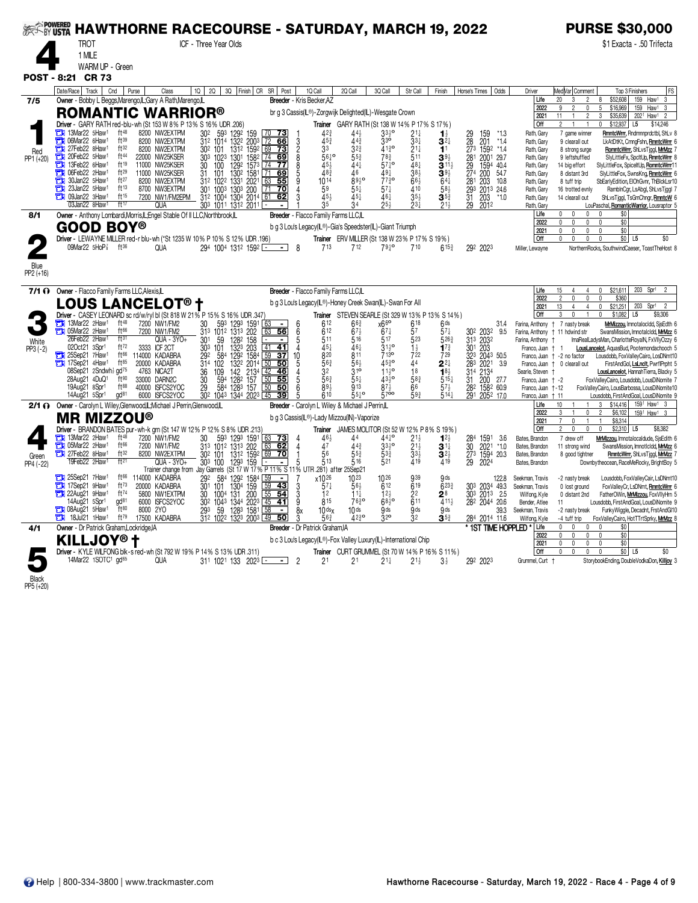|                    |                                                                                     |                                                             | ‰‱‱ HAWTHORNE RACECOURSE - SATURDAY, MARCH 19, 2022                                              |                                               |                                                                                                     |                                                       |                                                 |                                             |                                     |                                                        |                                        | <b>PURSE \$30,000</b>                                                                                                                                            |
|--------------------|-------------------------------------------------------------------------------------|-------------------------------------------------------------|--------------------------------------------------------------------------------------------------|-----------------------------------------------|-----------------------------------------------------------------------------------------------------|-------------------------------------------------------|-------------------------------------------------|---------------------------------------------|-------------------------------------|--------------------------------------------------------|----------------------------------------|------------------------------------------------------------------------------------------------------------------------------------------------------------------|
|                    | <b>TROT</b>                                                                         |                                                             | ICF - Three Year Olds                                                                            |                                               |                                                                                                     |                                                       |                                                 |                                             |                                     |                                                        |                                        | \$1 Exacta - .50 Trifecta                                                                                                                                        |
|                    | 1 MILE                                                                              |                                                             |                                                                                                  |                                               |                                                                                                     |                                                       |                                                 |                                             |                                     |                                                        |                                        |                                                                                                                                                                  |
|                    | WARM UP - Green                                                                     |                                                             |                                                                                                  |                                               |                                                                                                     |                                                       |                                                 |                                             |                                     |                                                        |                                        |                                                                                                                                                                  |
|                    | POST - 8:21 CR 73                                                                   |                                                             |                                                                                                  |                                               |                                                                                                     |                                                       |                                                 |                                             |                                     |                                                        |                                        |                                                                                                                                                                  |
| 7/5                | Date/Race Track Cnd<br>Owner - Bobby L Beggs, Marengo, IL; Gary A Rath, Marengo, IL | Purse<br>Class                                              | 10 20 30 Finish CR SR Post                                                                       |                                               | 1Q Call<br>Breeder - Kris Becker, AZ                                                                | 2Q Call                                               | 3Q Cal                                          | Str Call                                    | Finish                              | Odds<br>Horse's Times                                  | Driver<br>Life                         | FS<br>Med Var  Comment<br>Top 3 Finishers<br>20<br>\$52,608<br>159 Haw1<br>3<br>$\mathbf{R}$<br>$\mathfrak{D}$<br>8                                              |
|                    | <b>ROMANTIC WARRIOR®</b>                                                            |                                                             |                                                                                                  |                                               | br g 3 Cassis(IL®)-Zorgwijk Delighted(IL)-Wesgate Crown                                             |                                                       |                                                 |                                             |                                     |                                                        | 2022                                   | 5<br>$\overline{2}$<br>\$16,969<br>Haw <sup>1</sup><br>9<br>0<br>159<br>3                                                                                        |
|                    | Driver - GARY RATH red-blu-wh (St 153 W 8% P 13% S 16% UDR .206)                    |                                                             |                                                                                                  |                                               |                                                                                                     | Trainer GARY RATH (St 138 W 14% P 17% S 17%)          |                                                 |                                             |                                     |                                                        | 2021<br>l Off                          | $\overline{2}$<br>3<br>2021 Haw1<br>11<br>$\overline{1}$<br>\$35,639<br>$\overline{2}$<br>\$12,937<br>0<br>L <sub>5</sub><br>\$14,246                            |
|                    | 13Mar22 5Haw <sup>1</sup><br>о<br>06Mar22 6Haw1                                     | $ft^{48}$<br>8200 NW2EXTPM<br>ft39                          | 302 593 1292 159 70<br>312 1014 1322 2003 72<br>302 101 1312 1592 69                             | 70, 73                                        | 42 <sub>3</sub>                                                                                     | $44\frac{1}{2}$                                       | $33\frac{1}{2}$ <sup>o</sup>                    | $21\frac{1}{4}$                             | $\mathbf{1}_{2}^{1}$                | 159<br>$*1.3$                                          | Rath, Gary                             | RmntcWrrr, Rndmnnprdctbl, ShLv 8<br>7 game winner                                                                                                                |
|                    | 27Feb22 8Haw1<br>a                                                                  | 8200 NW2EXTPM<br>8200 NW2EXTPM<br>ft32                      |                                                                                                  | 66<br>$\frac{1}{13}$                          | 3<br>$45\frac{3}{4}$<br>$\frac{2}{8}$<br>3 <sup>3</sup>                                             | $44\bar{3}$<br>32 <sup>3</sup>                        | $3^{30}$<br>4130                                | $\bar{3}3\frac{1}{4}$<br>$21\frac{1}{4}$    | $3^{2}$<br>11                       | 29<br>28<br>273<br>201<br>1592<br>*1.4<br>$*1.4$       | Rath, Gary<br>Rath, Gary               | 9 clearall out<br>LkAtDtKt, CmngFshn, RmntcWrr 6<br>RomntcWm, ShLvsTjggl, MrMzz<br>8 strong surge                                                                |
| Red<br>PP1 (+20)   | 20Feb22 5Haw1<br>О<br>13Feb22 6Haw1                                                 | ft44<br>22000 NW25KSER<br>ft19                              | 303 1023 1301 1582 74 69                                                                         |                                               | $56\frac{1}{4}$                                                                                     | $55\frac{3}{4}$                                       | 783                                             | 511                                         | $39\frac{1}{2}$                     | 281 2001 29.7                                          | Rath, Gary                             | 9 leftshuffled<br>SlyLittleFx, SpcltUp, RmntcWrrr 8                                                                                                              |
|                    | О<br>Ъ<br>06Feb22 2Haw1                                                             | 11000 NW25KSER<br>ft29<br>11000 NW25KSER                    | $\frac{30}{31}$<br>$\frac{100}{101}$                                                             | 1292 1573 74 77<br>1302 1581 71 69            | 45}<br>$48\bar{3}$                                                                                  | 441<br>46                                             | $57\frac{1}{4}$ <sup>o</sup><br>491             | 481<br>38 <sub>3</sub>                      | $3^{11}$<br>39 <sub>3</sub>         | 29 1594<br>274 200<br>1594 40.4<br>54.7                | Rath, Gary<br>Rath, Gary               | SlyLittleFox, SpiceltUp, RomntcWrr1<br>14 big effort<br>8 distant 3rd<br>SlyLittleFox, SwnsKng, RmntcWrr 6                                                       |
|                    | 30Jan22 5Haw1<br>о<br>23Jan22 5Haw1                                                 | ft27<br>8200 NW2EXTPM<br>ft13                               | 312 1022 1331 2021                                                                               | 63<br>55<br>$\sqrt{71}$<br>$\overline{70}$    | $10^{14}$<br>59                                                                                     | 8930                                                  | 7730                                            | $66\frac{1}{2}$<br>410                      | $64\frac{1}{4}$                     | 281 203<br>10.8                                        | Rath, Gary                             | SbEarlyEdition, EIOhGvnr, ThBlckLsr10<br>8 tuff trip                                                                                                             |
|                    | 09Jan22 3Haw <sup>1</sup>                                                           | 8700 NW3EXTPM<br>ft15<br>7200 NW1/FM2EPM                    | 301 1003<br>1303 200<br>312 1004 1304 2014 61                                                    | 62                                            | 454                                                                                                 | $55\frac{1}{4}$                                       | $57\frac{1}{4}$<br>461                          | $35\frac{1}{2}$                             | $58\frac{1}{2}$<br>$3^{5^3}$        | 293 2013 24.6<br>31 203 *1.0<br>29 2012<br>203<br>2012 | Rath, Gary<br>Rath, Gary               | 16 trotted evnly<br>RamblnCgr, LsAbgl, ShLvsTjggl 7<br>ShLvsTjggl, TsGmChngr, RmntcW<br>14 clearall out                                                          |
|                    | 03Jan22 8Haw1                                                                       | ft17<br><b>QUA</b>                                          | $30^3$ 1011 1312 2011                                                                            |                                               |                                                                                                     |                                                       | 254                                             | 234                                         | $21\frac{1}{2}$                     |                                                        | Rath, Gary                             | LouPaschal, RomanticWarrior, Lousraptor 5<br>0                                                                                                                   |
| 8/1                | Owner - Anthony Lombardi, Morris, L; Engel Stable Of II LLC, Northbrook, L          |                                                             |                                                                                                  |                                               | Breeder - Flacco Family Farms LLC,IL                                                                |                                                       |                                                 |                                             |                                     |                                                        | Life<br>2022                           | \$0<br>0<br>0<br>$\mathbf{0}$<br>\$0<br>0<br>0<br>$\mathbf 0$<br>0                                                                                               |
|                    | <b>GOOD BOY®</b>                                                                    |                                                             |                                                                                                  |                                               | b g 3 Lou's Legacy(IL®)-Gia's Speedster(IL)-Giant Triumph                                           | Trainer ERV MILLER (St 138 W 23% P 17% S 19%)         |                                                 |                                             |                                     |                                                        | 2021<br>l Off                          | $\mathbb O$<br>$\mathbf{0}$<br>\$0<br>0<br>$\Omega$<br>$\mathbf{0}$<br>\$0 <br>\$0<br>$\Omega$<br>$\mathbf{0}$<br>$\mathbf{0}$<br>L <sub>5</sub>                 |
|                    | 09Mar22 5HoP                                                                        | $ft^{36}$<br><b>QUA</b>                                     | Driver - LEWAYNE MILLER red-r blu-wh (*St 1235 W 10% P 10% S 12% UDR .196)<br>294 1004 1312 1592 |                                               | 713<br>-8                                                                                           | 712                                                   | 7910                                            | 710                                         | $615\frac{3}{4}$                    | 292 2023                                               | Miller, Lewayne                        | NorthernRocks, SouthwindCaeser, ToastTheHost 8                                                                                                                   |
|                    |                                                                                     |                                                             |                                                                                                  |                                               |                                                                                                     |                                                       |                                                 |                                             |                                     |                                                        |                                        |                                                                                                                                                                  |
| Blue<br>PP2 (+16)  |                                                                                     |                                                             |                                                                                                  |                                               |                                                                                                     |                                                       |                                                 |                                             |                                     |                                                        |                                        |                                                                                                                                                                  |
|                    |                                                                                     |                                                             |                                                                                                  |                                               |                                                                                                     |                                                       |                                                 |                                             |                                     |                                                        |                                        |                                                                                                                                                                  |
| 7/1 O              | Owner - Flacco Family Farms LLC, Alexis, IL                                         |                                                             |                                                                                                  |                                               | Breeder - Flacco Family Farms LLC,IL                                                                |                                                       |                                                 |                                             |                                     |                                                        | Life<br>2022                           | \$21,611<br>203 Spr1<br>15<br>0<br>\$360<br>2<br>$\mathbf{0}$<br>$\mathbf{0}$                                                                                    |
|                    | LOUS LANCELOT® †                                                                    |                                                             | Driver - CASEY LEONARD sc rd/w/ryl bl (St 818 W 21% P 15% S 16% UDR 347)                         |                                               | b g 3 Lou's Legacy(IL®)-Honey Creek Swan(IL)-Swan For All                                           | Trainer STEVEN SEARLE (St 329 W 13% P 13% S 14%)      |                                                 |                                             |                                     |                                                        | 2021<br>Off                            | 13<br>$\overline{4}$<br>$\overline{4}$<br>$\mathbf{0}$<br>\$21,251<br>203<br>Spr1<br>$\overline{2}$<br>\$1,082<br>3<br>$\mathbf{0}$<br>L <sub>5</sub><br>\$9,306 |
|                    | 13Mar22 2Haw <sup>1</sup>                                                           | ft48<br>7200 NW1/FM2                                        | 593 1293 1591<br>30                                                                              | 63<br>$\overline{\phantom{0}}$                | 612<br>6                                                                                            | $66\frac{3}{4}$                                       | x66                                             | 618                                         | 6 <sup>ds</sup>                     | 31.4                                                   | Farina, Anthony                        | MrMizzou, Imnotalocidd, SjsEdth 6<br>+ 7 nasty break                                                                                                             |
|                    | 05Mar22 2Haw1<br>26Feb22 2Haw1                                                      | ft66<br>7200 NW1/FM2<br>ft31<br>$QUA - 3YO +$               | 313 1012 1313 202                                                                                | 63<br>56<br>۰.<br>$\blacksquare$              | 612<br>6<br>511                                                                                     | $67\frac{1}{2}$<br>516                                | $67\frac{1}{4}$<br>$5^{17}$                     | 57<br>523                                   | $57\frac{1}{4}$<br>5263             | 302 2032<br>9.5                                        | Farina, Anthony<br>Farina, Anthony     | SwansMission, ImnotalcIdd, MrMzz 6<br>11 hdwind str<br>ImaRealLadysMan, CharlotteRoyalN, FxVIIyOzzy 6                                                            |
| White<br>$PP3(-2)$ | 02Oct21 3Spr1                                                                       | ft72<br>3333 ICF 2CT                                        | $\frac{30^{1}}{30^{3}}$ 101<br>128 <sup>2</sup> 158<br>132 <sup>3</sup> 203                      | $\overline{41}$<br>$-41$                      | $\frac{5}{4}$<br>45}                                                                                | 461                                                   | $31^{19}$                                       | $\frac{1}{2}$<br>722                        | $1^{7^3}$                           | 31 <sup>3</sup> 203 <sup>2</sup><br>301 203            | Franco, Juan                           | LousLancelot, AquasBud, Pootemondachooch 5<br>$\ddagger$                                                                                                         |
|                    | 25Sep21 7Haw1<br>17Sep21 4Haw <sup>1</sup>                                          | ft66<br>114000 KADABRA<br>ft85<br>20000 KADABRA             | 292 584<br>1292 1584<br>314 102                                                                  | $\overline{59}$<br>37<br>10                   | 820<br>563<br>5                                                                                     | 811<br>56}                                            | 7130<br>$45^{30}$                               | 44                                          | 729<br>$2^{2}$                      | 323 2043 50.5<br>3.9                                   |                                        | Franco, Juan + -2 no factor<br>Lousdobb, FoxValleyCairo, LosDNmt10<br>FirstAndGol, LsLnclt, PwrflPrpht 5<br>Franco, Juan + 0 clearall out                        |
|                    | 08Sep21 2Sndwh <sub>2</sub> gd <sup>75</sup>                                        | 4763 NICA2T                                                 | 109<br>$\frac{36}{30}$                                                                           | 132 <sup>2</sup> 2014 50 50<br>142 2134 42 46 | $32^{\circ}$                                                                                        | $31^{\circ}$                                          | $1\frac{1}{2}$                                  | 18                                          | $\overline{1}8\frac{1}{2}$          | 283 2021<br>314 2134                                   | Searle, Steven +                       | LousLancelot, Hannah Tierra, Blacky 5                                                                                                                            |
|                    | 28Aug21 4DuQ1<br>19Aug21 8Spr1                                                      | ft90<br>33000 DARN2C<br>ft88<br>40000 ISFCS2YOC             | 594<br>1282 157                                                                                  | 50<br>55<br>50                                | 563<br>893                                                                                          | 551<br>913                                            | $43\frac{1}{2}$ <sup>o</sup><br>$87\frac{1}{2}$ | 583<br>66                                   | $515\frac{1}{4}$<br>$57\frac{1}{2}$ | 31 200<br>27.7<br>282 1582 60.9                        | Franco, Juan + -2<br>Franco, Juan +-12 | FoxValleyCairo, Lousdobb, LousDiNomite 7<br>FoxValleyCairo, LousBarbossa, LousDiNomite10                                                                         |
|                    | 14Aug21 5Spr1                                                                       | gd <sup>81</sup><br>6000 ISFCS2YOC                          | 29 584 1283 157 50<br>302 1043 1344 2023 45                                                      | 39                                            | 610                                                                                                 | $55\frac{1}{4}$ °                                     | 570                                             | 593                                         | $5^{14}$                            | 291 2052 17.0                                          | Franco, Juan + 11                      | Lousdobb, FirstAndGoal, LousDiNomite 9                                                                                                                           |
|                    | 2/1 O Owner - Carolyn L Wiley, Glenwood, L; Michael J Perrin, Glenwood, L           |                                                             |                                                                                                  |                                               | Breeder - Carolyn L Wiley & Michael J Perrin, L                                                     |                                                       |                                                 |                                             |                                     |                                                        | Life<br>2022                           | \$14,416<br>1591 Haw1 3<br>10<br>3<br>3<br>\$6,102<br>$\mathbf 0$<br>$\overline{2}$<br>1591 Haw1 3                                                               |
|                    | <b>MR MIZZOU®</b>                                                                   |                                                             |                                                                                                  |                                               | b g 3 Cassis(IL®)-Lady Mizzou(IN)-Vaporize                                                          |                                                       |                                                 |                                             |                                     |                                                        | 2021                                   | $\mathbf{0}$<br>\$8,314                                                                                                                                          |
|                    | 13Mar22 2Haw1                                                                       | ft48<br>7200 NW1/FM2                                        | Driver - BRANDON BATES pur-wh-k grn (St 147 W 12% P 12% S 8% UDR 213)<br>593 1293 1591<br>30     | $63$ 73                                       | 46}                                                                                                 | Trainer JAMES MOLITOR (St 52 W 12% P 8% S 19%)<br>44  | 44 <sup>1</sup>                                 | $21\frac{1}{2}$                             | 12 <sub>3</sub>                     | 284 1591 3.6                                           | l Off<br>Bates, Brandon                | $\mathbf 0$<br>\$2,310<br>2<br>$\mathbf 0$<br>L <sub>5</sub><br>\$8,382<br>0<br>7 drew off<br>MrMizzou, Imnotalocaldude, SisEdith 6                              |
|                    | 05Mar22 2Haw1                                                                       | ft66<br>7200 NW1/FM2                                        | 313 1012 1313 202                                                                                | 62<br>$\frac{63}{69}$                         | 47<br>4                                                                                             | 44 <sup>3</sup>                                       | $33^{10}$                                       | $21\frac{1}{2}$<br>$33\frac{1}{2}$<br>$419$ | $3^{\frac{11}{4}}$                  | 2021<br>$*1.0$                                         | Bates, Brandon                         | 11 strong wind<br>SwansMission, ImnotIcIdd, MrMzz 6                                                                                                              |
| Green<br>PP4 (-22) | 27Feb22 8Haw1<br>19Feb22 2Haw <sup>1</sup>                                          | ft32<br>8200 NW2EXTPM<br>ft <sup>21</sup><br>QUA - 3YO+     | 30 <sup>2</sup> 101<br>30 <sup>3</sup> 100<br>1312 1592<br>1293 159                              | $\overline{70}$                               | 56<br>513                                                                                           | 55 <sup>3</sup><br>516                                | $5^{3\frac{3}{4}}$<br>521                       |                                             | $3^{21}$<br>419                     | $\frac{30}{27^3}$<br>1594<br>20.3<br>2024              | Bates, Brandon<br>Bates, Brandon       | 8 good tightner<br>RmntcWm, ShLvsTjggl, MrMzz 7<br>Downbytheocean, RaceMeRocky, BrightBoy 5                                                                      |
|                    | 25Sep21 7Haw1                                                                       | ft66<br>114000 KADABRA                                      | Trainer change from Jay Garrels (St 17 W 17% P 11% S 11% UTR 281) after 25Sep21                  | $\overline{\phantom{a}}$                      |                                                                                                     |                                                       |                                                 | 939                                         |                                     |                                                        |                                        |                                                                                                                                                                  |
|                    | П<br>17Sep21 9Haw1                                                                  | $ft^{73}$<br>20000 KADABRA                                  | $129^2$ 1584<br>1304<br>1304<br>131<br>200<br>55<br>1344<br>2023<br>45<br>292<br>584<br>301 101  | <u>43</u>                                     | x1026<br>$57\frac{1}{4}$                                                                            | 1023<br>$56\frac{1}{2}$                               | 1026<br>612                                     | 619                                         | 9 <sub>ds</sub><br>$6^{23}$         | 122.8<br>303 2034 49.3                                 | Seekman, Travis<br>Seekman, Travis     | Lousdobb, FoxValleyCair, LsDNmt10<br>-2 nasty break<br>0 lost ground<br>FoxValleyCr, LsDNmt, RmntcWrr 6                                                          |
|                    | 22Aug21 9Haw1<br>٣ij<br>14Aug21 5Spr1                                               | ft74<br>5800 NW1EXTPM<br>gd <sup>81</sup><br>6000 ISFCS2YOC | 1004 131 200<br>30                                                                               | $\overline{54}$<br>$\overline{41}$            | 3<br>12<br>9<br>815                                                                                 | $11\frac{1}{4}$<br>7630                               | 12 <sub>3</sub><br>$68^{10}$                    | 22<br>611                                   | $2^8$<br>411}                       | 303 2013 2.5<br>282 2044 20.6                          | Wilfong, Kyle                          | FatherOWin, MrMizzou, FoxVIIyHrn 5<br>0 distant 2nd                                                                                                              |
|                    | 13 08Aug21 5Haw1                                                                    | $ft^{80}$<br>8000 2YO                                       | $\frac{1344}{128^3}$ $\frac{2023}{1581}$<br>$\frac{30^2}{29^3}$ $\frac{104^3}{59}$               | 58<br>$\overline{\phantom{a}}$                | $10$ ds $x$                                                                                         | 10 <sub>ds</sub>                                      | 9 <sub>ds</sub>                                 | <b>g</b> ds                                 | 9ds                                 | 39.3                                                   | Bender, Atlee<br>Seekman, Travis       | Lousdobb, FirstAndGoal, LousDiNomite 9<br>11<br>-2 nasty break<br>FunkyWiggle, Decadnt, FrstAndGI10                                                              |
|                    | п<br>18Jul21 1Haw <sup>1</sup>                                                      | $ft^{79}$<br>17500 KADABRA                                  | 312 1022 1323 2003 49                                                                            | 50                                            | 56 <sup>3</sup>                                                                                     | 4230                                                  | 32 <sup>o</sup>                                 | 32                                          | $3^{5}{}_{2}$                       | 284 2014 11.6                                          | Wilfong, Kyle<br>Life                  | FoxValleyCairo, HotTTrtSprky, MrMzz 8<br>-4 tuff trip<br>$\mathbf{0}$<br>$\mathbf 0$<br>$\mathbb O$<br>$\mathbf{0}$                                              |
| 4/1                | Owner - Dr Patrick Graham, Lockridge, IA                                            |                                                             |                                                                                                  |                                               | Breeder - Dr Patrick Graham, IA<br>b c 3 Lou's Legacy(IL®)-Fox Valley Luxury(IL)-International Chip |                                                       |                                                 |                                             |                                     | * 1ST TIME HOPPLED *                                   | 2022                                   | \$0<br>\$0<br>$\mathbf 0$<br>$\mathbf 0$<br>$\pmb{0}$<br>$\mathbf{0}$                                                                                            |
|                    | <b>KILLJOY®</b>                                                                     |                                                             | Driver - KYLE WILFONG blk-s red-wh (St 792 W 19% P 14% S 13% UDR .311)                           |                                               |                                                                                                     | <b>Trainer</b> CURT GRUMMEL (St 70 W 14% P 16% S 11%) |                                                 |                                             |                                     |                                                        | 2021<br>Off                            | \$0<br>$\mathbf{0}$<br>0<br>0<br>0<br>\$0 L5<br>\$0<br>0<br>$\mathbf{0}$<br>$\mathbf{0}$                                                                         |
|                    | 14Mar22 1SOTC1 gd65                                                                 | <b>QUA</b>                                                  | 311 1021 133 2023                                                                                |                                               | 2 <sup>1</sup><br>2                                                                                 | 2 <sup>1</sup>                                        | $21\frac{1}{4}$                                 | $21\frac{1}{2}$                             | $3\frac{1}{2}$                      | 292 2023                                               | Grummel, Curt +                        | StorybookEnding, DoubleVodkaDon, Killjoy 3                                                                                                                       |
|                    |                                                                                     |                                                             |                                                                                                  |                                               |                                                                                                     |                                                       |                                                 |                                             |                                     |                                                        |                                        |                                                                                                                                                                  |
| Black              |                                                                                     |                                                             |                                                                                                  |                                               |                                                                                                     |                                                       |                                                 |                                             |                                     |                                                        |                                        |                                                                                                                                                                  |

PP5 (+20)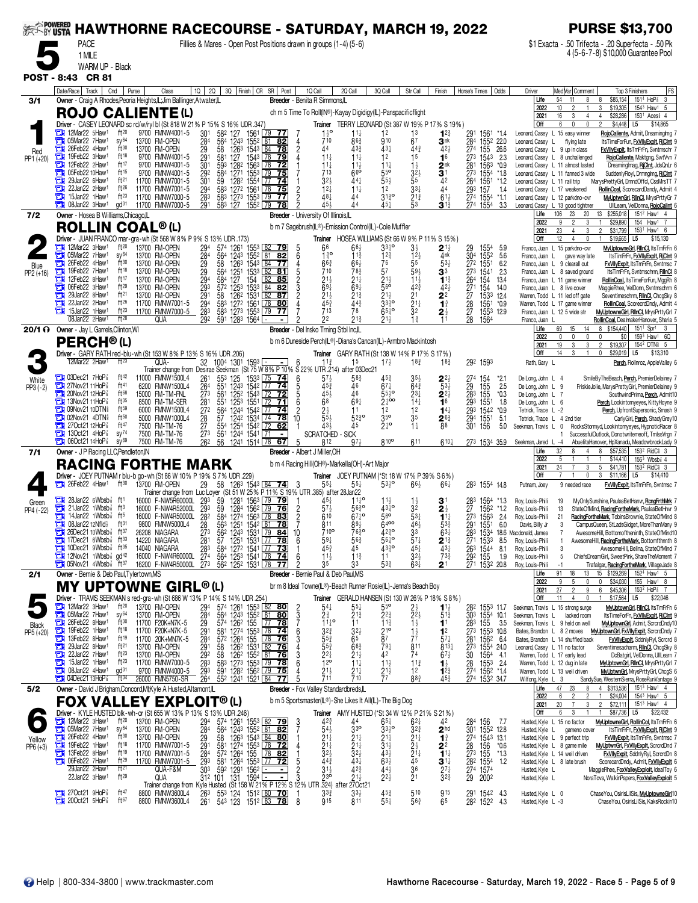| <b>SEEF-BY USTA</b>  |                                                                                                                                                                                                                                                                                                                                                                                                         |                                                                                                                                                                                                                                                                                                                                                                                                              |                                                                                                              | <b>HAWTHORNE RACECOURSE - SATURDAY, MARCH 19, 2022</b>                                                                                                                                                                                                                                                                                                                      |                                                                                                                                                                                                                                   |                                                                                                                                                 |                                                                                                                                                                                                                                                                                                                                                    |                                                                                                                                                                             |                                                                                                                                                                                                                                 |                                                                                                                                                                                                                                                                   |                                                                                                                                                                                                                      | <b>PURSE \$13,700</b>                                                                                                                                                                                                                                                                                                                                                                                                                                                                                                                 |
|----------------------|---------------------------------------------------------------------------------------------------------------------------------------------------------------------------------------------------------------------------------------------------------------------------------------------------------------------------------------------------------------------------------------------------------|--------------------------------------------------------------------------------------------------------------------------------------------------------------------------------------------------------------------------------------------------------------------------------------------------------------------------------------------------------------------------------------------------------------|--------------------------------------------------------------------------------------------------------------|-----------------------------------------------------------------------------------------------------------------------------------------------------------------------------------------------------------------------------------------------------------------------------------------------------------------------------------------------------------------------------|-----------------------------------------------------------------------------------------------------------------------------------------------------------------------------------------------------------------------------------|-------------------------------------------------------------------------------------------------------------------------------------------------|----------------------------------------------------------------------------------------------------------------------------------------------------------------------------------------------------------------------------------------------------------------------------------------------------------------------------------------------------|-----------------------------------------------------------------------------------------------------------------------------------------------------------------------------|---------------------------------------------------------------------------------------------------------------------------------------------------------------------------------------------------------------------------------|-------------------------------------------------------------------------------------------------------------------------------------------------------------------------------------------------------------------------------------------------------------------|----------------------------------------------------------------------------------------------------------------------------------------------------------------------------------------------------------------------|---------------------------------------------------------------------------------------------------------------------------------------------------------------------------------------------------------------------------------------------------------------------------------------------------------------------------------------------------------------------------------------------------------------------------------------------------------------------------------------------------------------------------------------|
|                      | <b>PACE</b><br>1 MILE                                                                                                                                                                                                                                                                                                                                                                                   |                                                                                                                                                                                                                                                                                                                                                                                                              |                                                                                                              | Fillies & Mares - Open Post Positions drawn in groups (1-4) (5-6)                                                                                                                                                                                                                                                                                                           |                                                                                                                                                                                                                                   |                                                                                                                                                 |                                                                                                                                                                                                                                                                                                                                                    |                                                                                                                                                                             |                                                                                                                                                                                                                                 |                                                                                                                                                                                                                                                                   |                                                                                                                                                                                                                      | \$1 Exacta - .50 Trifecta - .20 Superfecta - .50 Pk<br>4 (5-6-7-8) \$10,000 Guarantee Pool                                                                                                                                                                                                                                                                                                                                                                                                                                            |
|                      | WARM UP - Black                                                                                                                                                                                                                                                                                                                                                                                         |                                                                                                                                                                                                                                                                                                                                                                                                              |                                                                                                              |                                                                                                                                                                                                                                                                                                                                                                             |                                                                                                                                                                                                                                   |                                                                                                                                                 |                                                                                                                                                                                                                                                                                                                                                    |                                                                                                                                                                             |                                                                                                                                                                                                                                 |                                                                                                                                                                                                                                                                   |                                                                                                                                                                                                                      |                                                                                                                                                                                                                                                                                                                                                                                                                                                                                                                                       |
|                      | POST - 8:43 CR 81<br>Date/Race   Track   Cnd                                                                                                                                                                                                                                                                                                                                                            | Purse<br>Class                                                                                                                                                                                                                                                                                                                                                                                               |                                                                                                              | 10   20   30   Finish   CR SR   Post                                                                                                                                                                                                                                                                                                                                        | 1Q Call                                                                                                                                                                                                                           | 2Q Call                                                                                                                                         | 3Q Call<br>Str Call                                                                                                                                                                                                                                                                                                                                | Finish                                                                                                                                                                      | Horse's Times   Odds                                                                                                                                                                                                            | Driver                                                                                                                                                                                                                                                            | Med Var Comment                                                                                                                                                                                                      | FS<br>Top 3 Finishers                                                                                                                                                                                                                                                                                                                                                                                                                                                                                                                 |
| 3/1                  |                                                                                                                                                                                                                                                                                                                                                                                                         | Owner - Craig A Rhodes, Peoria Heights, L; Jim Ballinger, Atwater, L<br><b>ROJO CALIENTE (L)</b><br>Driver - CASEY LEONARD sc rd/w/ryl bl (St 818 W 21% P 15% S 16% UDR .347)                                                                                                                                                                                                                                |                                                                                                              |                                                                                                                                                                                                                                                                                                                                                                             | Breeder - Benita R Simmons,IL<br>ch m 5 Time To Roll(IN®)-Kayay Digidigy(IL)-Panspacificflight                                                                                                                                    |                                                                                                                                                 | Trainer TERRY LEONARD (St 387 W 19% P 17% S 19%)                                                                                                                                                                                                                                                                                                   |                                                                                                                                                                             |                                                                                                                                                                                                                                 | Life<br>2022<br>2021<br>Off                                                                                                                                                                                                                                       | 54<br>11<br>8<br>10<br>16<br>3<br>6<br>$\mathbf 0$                                                                                                                                                                   | 151 <sup>4</sup> HoP <sup>3</sup><br>\$85,154<br>-3<br>8<br>3<br>\$19,305<br>1543 Haw1 5<br>153 <sup>1</sup> Aces <sup>§</sup> 4<br>\$28,286<br>$\overline{4}$<br>\$4,448<br>\$14,865<br>L5                                                                                                                                                                                                                                                                                                                                           |
| Red<br>PP1 (+20)     | 12Mar22 5Haw1<br>05Mar22 7Haw1<br>о<br>О<br>26Feb22 4Haw1<br>о<br>19Feb22 3Haw <sup>1</sup><br>12Feb22 2Haw1<br>Ē١<br>05Feb22 10Haw <sup>1</sup><br>ш<br>29Jan22 6Haw1<br>22Jan22 2Haw <sup>1</sup><br>15Jan22 1Haw <sup>1</sup><br>a<br>08Jan22 3Haw <sup>1</sup><br>٣IJ                                                                                                                               | ft20<br>9700 FMNW4001-5<br>$SV^{64}$<br>13700 FM-OPEN<br>ft30<br>13700 FM-OPEN<br>$ft^{18}$<br>9700 FMNW4001-5<br>ft17<br>9700 FMNW4001-5<br>ft15<br>9700 FMNW4001-5<br>ft <sup>21</sup><br>11700 FMNW7001-5<br>$ft^{26}$<br>11700 FMNW7001-5<br>$ft^{23}$<br>11700 FMNW7000-5<br>$\mathsf{qd}^{31}$<br>11700 FMNW7000-5                                                                                     | 301<br>284<br>29<br>$\frac{29}{30}$<br>292<br>301<br>294<br>283<br>291                                       | 582 127<br>1561<br>79<br>564<br>1243<br>81<br>1552<br>58<br>1263 1543 84<br>581<br>127<br>1543 78<br>1282 1563<br>$\sqrt{78}$<br>593<br>584<br>1271 1553<br>$\sqrt{79}$<br>59<br>1282 1554 77<br>583 1272 1561<br>583 1273 1553<br>78<br>l 79<br>583 127<br>1552 79                                                                                                         | $1\frac{1}{2}$ <sup>o</sup><br>771<br>710<br>82<br>4<br>44<br>78<br>$11\frac{1}{4}$<br>79<br>$11\frac{1}{4}$<br><u>72</u><br>713<br>75<br>3 <sup>2</sup><br>74<br>$12\frac{1}{4}$<br>75<br>481<br>$\overline{77}$<br>45.<br>78    | 11‡<br>$86\frac{3}{4}$<br>433<br>11‡<br>$11\frac{1}{2}$<br>660<br>441<br>$11\frac{1}{4}$                                                        | 1 <sup>2</sup><br>1 <sup>3</sup><br>67<br>910<br>431<br>$44\frac{3}{4}$<br>1 <sub>5</sub><br>12<br>$\begin{array}{c}\n 1\frac{1}{2} \\  3\frac{2}{2} \\  5\n \end{array}$<br>$11\frac{1}{4}$<br>$55^{\circ}$<br>$55\frac{1}{2}$<br>$33\frac{1}{4}$<br>1 <sup>2</sup><br>$21\frac{3}{4}$<br>$31\frac{3}{4}$ <sup>o</sup><br>45}<br>53               | $1^{2^{3}}$<br>Зnk<br>42}<br>1 <sup>6</sup><br>$3^{\frac{n}{1}}$<br>42<br>44<br>$61\frac{1}{2}$<br>$3^{13}$                                                                 | 291<br>1561<br>*14<br>284<br>1552 22.0<br>274 155 26.6<br>273 1543<br>2.3<br>281 1563<br>$*0.9$<br>$\overline{27}$ <sup>3</sup><br>1554<br>*1.8<br>264<br>1561<br>*1.2<br>293 157<br>274 1554<br>1.4<br>*1.1<br>274 1554<br>3.3 | Leonard, Casey<br>Leonard, Casey L<br>Leonard, Casey L 9 up in class<br>Leonard, Casey L 8 unchallenged<br>Leonard, Casey L 11 rail trip<br>Leonard, Casey L 17 weakened<br>Leonard, Casey L 12 parkdno-cvr<br>Leonard, Casey L 13 good tightner                  | L 15 easy winner<br>flying late<br>Leonard, Casey L 11 almost lasted<br>Leonard, Casey L 11 fanned 3 wide                                                                                                            | RojoCaliente, Admit, DreamingImg 7<br>ItsTimeForFun, ExVIIvExplt, RiCInt 9<br>FxVIIyExpIt, ItsTmFrFn, Svntmschr 7<br>RojoCaliente, Maktgng, SwtVvn 7<br>DreamingImag, RiCInt, JdsQnLr 6<br>SuddenlyRoyl, Drmnglmg, RiCInt 7<br>MarysPrettyGrl, DmndOffcl, CssMrsTT 7<br>RollinCoal, ScorecardDandy, Admit 4<br>MyUptwnGrl, RilnCl, MrysPrttyGr 7<br>UllLearn, VelDonna, RojoCalint 6                                                                                                                                                  |
| 7/2                  | Owner - Hosea B Williams, Chicago, IL                                                                                                                                                                                                                                                                                                                                                                   |                                                                                                                                                                                                                                                                                                                                                                                                              |                                                                                                              |                                                                                                                                                                                                                                                                                                                                                                             | Breeder - University Of Illinois,IL<br>b m 7 Sagebrush(IL®)-Emission Control(IL)-Cole Muffler                                                                                                                                     |                                                                                                                                                 |                                                                                                                                                                                                                                                                                                                                                    |                                                                                                                                                                             |                                                                                                                                                                                                                                 | Life<br>2022                                                                                                                                                                                                                                                      | 106<br>23<br>20<br>g<br>3                                                                                                                                                                                            | 151 <sup>2</sup> Haw <sup>1</sup> 4<br>\$255,018<br>13<br>\$29,890<br>154<br>Haw <sup>1</sup>                                                                                                                                                                                                                                                                                                                                                                                                                                         |
|                      |                                                                                                                                                                                                                                                                                                                                                                                                         | <b>ROLLIN COAL®(L)</b><br>Driver - JUAN FRANCO mar-gra-wh (St 568 W 8% P 9% S 13% UDR .173)                                                                                                                                                                                                                                                                                                                  |                                                                                                              |                                                                                                                                                                                                                                                                                                                                                                             |                                                                                                                                                                                                                                   |                                                                                                                                                 | Trainer HOSEA WILLIAMS (St 66 W 9% P 11% S 15%)                                                                                                                                                                                                                                                                                                    |                                                                                                                                                                             |                                                                                                                                                                                                                                 | 2021<br>Off                                                                                                                                                                                                                                                       | 23<br>$\overline{4}$<br>3<br>12<br>4<br>0                                                                                                                                                                            | $\overline{2}$<br>\$31,799<br>153 <sup>1</sup> Haw <sup>1</sup> 6<br>\$19,665<br>L5<br>\$15,130                                                                                                                                                                                                                                                                                                                                                                                                                                       |
| Blue<br>$PP2 (+16)$  | 12Mar22 3Haw <sup>1</sup><br>Ō<br>05Mar22 7Haw1<br>26Feb22 4Haw1<br>CN<br>Ъ<br>19Feb22 7Haw1<br>12Feb22 8Haw1<br>06Feb22 3Haw1<br>曲<br>29Jan22 8Haw1<br>о<br>22Jan22 2Haw <sup>1</sup><br>15Jan22 1Haw <sup>1</sup><br>08Jan22 2Haw <sup>1</sup>                                                                                                                                                        | $ft^{20}$<br>13700 FM-OPEN<br>SV <sup>64</sup><br>13700 FM-OPEN<br>ft30<br>13700 FM-OPEN<br>ft18<br>13700 FM-OPEN<br>ft17<br>13700 FM-OPEN<br>ft29<br>13700 FM-OPEN<br>ft21<br>13700 FM-OPEN<br>$ft^{26}$<br>11700 FMNW7001-5<br>$ft^{23}$<br>11700 FMNW7000-5<br>$ft^{28}$<br><b>QUA</b>                                                                                                                    | $\frac{294}{284}$<br>29<br>29<br>29 <sup>4</sup><br>293<br>$\frac{29}{29}$ <sup>1</sup><br>283<br>292        | $\frac{574}{564}$<br>1261 1553<br>1243 1552<br>82 79<br>  81<br>58<br>1263 1543 84<br>564<br>125 <sup>1</sup> 153 <sup>3</sup> 82 <b>81</b><br>127 154 82 <b>85</b><br>584<br>572 1253 1533 84<br>126 <sup>2</sup> 1531<br>127 <sup>2</sup> 1561<br>82<br>$\frac{58}{583}$<br>  78<br>583 1273 1553 79 77<br>591 1283 1564                                                  | 66<br>$\frac{5}{6}$<br>$1\frac{3}{4}$ <sup>o</sup><br>82<br>77<br>$66\frac{3}{4}$<br>710<br>5<br>$21$ <sup>1</sup><br>$69\frac{1}{4}$<br>-82<br>$2^{11}_{22}$<br>45 <sup>3</sup><br><u>87</u><br> 80 <br>713<br>22                | $66\frac{1}{2}$<br>$11\frac{3}{4}$<br>66}<br>78}<br>$21\frac{1}{4}$<br>691<br>$21\frac{3}{4}$<br>$\bar{4}4\frac{3}{4}$<br>78<br>21 <sub>3</sub> | $33\frac{1}{4}$ <sup>o</sup><br>$3\frac{1}{2}$<br>$1\frac{2}{2}$<br>$12\frac{3}{4}$<br>76<br>55<br>57<br>$\frac{59\frac{1}{2}}{11\frac{1}{2}}$<br>$\frac{21}{5}$ <sup>1</sup> / <sub>2</sub> <sup>60</sup><br>$\frac{42\frac{3}{4}}{21}$<br>$21\frac{1}{2}$<br>$\bar{3}3\bar{\dot{2}}$ °<br>$\bar{2}$ <sup>1</sup> <sup>1</sup><br>32<br>$65^{10}$ | $2^{1\frac{1}{2}}$<br>4nk<br>$53\frac{1}{2}$<br>3 <sup>3</sup><br>13<br>$42\frac{1}{2}$<br>$2^{2}_{1^{3}_{4}}$<br>$2\frac{1}{2}$                                            | 29 1554<br>304 1552<br>5.9<br>5.6<br>272 1551<br>6.2<br>273 1541<br>2.3<br>264<br>154<br>13.4<br>271<br>154<br>14.0<br>$\frac{27}{28}$<br>1533<br>12.4<br>1561<br>*0.9<br>1553 12.9<br>28<br>1564                               | Franco, Juan L<br>Franco, Juan L 8 live cover<br>Franco, Juan L 12 5 wide str<br>Franco, Juan L                                                                                                                                                                   | Franco, Juan L 15 parkdno-cvr<br>gave way late<br>Franco, Juan L 9 clearall out<br>Franco, Juan L 8 saved ground<br>Franco, Juan L 11 game winner<br>Warren, Todd L 11 led off gate<br>Warren, Todd L 17 game winner | MyUptowneGrl, RilnCl, ItsTmFrFn 6<br>ItsTimFrFn, FxVIIyExplt, RiCInt 9<br><b>FxVIIvExplt, ItsTmFrFn, Svntmsc 7</b><br>ItsTimFrFn, Svntmschrm, RilnCl 8<br>RollinCoal, ItsTimeForFun, MggRh 8<br>MaggieRhee, VelDonn, Svntmschrm 6<br>Seventimeschrm, RIInCI, ChcgSky 8<br>RollinCoal, ScorecrdDndy, Admit 4<br>MyUptowneGirl, RlInCl, MrysPrttyGrl 7<br>RollinCoal, DealmakerHanover, Sharia 5                                                                                                                                        |
|                      | 20/1 ( Owner - Jay L Garrels, Clinton, WI<br><b>PERCH®(L)</b>                                                                                                                                                                                                                                                                                                                                           |                                                                                                                                                                                                                                                                                                                                                                                                              |                                                                                                              |                                                                                                                                                                                                                                                                                                                                                                             | Breeder - Del Insko Trning Stbl Inc,IL<br>b m 6 Duneside Perch(IL®)-Diana's Cancan(IL)-Armbro Mackintosh                                                                                                                          |                                                                                                                                                 |                                                                                                                                                                                                                                                                                                                                                    |                                                                                                                                                                             |                                                                                                                                                                                                                                 | Life<br>2022                                                                                                                                                                                                                                                      | 69<br>15<br>14<br>$\mathbf 0$<br>0<br>$\mathbf{0}$                                                                                                                                                                   | 8 \$154,440<br>151 <sup>1</sup> Spr1 3<br>\$0 <br>1593 Haw1 6Q<br>$\mathbf{0}$                                                                                                                                                                                                                                                                                                                                                                                                                                                        |
|                      | 12Mar22 2Haw1                                                                                                                                                                                                                                                                                                                                                                                           | Driver - GARY RATH red-blu-wh (St 153 W 8% P 13% S 16% UDR .206)                                                                                                                                                                                                                                                                                                                                             |                                                                                                              |                                                                                                                                                                                                                                                                                                                                                                             |                                                                                                                                                                                                                                   |                                                                                                                                                 | Trainer GARY RATH (St 138 W 14% P 17% S 17%)                                                                                                                                                                                                                                                                                                       |                                                                                                                                                                             |                                                                                                                                                                                                                                 | 2021<br>Off                                                                                                                                                                                                                                                       | $\mathbf 3$<br>19<br>3<br>$\overline{3}$<br>14<br>$\mathbf{1}$                                                                                                                                                       | $\overline{2}$<br>\$19,307<br>154 <sup>2</sup> DTN \$5<br>$\overline{0}$<br>\$29,019 L5<br>\$13,310                                                                                                                                                                                                                                                                                                                                                                                                                                   |
| White<br>PP3 (-2)    | <b>THOP</b> 03Dec21 7HoP <sup>2</sup><br>О<br>27Nov21 11HoP <sup>3</sup><br>20Nov21 12HoP <sup>3</sup><br>戌<br>13Nov21 11HoP <sup>7</sup><br>с<br>09Nov21 10DTN<br>02Nov21 4DTN<br>曲<br>27Oct2112HoP<br>с<br>130ct21 $4H_0P_8^7$<br>己<br>$\frac{1}{200}$ 060ct21 14HoP $\frac{7}{8}$                                                                                                                    | $ft^{23}$<br>QUA-<br>ft42<br>11000 FMNW1500L4<br>ft41<br>6200 FMNW1500L4<br>ft68<br>15000 FM-TM-FNL<br>ft35<br>8500 FM-TM-SER<br>ft59<br>6000 FMNW1500L4<br>ft50<br>5000 FMNW1000L4<br>ft47<br>7500 FM-TM-76<br>SV <sup>74</sup><br>7500 FM-TM-76<br>SV <sup>69</sup><br>7500 FM-TM-76                                                                                                                       | 26 <sup>1</sup><br>264<br>273<br>281<br>272<br>28<br>$\frac{27}{273}$<br>$\overline{26}$ <sup>2</sup>        | 32 1004 1301 1593 $\equiv$<br>Trainer change from Desirae Seekman (St 75 W 8% P 10% S 22% UTR .214) after 03Dec21<br>$\frac{553}{551}$<br>125<br>1533<br>$\frac{75}{2}$ 74<br>1243 1542 77 74<br>561<br>1252 1543 72<br>1253 1551 72<br>551<br>564<br>1244 1542 77<br>1242 1534 74<br>57<br>1254 1542<br>$\sqrt{72}$<br>554<br>561<br>1244 1541 71<br>56<br>1241 1514 78 67 | $11\frac{3}{4}$<br>6<br>6<br>$45\frac{3}{4}$<br>453<br>72<br>68<br>71<br>$2\frac{1}{2}$<br>553<br>10<br> 78 <br>62<br>434<br><b>SCRATCHED</b><br>5<br>812                                                                         | 15<br>46<br>11<br>5230<br>45<br><b>SICK</b><br>971                                                                                              | $17\frac{1}{2}$<br>$18\frac{3}{4}$<br>$3^{5\frac{1}{2}}$<br>64 <sup>3</sup><br>$67\frac{1}{4}$<br>$2^{3\frac{1}{4}}$<br>$1^{4\frac{1}{4}}$<br>$1^{2}$<br>$55^{10}$<br>$\frac{2\frac{1}{4}^{\text{Do}}}{1^2}$<br>3 <sub>5</sub><br>35 <sup>o</sup><br>$2\frac{1}{4}$ <sup>o</sup><br>$1\frac{1}{4}$<br>810 <sup>o</sup><br>611                      | $18\frac{3}{4}$<br>$2^{21}_{5^{31}_{2}}$<br>$2^{2}$<br>1 <sup>6</sup><br>$14\frac{1}{4}$<br>$2^{6^3}$<br>88<br>$6^{10}$                                                     | 292 1593<br>274 154<br>29 155<br>283 155<br>*2.1<br>2.5<br>$*0.3$<br>293 1551 1.8<br>293 1542 *0.9<br>294<br>1551<br>5.1<br>301<br>156<br>5.0<br>273 1534 35.9                                                                  | Rath, Gary L<br>De Long, John L 4<br>De Long, John L 9<br>De Long, John L 7<br>De Long, John L 6<br>Tetrick, Trace L -2<br>Tetrick, Trace L 4 2nd tier<br>Seekman, Travis L 0<br>Seekman, Jared L -4                                                              |                                                                                                                                                                                                                      | Perch, Rollnroz, AppleValley 6<br>SmileByTheBeach, Perch, PremierDelainey 7<br>FriskieJolie, MarysPrettyGirl, PremierDelainey 9<br>SouthwindPrima, Perch, Admit10<br>Perch, Lookintomyeyes, KittyHoyne 9<br>Perch, UpfrontSupersonic, Smash 9<br>CarlyGirl, Perch, ShadyGrey10<br>RocksStormyd, Lookintomyeyes, HypnoticRacer 8<br>SuccessfulOutlook, Donotwritemeoff, TmlssVrgn 7<br>AbuelitaHanover, HpXanadu, MeadowbrookLady 9                                                                                                    |
| 7/1                  | Owner - J P Racing LLC, Pendleton, IN                                                                                                                                                                                                                                                                                                                                                                   | <b>RACING FORTHE MARK</b>                                                                                                                                                                                                                                                                                                                                                                                    |                                                                                                              |                                                                                                                                                                                                                                                                                                                                                                             | Breeder - Albert J Miller, OH<br>b m 4 Racing Hill(OH®)-Markella(OH)-Art Major                                                                                                                                                    |                                                                                                                                                 |                                                                                                                                                                                                                                                                                                                                                    |                                                                                                                                                                             |                                                                                                                                                                                                                                 | Life<br>2022                                                                                                                                                                                                                                                      | 32<br>8<br>4<br>5                                                                                                                                                                                                    | \$57,535<br>153 <sup>2</sup> RidC <sup>\$</sup> 3<br>8<br>$156^3$ Wbsb <sup>7</sup> 4<br>\$14,410                                                                                                                                                                                                                                                                                                                                                                                                                                     |
|                      | $26Feb22$ 4Haw <sup>1</sup>                                                                                                                                                                                                                                                                                                                                                                             | Driver - JOEY PUTNAM r blu-b go-wh (St 86 W 10% P 19% S 7% UDR .229)<br>ft30<br>13700 FM-OPEN                                                                                                                                                                                                                                                                                                                | 29                                                                                                           | 1263 1543 84 74 3<br>58<br>Trainer change from Luc Loyer (St 51 W 25% P 11% S 19% UTR 385) after 28Jan22                                                                                                                                                                                                                                                                    | $55+$                                                                                                                                                                                                                             | 551                                                                                                                                             | Trainer JOEY PUTNAM (*St 18 W 17% P 39% S 6%)<br>$53^{10}$<br>$66\frac{1}{2}$                                                                                                                                                                                                                                                                      | $66\frac{1}{4}$                                                                                                                                                             | 283 1554 14.8                                                                                                                                                                                                                   | 2021<br>Off<br>Putnam, Joey                                                                                                                                                                                                                                       | 24<br>3<br>$\mathbf 0$<br>9 needed race                                                                                                                                                                              | \$41,781<br>153 <sup>2</sup> RidC <sup>§</sup> 3<br>5<br>3<br>\$11,166<br>L5<br>\$14,410<br><b>FxVIIvExplt, ItsTmFrFn, Svntmsc 7</b>                                                                                                                                                                                                                                                                                                                                                                                                  |
| Green<br>PP4 (-22)   | о<br>28Jan22 6Wbsb <sup>2</sup> ft <sup>1</sup><br>21 Jan 22 $1$ Wbsb $\frac{7}{8}$<br>о<br>14Jan22 $1Wbsb\bar{s}$<br>08Jan22 12Nfld}<br>26Dec2110Wbsb ft <sup>37</sup><br>17Dec21 6Wbsb $\frac{7}{8}$ ft <sup>33</sup><br>т<br>10Dec21 $9Wbsb\bar{s}$ ft <sup>35</sup><br>CN<br>$\frac{1}{2}$ 12Nov21 1Wbsb <sup>2</sup> gd <sup>42</sup><br>$\frac{1}{2}$ 05Nov21 4Wbsb <sup>7</sup> ft <sup>37</sup> | 16000 F-NW5R60000L<br>ft <sup>3</sup><br>16000 F-NW4R52000L<br>ft5<br>16000 F-NW4R50000L<br>ft <sup>31</sup><br>9800 FMNW5000L4<br>26208 NIAGARA<br>14220 NIAGARA<br>14040 NIAGARA<br>16000 F-NW4R60000L                                                                                                                                                                                                     | 293<br>293<br>282<br>28<br>27 <sup>3</sup><br>$\frac{28}{28^3}$<br>28 <sup>3</sup><br>16200 F-NW4R50000L 273 | 59<br>1281 1563 79 79<br>59<br>1284<br>1562<br>79<br>584<br>1274 1563 78 83<br>1251 1542 81 78<br>563<br>562 1243 1531 79 84<br>57 1251 1531 77 78<br>584 1272 1541 77 73<br>564 1253 1541 78 74<br>562 1252 1531 78                                                                                                                                                        | 45+<br>76<br>$\frac{2}{2}$<br>$57\frac{1}{2}$<br>610<br>811<br>710 <sup>o</sup><br>10<br>6<br>$59\frac{1}{4}$<br>$45\frac{3}{4}$<br>$11\frac{1}{2}$<br>77<br>35                                                                   | $11^{19}$<br>56 <sup>30</sup><br>$67\frac{1}{4}$ <sup>o</sup><br>89}<br>7630<br>$\frac{563}{45}$<br>$11\frac{3}{4}$<br>33                       | $11\frac{1}{2}$<br>43 <sup>1</sup> °<br>32<br>56 <sup>o</sup><br>$53\frac{1}{4}$<br>6400<br>46}<br>4230<br>3 <sup>3</sup><br>$56^{10}$<br>$5^{7}_{4}$<br>45 <sup>1</sup><br>$43^{30}_{4}$<br>$3^{2\frac{1}{2}}$<br>11<br>$63\frac{1}{4}$<br>533                                                                                                    | 31<br>$2\frac{1}{2}$<br>$11_{4}$<br>$5^{3}$<br>$63\frac{1}{4}$<br>$2^{13}$<br>$43\frac{1}{4}$<br>$73\frac{3}{4}$<br>2 <sup>1</sup>                                          | 283<br>1564 *1.3<br>27<br>$*1.2$<br>1562<br>$\bar{2}7^3$<br>1563<br>2.4<br>291 1551 6.0<br>271 1533<br>263 1544<br>8.5<br>8.1<br>29 <sup>2</sup> 155 1.9<br>271 1532 20.8                                                       | Roy, Louis-Phili<br>Roy, Louis-Phili<br>Roy, Louis-Phili<br>Davis, Billy Jr<br>283 1534 18.6 Macdonald, James<br>Roy, Louis-Phili<br>Roy, Louis-Phili<br>Roy, Louis-Phili<br>Roy, Louis-Phili                                                                     | 19<br>13<br>21<br>3<br>-3<br>-1                                                                                                                                                                                      | MyOnlySunshine, PaulasBetHanvr, RongFrthMrk 7<br>StateOfMind, RacingFortheMark, PaulasBetHnvr 9<br>RacingFortheMark, TobinsBrownie, StateOfMind 8<br>CampusQueen, StLadsGidget, MoreThanMany 9<br>AwesomeHill, Bottomoftheninth, StateOfMind10<br>AwesomeHill, RacingFortheMark, Bottomfthnnth 8<br>AwesomeHill, Belina, StateOfMind 7<br>ChiefsDreamGirl, SweetPink, ShareTheMoment 7<br>Trafalgar, RacingFortheMark, VillageJade 8                                                                                                  |
| 2/1                  | Owner - Bernie & Deb Paul, Tylertown, MS                                                                                                                                                                                                                                                                                                                                                                | <b>MY UPTOWNE GIRL®(L)</b>                                                                                                                                                                                                                                                                                                                                                                                   |                                                                                                              |                                                                                                                                                                                                                                                                                                                                                                             | Breeder - Bernie Paul & Deb Paul, MS<br>br m 8 Ideal Towne(IL®)-Beach Runner Rosie(IL)-Jenna's Beach Boy                                                                                                                          |                                                                                                                                                 |                                                                                                                                                                                                                                                                                                                                                    |                                                                                                                                                                             |                                                                                                                                                                                                                                 | Life<br>2022                                                                                                                                                                                                                                                      | 91<br>18<br>13<br>9<br>5<br>0<br>2                                                                                                                                                                                   | 15 \$129,269 1524 Haw1 5<br>\$34,030<br>0<br>155 Haw <sup>1</sup> 8                                                                                                                                                                                                                                                                                                                                                                                                                                                                   |
| Black<br>PP5 (+20)   | $71$ 12Mar22 3Haw <sup>1</sup><br>О<br>05Mar22 7Haw1<br>26Feb22 8Haw1<br>a<br>19Feb22 1Haw1<br>Ъ<br>13Feb22 8Haw1<br>о<br>29Jan22 8Haw1<br>ЕИ<br>22Jan22 7Haw1<br>о<br>15Jan22 1Haw1<br>о<br>08Jan22 4Haw1<br>ЕИ<br>$7$ 04Dec21 13HoP $\frac{7}{8}$                                                                                                                                                     | Driver - TRAVIS SEEKMAN s red-gra-wh (St 686 W 13% P 14% S 14% UDR .254<br>$ft^{20}$<br>13700 FM-OPEN<br>sy <sup>64</sup><br>13700 FM-OPEN<br>$ft^{30}$<br>11700 F20K+N7K-5<br>ft 18<br>11700 F20K+N7K-5<br>$ft^{19}$<br>11700 20K+MN7K-5<br>ft <sup>21</sup><br>13700 FM-OPEN<br>$ft^{23}$<br>13700 FM-OPEN<br>ft $23$<br>11700 FMNW7000-5<br>$qd^{31}$<br>9700 FMNW4000-5<br>$ft^{34}$<br>26000 FMN5750-SR | 294<br>284<br>$\frac{29}{29}$<br>284<br>$\frac{29}{29}$ <sup>1</sup><br>283<br>$\frac{293}{264}$             | 574 1261 1553 82 80<br>564 1243 1552 81 80<br>574 1262 155 77 78<br>78 76<br>572 1264 155<br>1262 1531 82 76<br>1262 1552 81 76<br>58<br>58<br>583 1273 1553 79 78<br>591 1282 1562 79 75<br>591 1282 1562 79<br>552 1241 1521 84                                                                                                                                           | $54\frac{1}{4}$<br>$\begin{array}{c}\n2 \\ 3 \\ 7\n\end{array}$<br>$2\frac{3}{4}$<br>$11^{10}$<br>$3^{2^{3}}$<br>6<br>$55\frac{3}{4}$<br>3<br>$55\frac{3}{4}$<br>$2^{2}$<br>$\overline{1}$ 2 <sup>o</sup><br>$\frac{21}{7}$<br>77 | 55‡<br>$21\frac{3}{4}$<br>11<br>$3^{2}$<br>65<br>$66\frac{3}{4}$<br>$21\frac{1}{2}$<br>$11\frac{1}{4}$<br>$21\frac{1}{4}$<br>$\overline{7}$ 10  | <b>Trainer</b> GERALD HANSEN (St 130 W 26% P 18% S 8%)<br>55 <sup>o</sup><br>$2\frac{1}{2}$<br>$2^{2^{3}}$<br>$2^{2}$<br>$11\frac{3}{4}$<br>$1\frac{1}{2}$<br>$\frac{21^{3}}{8^{7}}$<br>$1\frac{1}{2}$<br>77<br>$79\frac{1}{4}$<br>811<br>74<br>42<br>$11\frac{3}{4}$<br>$11\frac{1}{2}$<br>$\frac{21}{7}$<br>12<br>$8^{83}$                       | $1^{1\frac{1}{2}}$<br>$5^{13}$<br>11.<br>1 <sup>2</sup><br>$57\frac{1}{4}$<br>$813\frac{1}{4}$<br>$67\frac{1}{2}$<br>$\mathbf{1}_{2}^{1}$<br>$1^{2^{3}}$<br>$45\frac{3}{4}$ | 282 1553 11.7<br>303 1554 10.1<br>283 155 3.5<br>273 1553 10.6<br>3.5<br>281 1562 6.4<br>$\frac{273}{30}$ 1554 24.0<br>28 1553 2.4<br>274 1562 *1.4<br>274 1532 34.7                                                            | 2021<br>Off<br>Seekman, Travis L 15 strong surge<br>Seekman, Travis L<br>Seekman, Travis L 9 held on well<br>Leonard, Casey L 11 no factor<br>Warren, Todd L 17 early lead<br>Warren, Todd L 12 dug in late<br>Warren, Todd L 13 well driven<br>Wilfong, Kyle L 3 | 27<br>9<br>11<br>4<br>0<br>lacked room<br>Bates, Brandon L 14 shuffled back                                                                                                                                          | \$45,306<br>6<br>153 <sup>2</sup> HoP <sup>2</sup> <sub>5</sub> 7<br>$$17,564$ L5<br>\$22,046<br>1<br>MyUptownGrl, RilnCl, ltsTmFrFn 6<br>ItsTimeForFn, FxVIIyExplt, RiCInt 9<br>MyUptownGrl, Admit, ScrcrdDndy10<br>Bates, Brandon L 8 2 moves MyUptownGrl, FxVIIyExplt, ScrcrdDndy 7<br><b>FxVllyExplt</b> , SddnlyRyl, Scrcrd 8<br>Seventimesacharm, RlinCl, ChcgSky 8<br>DcBatgirl, VelDonna, UllLearn 7<br>MyUptownGrl, RilnCl, MrysPrttyGrl 7<br>MyUptwnGrl, MrysPrttyGrl, ChcgS 6<br>SandySue, WesternSierra, RoseRunVantage 9 |
| 5/2                  |                                                                                                                                                                                                                                                                                                                                                                                                         | Owner - David J Brigham, Concord, MI; Kyle A Husted, Altamont, IL<br><b>FOX VALLEY EXPLOIT®(L)</b>                                                                                                                                                                                                                                                                                                           |                                                                                                              |                                                                                                                                                                                                                                                                                                                                                                             | Breeder - Fox Valley Standardbreds, L<br>b m 5 Sportsmaster(IL®)-She Likes It All(IL)-The Big Dog                                                                                                                                 |                                                                                                                                                 |                                                                                                                                                                                                                                                                                                                                                    |                                                                                                                                                                             |                                                                                                                                                                                                                                 | Life<br>2022                                                                                                                                                                                                                                                      | 47<br>23<br>8<br>6<br>2<br>$\overline{2}$<br>3                                                                                                                                                                       | \$313,536 151 <sup>3</sup> Haw <sup>1</sup> 4<br>$\overline{4}$<br>$\mathbf{1}$<br>\$24,004<br>$154^3$ Haw <sup>1</sup> 5<br>$\overline{c}$                                                                                                                                                                                                                                                                                                                                                                                           |
| Yellow<br>$PP6 (+3)$ | <b>External 12Mar22 3Haw1</b><br>05Mar22 7Haw1<br>а<br>26Feb22 4Haw1<br>Ъ<br>19Feb22 1Haw1<br>Ō<br>13Feb22 8Haw1<br>06Feb22 7Haw1<br>си<br>29Jan22 2Haw <sup>1</sup><br>22Jan22 3Haw1<br>270ct21 $9H_0P_8^T$<br>о                                                                                                                                                                                       | Driver - KYLE HUSTED blk-wh-or (St 655 W 13% P 13% S 13% UDR .246)<br>$ft^{20}$<br>13700 FM-OPEN<br>$sy^{64}$<br>13700 FM-OPEN<br>ft30<br>13700 FM-OPEN<br>$ft^{18}$<br>11700 FMNW7001-5<br>$ft^{19}$<br>11700 FMNW7001-5<br>$ft^{29}$<br>11700 FMNW7001-5<br>ft <sup>21</sup><br>ft29<br>ft47<br>8800 FMNW3600L4                                                                                            | $\frac{294}{284}$<br>29<br>$\frac{291}{284}$<br>303<br>QUA-F&M                                               | 574 1261 1553 82 79<br>1263 1543 84 80<br>58<br>581 1274 1553 78 72<br>572 1264 155 78 82<br>581 1264 1553 77 72<br>592 1291 1562<br>QUA $31^2$ 101 131 1594 $\frac{1}{2}$ 3 $2^{36}$ $2^{11}$<br>Trainer change from Kyle Husted (St 158 W 21% P 12% S 12% UTR 324) after 270 ct 21<br>553 124 1512 80                                                                     | $42\frac{3}{4}$<br>54<br>$21\frac{1}{4}$<br>$\frac{2}{3}$ <sup>1</sup> <sup>1</sup> / <sub>2</sub><br>44 <sub>3</sub><br>$31\frac{1}{2}$<br>$23\overline{0}$<br>$3^{3}$<br><u>70</u>                                              | 44<br>3 <sup>3</sup><br>$21\frac{1}{4}$<br>$21\frac{1}{4}$<br>$32\frac{1}{2}$<br>$43\frac{1}{4}$<br>42 <sub>3</sub><br>$33\frac{1}{2}$          | Trainer AMY HUSTED (*St 34 W 12% P 21% S 21%)<br>$65\frac{1}{4}$<br>$62\frac{1}{4}$<br>$33\frac{1}{2}$ <sup>o</sup><br>$3^{2^{3}}$<br>$21\frac{1}{4}$<br>$21\frac{1}{4}$<br>$\frac{2\frac{1}{2}}{2\frac{11}{4}}$<br>$3^{11}$<br>$43\frac{1}{2}$<br>$63\frac{1}{2}$<br>$44\frac{1}{2}$<br>36<br>2 <sup>1</sup><br>$2^{2}$<br>$45\frac{3}{4}$<br>510 | 42<br>2 <sup>hd</sup><br>$\mathbf{1}^3$<br>$2^2$<br>$11\frac{1}{4}$<br>$3^{11}$<br>$27\frac{1}{4}$<br>$3^{2^{3}}$<br>915                                                    | 284 156<br>- 7.7<br>301 1552 12.8<br>274 1543 13.1<br>28 156<br>273 155<br>*0.6<br>$*1.3$<br>282 1554<br>1.2<br>274 1574<br>29 2002<br>291 1542 4.3                                                                             | 2021<br>Off<br>Husted, Kyle L 15 no factor<br>Husted, Kyle L 14 well driven<br>Husted, Kyle L 8 late brush<br>Husted, Kyle L<br>Husted, Kyle L                                                                                                                    | 20<br>6<br>3<br>Husted, Kyle L gameno cover<br>Husted, Kyle L 9 perfect trip<br>Husted, Kyle L 8 game mile                                                                                                           | \$72,111<br>$151^3$ Haw <sup>1</sup> 4<br>\$87,736 L5<br>\$22,432<br>MyUptowneGirl, RollinCol, ItsTmFrFn 6<br>ItsTimFrFn, ExVIIyExplt, RiCInt 9<br><b>FxVIIyExpIt, ItsTmFrFn, Svntmsc 7</b><br>MyUptwnGrl, FxVllyExplt, ScrcrdDnd 7<br>FxVllyExplt, SddnlyRyl, ScrcrdDn 8<br>ScorecardDndy, Admit, FxVIIyExplt 6<br>MaggieRhee, FoxValleyExploit, IdealToy 6<br>NoraTova, WalkinPapers, FoxValleyExploit 5<br>ChaseYou, OsirisLilSis, MyUptowneGirl10                                                                                 |
|                      | 20Oct21 5HoP <sup>3</sup>                                                                                                                                                                                                                                                                                                                                                                               | ft67<br>8800 FMNW3600L4                                                                                                                                                                                                                                                                                                                                                                                      | 263                                                                                                          | 261 543 123<br>151 <sup>2</sup> 83 78                                                                                                                                                                                                                                                                                                                                       | 915<br>-8                                                                                                                                                                                                                         | 811                                                                                                                                             | 56}<br>$55\frac{1}{4}$                                                                                                                                                                                                                                                                                                                             | 65                                                                                                                                                                          | 282 1522 4.3                                                                                                                                                                                                                    | Husted, Kyle L 0<br>Husted, Kyle L -3                                                                                                                                                                                                                             |                                                                                                                                                                                                                      | ChaseYou, OsirisLilSis, KaksRockin10                                                                                                                                                                                                                                                                                                                                                                                                                                                                                                  |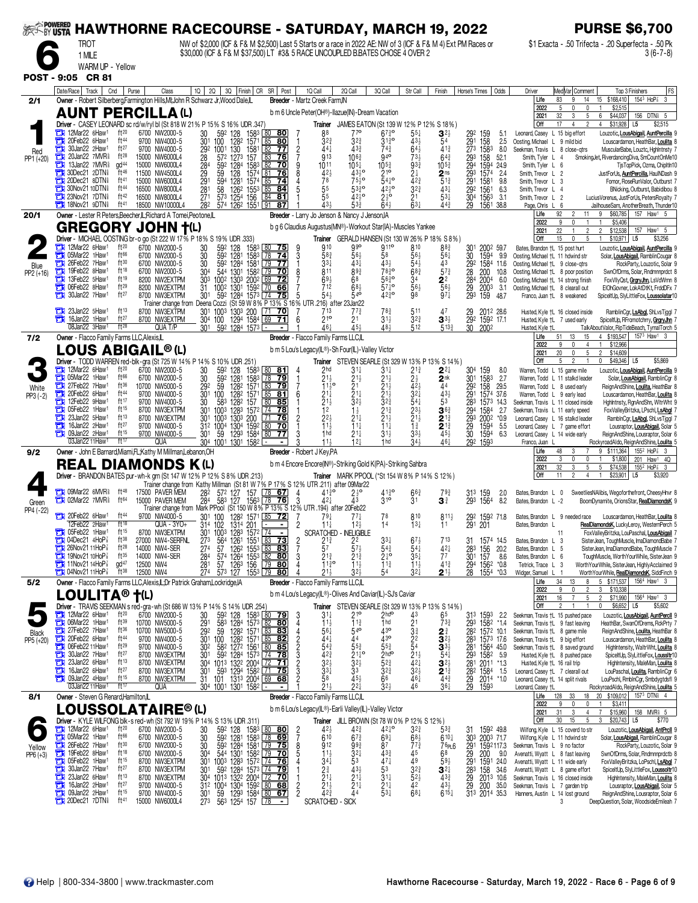|                      |                                                                                                          |                               |                                                                   | <b>HAWTHORNE RACECOURSE - SATURDAY, MARCH 19, 2022</b>                                                                                                                                         |                                                                                                                                                                                                                                                                                                                                                                |                                                                                           |                                                                   |                                                                          |                                                                              |                                                          |                                                                  | <b>PURSE \$6,700</b>                                                                                                                                                                                          |
|----------------------|----------------------------------------------------------------------------------------------------------|-------------------------------|-------------------------------------------------------------------|------------------------------------------------------------------------------------------------------------------------------------------------------------------------------------------------|----------------------------------------------------------------------------------------------------------------------------------------------------------------------------------------------------------------------------------------------------------------------------------------------------------------------------------------------------------------|-------------------------------------------------------------------------------------------|-------------------------------------------------------------------|--------------------------------------------------------------------------|------------------------------------------------------------------------------|----------------------------------------------------------|------------------------------------------------------------------|---------------------------------------------------------------------------------------------------------------------------------------------------------------------------------------------------------------|
|                      | <b>TROT</b><br>1 MILE                                                                                    |                               |                                                                   | NW of \$2,000 (ICF & F& M \$2,500) Last 5 Starts or a race in 2022 AE: NW of 3 (ICF & F& M 4) Ext PM Races or<br>\$30,000 (ICF & F& M \$37,500) LT #3& 5 RACE UNCOUPLED B.BATES CHOSE 4 OVER 2 |                                                                                                                                                                                                                                                                                                                                                                |                                                                                           |                                                                   |                                                                          |                                                                              |                                                          |                                                                  | \$1 Exacta - .50 Trifecta - .20 Superfecta - .50 Pk<br>3 (6-7-8)                                                                                                                                              |
|                      | WARM UP - Yellow                                                                                         |                               |                                                                   |                                                                                                                                                                                                |                                                                                                                                                                                                                                                                                                                                                                |                                                                                           |                                                                   |                                                                          |                                                                              |                                                          |                                                                  |                                                                                                                                                                                                               |
|                      | POST - 9:05 CR 81                                                                                        |                               |                                                                   |                                                                                                                                                                                                |                                                                                                                                                                                                                                                                                                                                                                |                                                                                           |                                                                   |                                                                          |                                                                              |                                                          |                                                                  |                                                                                                                                                                                                               |
| 2/1                  | Date/Race   Track  <br>Owner - Robert Silberberg,Farmington Hills,MI;John R Schwarz Jr, Wood Dale,IL     | Cnd<br>Purse                  | Class                                                             | 2Q<br>10 <sup>1</sup>                                                                                                                                                                          | 3Q   Finish   CR<br>SR   Post                                                                                                                                                                                                                                                                                                                                  | 1Q Call<br>Breeder - Martz Creek Farm.IN                                                  | 2Q Call                                                           | 3Q Call                                                                  | Str Call                                                                     | Finish                                                   | Horse's Times<br>Odds                                            | Med Var  Comment<br>FS<br>Top 3 Finishers<br>Driver<br>1543 HoP <sup>3</sup><br>83<br>\$168,410<br>3<br>Life<br>9<br>14<br>15                                                                                 |
|                      | <b>AUNT PERCILLA (L)</b>                                                                                 |                               |                                                                   |                                                                                                                                                                                                |                                                                                                                                                                                                                                                                                                                                                                | b m 6 Uncle Peter(OH®)-llazue(IN)-Dream Vacation                                          |                                                                   |                                                                          |                                                                              |                                                          |                                                                  | 5<br>\$2,515<br>2022<br>0<br>32<br>\$44,037<br>2021<br>3<br>5<br>6<br>156<br>DTN <sub>8</sub> 5                                                                                                               |
|                      | Driver - CASEY LEONARD sc rd/w/ryl bl (St 818 W 21% P 15% S 16% UDR .347)<br>12Mar22 6Haw1<br>о          | $ft^{20}$                     | 6700 NW2000-5                                                     | 592<br>30<br>128                                                                                                                                                                               | $158^3$ 80 80                                                                                                                                                                                                                                                                                                                                                  | 88                                                                                        | Trainer JAMES EATON (St 139 W 12% P 12% S 18%)<br>77 <sup>o</sup> | $67\frac{3}{4}$ <sup>o</sup>                                             | 551                                                                          | $3^{2}$                                                  | 292<br>159<br>5.1                                                | Off<br>\$31,928<br>17<br>4<br>2<br>4<br>L5<br>\$2,515<br>Leonard, Casey<br>L 15 big effort<br>Louzotic, LousAbigail, AuntPercilla                                                                             |
| Red                  | 20Feb22 6Haw <sup>1</sup><br>ē<br>30Jan22 2Haw1<br>o                                                     | ft44<br>ft27                  | 9700 NW4000-5<br>9700 NW4000-5                                    | 301<br>$\frac{100}{100}$ 1<br>$\frac{1}{130}$ <sup>2</sup><br>29 <sup>2</sup>                                                                                                                  | 1571 85<br>1581 82<br><u>80</u><br>77                                                                                                                                                                                                                                                                                                                          | $3^{2^{3}}$<br>$\frac{2}{7}$<br>$44\frac{1}{4}$                                           | $3^{2^{3}}$<br>43 <sup>3</sup>                                    | $3^{130}$<br>74}                                                         | 433<br>$64\frac{1}{2}$                                                       | 54<br>$41\frac{3}{4}$                                    | 291 158 2.5<br>273 1583 8.0                                      | Oosting, Michael L 9 mild bid<br>Louscardamon, HeathBar, Loulita<br>Seekman, Travis L 8 close-qtrs<br>MuscularBabe, Louztc, HghIntnsty 7                                                                      |
| PP1 (+20)            | о<br>20Jan22 7MVR <sup>§</sup><br>13Jan22 7MVR <sup>§</sup>                                              | ft28<br>gd <sup>44</sup>      | 15000 NW6000L4<br>15000 NW6000L4                                  | 28<br>572 1273<br>1284<br>592                                                                                                                                                                  | 157<br>83<br>76<br>1583<br>1574<br>82<br>70                                                                                                                                                                                                                                                                                                                    | 913<br>1011                                                                               | $106\frac{3}{4}$<br>$10^{51}$                                     | 94 <sup>o</sup><br>$10^{52}$                                             | 733<br>$\frac{93\frac{3}{4}}{2\frac{1}{4}}$                                  | $64\frac{3}{4}$<br>$10^{5}$                              | 293 158<br>52.1<br>294<br>293<br>1594<br>1574<br>24.9            | Smith, Tyler L<br>SmokingJet, RiverdancingDiva, SmCountOnMe10<br>$\overline{4}$<br>Smith, Tyler L<br>TjsTopPick, Ozma, ChipItIn10<br>6                                                                        |
|                      | 30Dec21 2DTN<br>Е<br>20Dec21 8DTN                                                                        | ft46<br>ft41                  | 11500 NW4500L4<br>NW6000L4<br>15000                               | 284<br>29<br>291<br>128<br>59<br>594<br>1281                                                                                                                                                   | 81<br>76<br>$1574 \underline{85}$<br>-74                                                                                                                                                                                                                                                                                                                       | $42\frac{1}{2}$<br>78                                                                     | $43^{10}$<br>$75\frac{1}{2}$ <sup>o</sup>                         | 210<br>$54^{10}_{4}$                                                     | 423                                                                          | 2 <sub>ns</sub><br>$51\frac{3}{4}$                       | 2.4<br>291<br>1581<br>9.8                                        | Smith, Trevor L 2<br>JustForUs, AuntPercilla, HaulNDash 9<br>Smith, Trevor L 3<br>Fomor, RoseRunValor, Outburst 7                                                                                             |
|                      | 30Nov21 10DTN <sup>§</sup><br><b>EN 23Nov21 7DTN</b>                                                     | ft44<br>ft42                  | 16500 NW8000L4<br>16500 NW8000L4                                  | $\frac{28}{27}$ <sup>1</sup><br>58<br>573                                                                                                                                                      | 126 <sup>2</sup> 155 <sup>3</sup> 85<br>125 <sup>4</sup> 156 84<br>84<br>81                                                                                                                                                                                                                                                                                    | $\frac{55}{5}$                                                                            | $53^{30}_{4}$<br>4210                                             | $42^{10}$<br>$2\frac{1}{2}$ <sup>o</sup>                                 | $3^{2^{3}_{4}}$<br>21                                                        | $43\frac{1}{4}$<br>$5^{3}$                               | 29 <sup>2</sup><br>30 <sup>4</sup><br>1561<br>1563<br>6.3<br>3.1 | Smith, Trevor L 4<br>BNicking, Outburst, Babidibou 8<br>Smith, Trevor L 2<br>LuciusVorenus, JustForUs, PetersRoyalty 7                                                                                        |
| 20/1                 | $\Box$ 18Nov21 9DTN<br>Owner - Lester R Peters, Beecher, IL; Richard A Tomei, Peotone, IL                | ft <sup>41</sup>              | 18500 NW10000L4                                                   | 282<br>574 1262 1551 91                                                                                                                                                                        | 87                                                                                                                                                                                                                                                                                                                                                             | 43 <sub>3</sub><br>Breeder - Larry Jo Jenson & Nancy J Jenson, IA                         | 533                                                               | $64\frac{1}{2}$                                                          | $63+$                                                                        | 44 <sup>3</sup>                                          | 29<br>1561<br>38.8                                               | Page, Chris L 6<br>JailhouseSam, AnotherBreath, Thunder10<br>\$60,785<br>157 Haw1 5<br>92<br>Life<br>$\overline{\phantom{a}}$<br>11<br>9                                                                      |
|                      | <b>GREGORY JOHN T(L)</b>                                                                                 |                               |                                                                   |                                                                                                                                                                                                |                                                                                                                                                                                                                                                                                                                                                                | b g 6 Claudius Augustus(MN®)-Workout Star(IA)-Muscles Yankee                              |                                                                   |                                                                          |                                                                              |                                                          |                                                                  | 2022<br>9<br>\$5,406<br>22<br>$\overline{2}$<br>\$12,538<br>2021<br>$\overline{c}$<br>157 Haw <sup>1</sup> 5                                                                                                  |
|                      | Driver - MICHAEL OOSTING br-o go (St 222 W 17% P 18% S 19% UDR .333)<br>12Mar22 6Haw <sup>1</sup>        | ft20                          | 6700 NW2000-5                                                     | $\begin{array}{c} 30 \\ 30 \end{array}$<br>59 <sup>2</sup> 128<br>59 <sup>2</sup> 1281                                                                                                         | 1583<br>$\frac{80}{78}$                                                                                                                                                                                                                                                                                                                                        | 910<br>$\frac{9}{3}$                                                                      | <b>Trainer</b> GERALD HANSEN (St 130 W 26% P 18% S 8%)<br>ggo     | 9110                                                                     | 810                                                                          | 883                                                      | $\frac{301}{30}$<br>2002 59.7                                    | Off<br>15<br>0<br>5<br>$\mathbf{1}$<br>$$10,971$ L5<br>\$3,256<br>Bates, Brandon +L 15 post hurt<br>Louzotic, LousAbigail, AuntPercilla                                                                       |
| Blue                 | 05Mar22 1Haw1<br>О<br>Ъ<br>26Feb22 7Haw <sup>1</sup>                                                     | ft <sup>66</sup><br>ft30      | 6700 NW2000-5<br>6700 NW2000-5                                    | 30<br>592 1284                                                                                                                                                                                 | $\overline{74}$<br>1583<br>1581<br>l 79<br>77                                                                                                                                                                                                                                                                                                                  | 58 <sub>4</sub><br>$3^{3}{}_{4}$                                                          | $56\frac{1}{2}$<br>43‡                                            | 58<br>$43\frac{1}{2}$                                                    | 56,<br>54}                                                                   | $56\frac{1}{4}$<br>43                                    | 1594<br>9.9<br>292 1584 11.6                                     | Oosting, Michael +L 11 hdwind str<br>Solar, LousAbigail, RamblinCougar<br>Oosting, Michael +L 9 close-qtrs<br>RockParty, Louzotic, Solar 9                                                                    |
| $PP2 (+16)$          | З<br>19Feb22 8Haw <sup>1</sup><br>ă<br>13Feb22 5Haw1<br>o<br>06Feb22 8Haw <sup>1</sup>                   | ft18<br>ft19<br>ft29          | 6700 NW2000-5<br>8200 NW2EXTPM                                    | 544 1301 1582<br>1002 1303 2002<br>304<br>30 <sup>3</sup>                                                                                                                                      | 1582 79<br>70<br>69<br>72<br>66<br>1301 1592                                                                                                                                                                                                                                                                                                                   | 811<br>8<br>$69\frac{1}{2}$<br>712                                                        | 893<br>68<br>68 <sub>3</sub>                                      | 7830<br>5630<br>$57\frac{1}{4}$ <sup>o</sup>                             | $6^{8\frac{3}{4}}$<br>34<br>$56\frac{1}{2}$                                  | $57\frac{3}{4}$<br>$2^2$<br>$\overline{56}$              | 200<br>$\frac{28}{284}$<br>10.8<br>2004<br>6.0                   | Oosting, Michael +L 8 poor position<br>SwnOfDrms, Solar, Rndmnnprdct 8<br>Oosting, Michael +L 14 strong finish<br>FoxVIIyQst, GrgryJhn, LsVdWmn 8<br>EIOhGovner, LokAtDtKt, FrddDFx 7                         |
|                      | 30Jan22 7Haw <sup>1</sup>                                                                                | ft27                          | 8200 NW2EXTPM<br>8700 NW3EXTPM<br>Trainer change from Deena Cozzi | 31<br>1002<br>301<br>592                                                                                                                                                                       | 1284 1573 74 75 5 5 54}<br>(St 59 W 8% P 13% S 16% UTR 216) after                                                                                                                                                                                                                                                                                              |                                                                                           | 23Jan22                                                           | $42^{30}$                                                                | 98                                                                           | $97\frac{1}{4}$                                          | $\frac{29}{293}$<br>2003<br>-3.1<br>159<br>48.7                  | Oosting, Michael +L 8 clearall out<br>Franco, Juan +L 8 weakened<br>SpiceltUp, SlyLittleFox, Loussolatar10                                                                                                    |
|                      | Ъ<br>23Jan22 5Haw1<br>16Jan22 1Haw <sup>1</sup>                                                          | ft13<br>ft27                  | 8700 NW3EXTPM<br>8700 NW3EXTPM                                    | 30 <sup>1</sup><br>1003<br>1303 200<br>304 100                                                                                                                                                 | 70<br>1294 1584<br>69                                                                                                                                                                                                                                                                                                                                          | 713<br>210                                                                                | 773                                                               | $78\frac{3}{4}$<br>$31\frac{1}{2}$                                       | 511<br>$3^{2^{3}}$                                                           | 47<br>$3^{3}\frac{1}{2}$                                 | 29<br>2012 28.6                                                  | Husted, Kyle †L 16 closed inside<br>RamblinCgr, LsAbgl, ShLvsTjggl<br>Husted, Kyle +L 7 used early<br>SpiceltUp, RFromotchrry, GrgryJhn                                                                       |
|                      | 08Jan22 3Haw1                                                                                            | $ft^{28}$                     | QUA T/P                                                           | 301<br>592 1284 1573 -                                                                                                                                                                         |                                                                                                                                                                                                                                                                                                                                                                | $46\frac{1}{4}$                                                                           | $2^{1}_{45}$                                                      | 484                                                                      | 512                                                                          | $5^{13}$                                                 | 29 <sup>2</sup> 159 <sup>2</sup> 17.1<br>30 200 <sup>2</sup>     | Husted, Kvle +L<br>TalkAboutValor, RipTideBeach, TymalTorch<br>4 \$193,547<br>1573 Haw1 3<br>Life<br>51<br>13<br>15                                                                                           |
| 7/2                  | Owner - Flacco Family Farms LLC, Alexis, IL<br>LOUS ABIGAIL® (L)                                         |                               |                                                                   |                                                                                                                                                                                                |                                                                                                                                                                                                                                                                                                                                                                | Breeder - Flacco Family Farms LLC,IL<br>b m 5 Lou's Legacy(IL®)-Sh Four(IL)-Valley Victor |                                                                   |                                                                          |                                                                              |                                                          |                                                                  | 2022<br>9<br>$\Omega$<br>4<br>$\mathbf{1}$<br>\$12,966<br>20<br>2021<br>5<br>$\overline{\mathbf{2}}$<br>\$14,609<br>0                                                                                         |
|                      | Driver - TODD WARREN red-blk-gra (St 725 W 14% P 14% S 10% UDR 251)<br>12Mar22 6Haw <sup>1</sup>         | $ft^{20}$                     | 6700 NW2000-5                                                     |                                                                                                                                                                                                |                                                                                                                                                                                                                                                                                                                                                                | 2 <sub>hd</sub>                                                                           | <b>Trainer</b> STEVEN SEARLE (St 329 W 13% P 13% S 14%)           |                                                                          |                                                                              |                                                          |                                                                  | Off<br>5<br>$\overline{c}$<br>\$5,869<br>0<br>\$49,346<br>L5<br>Warren, Todd L 15 game mile                                                                                                                   |
|                      | ð<br>05Mar22 1Haw1<br>27Feb22 7Haw1<br>о                                                                 | ft <sup>66</sup><br>ft36      | 6700 NW2000-5<br>10700 NW5000-5                                   | 30<br>592<br>128<br>$\frac{30}{29^2}$<br>592<br>1281<br>1282<br>59                                                                                                                             | 1583<br>$\lfloor 80 \rfloor$<br><u>81</u><br>158 <sup>3</sup><br>1571<br>$\overline{78}$<br>79<br>83<br>79                                                                                                                                                                                                                                                     | $\frac{21\frac{1}{2}}{11\frac{1}{2}}$ o                                                   | 31‡<br>$\frac{2}{2}$ <sup>11</sup> <sup>2</sup>                   | $31\frac{1}{4}$                                                          | $2^{1\frac{3}{4}}$<br>$\frac{2}{4}$ <sup>1</sup> / <sub>2</sub> <sup>1</sup> | $2^{2}$<br>$2^{\mathsf{nk}}$<br>44                       | 304<br>159<br>8.0<br>1583<br>301 1583<br>292 158<br>2.7<br>29.5  | Louzotic, LousAbigail, AuntPercilla<br>Warren, Todd L 11 stalkd leader<br>Solar, LousAbigail, RamblinCgr<br>Warren, Todd L 8 used early<br>ReignAndShine, Loulita, HeathBar 8                                 |
| White<br>PP3 (-2)    | 20Feb22 6Haw <sup>1</sup><br>o<br>12Feb22 9Haw1<br>Ξ                                                     | ft44<br>ft17                  | 9700 NW4000-5<br>9700 NW4000-5                                    | 301<br>100<br>128 <sup>2</sup><br>583                                                                                                                                                          | 128 <sup>2</sup> 1571 L85<br>81<br>$\overline{80}$<br>157<br>85                                                                                                                                                                                                                                                                                                | $2^{1\frac{1}{4}}$<br>$2^{1\frac{1}{2}}$<br>6                                             |                                                                   |                                                                          | $3^{2}$                                                                      | 433<br>53                                                | 291 1574 37.6<br>1573<br>14.3                                    | Warren, Todd L 9 early lead<br>Louscardamon, HeathBar, Loulita<br>Seekman, Travis L 11 closed inside<br>HghIntnsty, RgnAndShn, WitrWht 9                                                                      |
|                      | 05Feb22 1Haw1<br>Е<br>23Jan22 5Haw1                                                                      | ft15<br>ft13                  | 8700 NW3EXTPM<br>8700 NW3EXTPM                                    | $\frac{30}{301}$<br>100 <sup>3</sup><br>1283<br>301<br>1003<br>1303 200                                                                                                                        | 1572<br>  74<br>78<br>76                                                                                                                                                                                                                                                                                                                                       | $2^{2}$                                                                                   | $1\frac{1}{2}$<br>$21\frac{1}{4}$                                 | $21\frac{1}{2}$<br>$32\frac{3}{4}$<br>$21\frac{3}{4}$<br>$21\frac{1}{2}$ | $54\frac{1}{4}$<br>$23\frac{1}{2}$<br>$21\frac{1}{2}$                        | 36 <sub>3</sub>                                          | 283<br>294<br>1584<br>2.7<br>2002<br>*0.9                        | Seekman, Travis L 11 early speed<br>FoxValleyBritzka, LPschl, LsAbgl<br>Leonard, Casey L 16 stalkd leader<br>RambinCgr, LsAbgl, ShLvsTjggl                                                                    |
|                      | 16Jan22 2Haw <sup>1</sup><br>Е<br>09Jan22 2Haw1<br>а                                                     | ft27<br>ft15                  | 9700 NW4000-5<br>9700 NW4000-5                                    | 1004<br>31 <sup>2</sup><br>59<br>301                                                                                                                                                           | 1304 1592<br>1293 1584<br>$\frac{80}{2}$<br>70<br>80<br>77                                                                                                                                                                                                                                                                                                     | $11\frac{1}{2}$<br>1 <sub>hd</sub>                                                        | 11 <sup>1</sup><br>$21\frac{1}{4}$                                | $11\frac{1}{4}$<br>$31\frac{1}{2}$                                       | $1\frac{3}{4}$<br>$33\frac{1}{2}$                                            | $2^{13}_{2}$<br>$45\frac{1}{2}$                          | 29 <sub>3</sub><br>29<br>30<br>1594<br>5.5<br>1594<br>6.3        | Leonard, Casey L 7 game effort<br>Lousraptor, LousAbigail, Solar<br>Leonard, Casey L 14 wide early<br>ReignAndShine, Lousraptor, Solar                                                                        |
| 9/2                  | 03Jan22 11Haw<br>Owner - John E Barnard, Miami, FL; Kathy M Millman, Lebanon, OH                         | ft17                          | QUA                                                               | 304 1001 1301 1582 -                                                                                                                                                                           |                                                                                                                                                                                                                                                                                                                                                                | $11\frac{1}{2}$<br>Breeder - Robert J Key, PA                                             | 121                                                               | 1 <sub>hd</sub>                                                          | $34\frac{1}{2}$                                                              | 461                                                      | 292 1593                                                         | Franco, Juan<br>RockyroadAldo, ReignAndShine, Loulita<br>9 \$111,364<br>$155^2$ HoP <sup>7</sup> <sub>8</sub> 3<br>Life<br>48<br>3                                                                            |
|                      | <b>REAL DIAMONDS K(L)</b>                                                                                |                               |                                                                   |                                                                                                                                                                                                |                                                                                                                                                                                                                                                                                                                                                                | b m 4 Encore Encore(IN®)-Striking Gold K(PA)-Striking Sahbra                              |                                                                   |                                                                          |                                                                              |                                                          |                                                                  | 2022<br>3<br>\$1,800<br>201 Haw1 4Q<br>0<br>$5\phantom{.0}$<br>32<br>3<br>5<br>\$74,538<br>$155^2$ HoP <sup><math>7\overline{3}</math></sup> 3<br>2021                                                        |
|                      | Driver - BRANDON BATES pur-wh-k grn (St 147 W 12% P 12% S 8% UDR .213)                                   |                               |                                                                   | Trainer change from Kathy Millman (St 81 W 7% P 17% S 12% UTR 211) after 09Mar22                                                                                                               |                                                                                                                                                                                                                                                                                                                                                                |                                                                                           | Trainer MARK PPOOL (*St 154 W 8% P 14% S 12%)                     |                                                                          |                                                                              |                                                          |                                                                  | Off<br>2<br>\$23,901<br>11<br>L5<br>\$3,920<br>4<br>1                                                                                                                                                         |
| Green                | <b>THE O9Mar22 6MVR</b><br><b>THE O2Mar22 7MVR</b>                                                       | ft <sup>48</sup><br>ft 64     | 17500 PAVER MEM<br>15000 PAVER MEM                                | 282<br>572 127<br>000 PAVER MEM 284 583 127 1563 78 76 3 42 43 43<br>Trainer change from Mark PPool (St 150 W 8% P 13% S 12% UTR 194) after 20Feb22                                            | $[78 \t67]$<br>157                                                                                                                                                                                                                                                                                                                                             | 4130                                                                                      | $2\frac{1}{2}$ <sup>o</sup>                                       | 4130<br>$3^{10}$                                                         | $\frac{663}{31}$                                                             | $79\frac{3}{4}$<br>$\mathbf{3}^{\frac{3}{4}}$            | 31 <sup>3</sup> 159<br>29 <sup>3</sup> 1564<br>2.0<br>8.2        | SweetliesNAlibis, Wegoforthefront, CheesyHnvr 8<br>Bates, Brandon L 0<br>Bates, Brandon L -2<br>BoomDynamite, OrionsStar, RealDiamondsK                                                                       |
| PP4 (-22)            | $20Feb22$ 6Haw <sup>1</sup>                                                                              | ft44                          | 9700 NW4000-5                                                     | 30 <sup>1</sup><br>100                                                                                                                                                                         | 128 <sup>2</sup> 1571 85 72                                                                                                                                                                                                                                                                                                                                    | $79\frac{1}{4}$                                                                           |                                                                   | 78                                                                       | 810                                                                          | $8^{11}\frac{1}{2}$                                      | 1592 718                                                         | Bates, Brandon L 9 needed race<br>Louscardamon, HeathBar, Loulita 8                                                                                                                                           |
|                      | 12Feb22 2Haw1<br>05Feb22 1Haw1                                                                           | ft18<br>ft15                  | QUA - 3YO+<br>8700 NW3EXTPM                                       | $314 + 102$<br>1314 201<br>301                                                                                                                                                                 | $\blacksquare$<br>1283 1572 124                                                                                                                                                                                                                                                                                                                                | $11\frac{1}{4}$<br>SCRATCHED                                                              | $12\frac{1}{2}$<br><b>JELIGIBLE</b>                               | 14                                                                       | $13\frac{1}{4}$                                                              | 11                                                       | 291<br>201                                                       | RealDiamondsK, LuckyLeroy, WestemPerch 5<br>Bates, Brandon L<br>roxValleyBritzka, LouPaschal, LousAbigail                                                                                                     |
|                      | 04Dec21 $4H_0P_8^2$<br>ē<br>26Nov21 11HoP <sup>7</sup><br>Ξ                                              | $ft^{38}$<br>$ft^{28}$        | 27000 NW4-SERFNL<br>14000 NW4-SER                                 | $\frac{1003}{56^4}$<br>$\frac{273}{274}$<br>274<br>284                                                                                                                                         | $\begin{array}{l} 664 & 1261 & 1551 & \overline{163} & \overline{73} \\ 564 & 1261 & 1551 & \overline{183} & \overline{73} \\ 57 & 1262 & 1553 & \overline{183} & \overline{83} \\ 574 & 1264 & 1553 & \overline{182} & \overline{80} \\ 57 & 1263 & 156 & \overline{179} & \overline{80} \\ 573 & 127 & 1553 & \overline{179} & \overline{80} \\ \end{array}$ | $\frac{2}{7}$<br>$\frac{2^{13}}{5^{7}}$                                                   | $\frac{2^2}{5^7}$                                                 | $3^{3\frac{1}{4}}_{5^{4\frac{3}{4}}}$<br>2 $\frac{1}{4}$                 | $6^{7\frac{1}{2}}_{5^{4\frac{1}{4}}}$<br>35 <sup>1</sup>                     | 713<br>$rac{42}{77}$                                     | 1574 14.5<br>$\frac{28}{301}$ 156<br>301 157<br>20.2             | Bates, Brandon L 3<br>SisterJean, ToughMuscle, ImaDiamondBabe 7<br>SisterJean, ImaDiamondBabe, ToughMuscle 7<br>Bates, Brandon L<br>-5                                                                        |
|                      | <b>EN 19Nov2110HoP</b><br>$\frac{1}{2}$ 11Nov21 14HoP $\frac{7}{8}$                                      | ft35<br>$gd^{47}$             | 14000 NW4-SER<br>12500 NW4                                        | $\frac{281}{274}$                                                                                                                                                                              |                                                                                                                                                                                                                                                                                                                                                                | $21\frac{3}{4}$<br>3<br>$11\frac{3}{4}$ <sup>o</sup>                                      | $2^{13/2}$<br>$1^{13/2}$                                          | $11\frac{3}{4}$                                                          | $11\frac{1}{2}$                                                              | $4^{13}$                                                 | 8.6<br>294 1562 *0.8<br>28 1554 *0.3                             | Bates, Brandon L 6<br>ToughMuscle, WorthYourWhile, SisterJean 9<br>Tetrick, Trace<br>WorthYourWhile, SisterJean, HighlyAcclaimed 9<br>L<br>3                                                                  |
| 5/2                  | <b>THE 04Nov2111HoP</b><br>Owner - Flacco Family Farms LLC, Alexis, IL, Dr Patrick Graham, Lockridge, IA | $ft^{38}$                     | 12500 NW4                                                         |                                                                                                                                                                                                |                                                                                                                                                                                                                                                                                                                                                                | $21\frac{1}{2}$<br>Breeder - Flacco Family Farms LLC,IL                                   | $3^{2}$                                                           | 54                                                                       | $32\overline{1}$                                                             | $2^{1\frac{1}{2}}$                                       |                                                                  | WorthYourWhile, RealDiamondsK, SiddFinch 9<br>Widger, Samuel<br>5 \$171,537<br>156 <sup>4</sup> Haw <sup>1</sup> 3<br>34<br>8<br>Life                                                                         |
|                      | <b>LOULITA®</b>                                                                                          | $\dagger$ (L)                 |                                                                   |                                                                                                                                                                                                |                                                                                                                                                                                                                                                                                                                                                                | b m 4 Lou's Legacy(IL®)-Olives And Caviar(IL)-SJ's Caviar                                 |                                                                   |                                                                          |                                                                              |                                                          |                                                                  | 3<br>\$10,338<br>2022<br>$\overline{2}$<br>2021<br>16<br>5<br>\$71,990<br>156 <sup>4</sup> Haw <sup>1</sup> 3<br>7                                                                                            |
|                      | Driver - TRAVIS SEEKMAN s red-gra-wh (St 686 W 13% P 14% S 14% UDR .254<br>12Mar22 6Haw <sup>1</sup>     | ft20                          | 6700 NW2000-5                                                     |                                                                                                                                                                                                |                                                                                                                                                                                                                                                                                                                                                                | $3^{11}$<br>3                                                                             | Trainer STEVEN SEARLE (St 329 W 13% P 13% S 14%)<br>$21^{\circ}$  | $2$ <sub>hd</sub> o                                                      | 43                                                                           | 65                                                       | 313 1593 2.2                                                     | Off<br>\$6,652<br>L5<br>\$5,602<br>Seekman, Travis +L 15 pushed pace<br>Louzotic, LousAbigail, AuntPercll                                                                                                     |
| Black                | 06Mar22 1Haw1<br>27Feb22 7Haw1<br>o                                                                      | ft <sup>39</sup><br>$ft^{36}$ | 10700 NW5000-5<br>10700 NW5000-5                                  | 30<br>291<br>292                                                                                                                                                                               | 592 128 1583 <b>60 79</b><br>583 1284 1573 <b>62 80</b><br>59 1282 1571 <b>63 83</b><br>100 1282 1571 <b>65 82</b>                                                                                                                                                                                                                                             | $11\frac{1}{2}$<br>4<br>$56\frac{1}{4}$                                                   | $11\frac{3}{4}$<br>540                                            | 1 <sub>hd</sub><br>43°                                                   | $234$<br>$222$<br>54                                                         | $73\frac{3}{4}$<br>24                                    | 293 1582 *1.4<br>282 1572 10.1                                   | Seekman, Travis +L 9 fast leaving<br>HeathBar, SwanOfDrems, RckPrty 7<br>Seekman, Travis +L 8 game mile<br>ReignAndShine, Loulita, HeathBar 8                                                                 |
| PP5 (+20)            | ō<br>20Feb22 6Haw1<br>06Feb22 11Haw <sup>1</sup>                                                         | ft44<br>$ft^{29}$             | 9700 NW4000-5<br>9700 NW4000-5                                    | 301<br>302                                                                                                                                                                                     | 58 <sup>2</sup> 127 <sup>2</sup> 1561 80 85<br>592 1284 1573 74 78                                                                                                                                                                                                                                                                                             | $44\frac{1}{4}$<br>$54\frac{3}{4}$                                                        | 44<br>$5^{5^{3}_{4}}$                                             | 43°<br>$55\frac{3}{4}$                                                   |                                                                              | $3^{2}$<br>$\mathbf{3}^{3}\frac{1}{2}$                   | 283 1573 17.6<br>281 1564 45.0                                   | Seekman, Travis +L 9 big effort<br>Louscardamon, HeathBar, Loulita 8<br>Seekman, Travis +L 8 saved ground<br>HighIntensity, WaltrWht, Loulita 8                                                               |
|                      | 30Jan22 7Haw <sup>1</sup><br>e<br>23Jan22 6Haw1<br>с<br>16Jan22 6Haw <sup>1</sup>                        | ft $27$<br>ft13<br>ft27       | 8700 NW3EXTPM<br>8700 NW3EXTPM                                    | 30 <sup>1</sup><br>304 1013 1322 2004 72 71                                                                                                                                                    |                                                                                                                                                                                                                                                                                                                                                                | 42 <sub>3</sub><br>3 <sup>2</sup>                                                         | $2^{1\overline{4}°}_{3^{2\overline{2}}}$                          | 2 <sup>h</sup><br>$52\frac{3}{4}$                                        | $2^{11}_{24}$<br>$3^{2}$                                                     | $54\frac{1}{4}$<br>$3^{2}$                               | 293 1582 5.9<br>281 2011 *1.3                                    | Husted, Kyle +L 8 pushed pace<br>SpiceltUp, SlyLittleFox, LoussItr10<br>Husted, Kyle +L 16 rail trip<br>HighIntensity, MaleMan, Loulita 8                                                                     |
|                      | e<br>09Jan22 4Haw <sup>1</sup><br>03Jan22 11Haw1                                                         | ft15<br>ft 17                 | 8700 NW3EXTPM<br>8700 NW3EXTPM<br>QUA                             | 301<br>31<br>101<br>304 1001 1301 1582                                                                                                                                                         | 593 1294 1582 71 75<br>01 1313 2004 69 68                                                                                                                                                                                                                                                                                                                      | $3^{3}$<br>58<br>213                                                                      | 33<br>45}<br>$2^{2}$                                              | 32}<br>66<br>$32\frac{1}{2}$                                             | 461<br>46                                                                    | $2^{1\frac{3}{4}}$<br>44 <sup>3</sup><br>$36\frac{1}{4}$ | 28 <sup>2</sup> 1584 1.5<br>29 2014 *1.0<br>29<br>1593           | Leonard, Casey +L 7 clearall out<br>LouPaschal, Loulita, RamblinCgr 6<br>Leonard, Casey †L 14 split rivals<br>LouPschl, RmblnCgr, Smbdygtdsfl 9<br>Leonard, Casey +L<br>RockyroadAldo, ReignAndShine, Loulita |
| 8/1                  | Owner - Steven G Renard, Hamilton, IL                                                                    |                               |                                                                   |                                                                                                                                                                                                |                                                                                                                                                                                                                                                                                                                                                                | Breeder - Flacco Family Farms LLC,IL                                                      |                                                                   |                                                                          |                                                                              |                                                          |                                                                  | 20 \$109,012<br>$157^3$ DTN $4$<br>Life<br>128<br>33<br>18<br>\$3,411<br>2022<br>9<br>$\mathbf{0}$<br>n                                                                                                       |
|                      | <b>LOUSSOLATAIRE®(L)</b><br>Driver - KYLE WILFONG blk-s red-wh (St 792 W 19% P 14% S 13% UDR .311)       |                               |                                                                   |                                                                                                                                                                                                |                                                                                                                                                                                                                                                                                                                                                                | b m 6 Lou's Legacy(IL®)-Earli Valley(IL)-Valley Victor                                    | <b>Trainer</b> JILL BROWN (St 78 W 0% P 12% S 12%)                |                                                                          |                                                                              |                                                          |                                                                  | 158 MVR\$ 5<br>2021<br>31<br>3<br>\$15,960<br>4<br>15<br>Off<br>30 <sup>°</sup><br>5<br>3<br>\$20,743 L5<br>\$770                                                                                             |
|                      | 12Mar22 6Haw1<br>05Mar22 1Haw1<br>а                                                                      | $ft^{20}$<br>ft66             | 6700 NW2000-5<br>6700 NW2000-5                                    | 30<br>30<br>592<br>592                                                                                                                                                                         | 128  158 <sup>3</sup> 80  80<br>1281  1583 <u>78  69</u>                                                                                                                                                                                                                                                                                                       | $4^{21}_{6}$<br>6 <sup>10</sup>                                                           | 423<br>$67\frac{3}{4}$                                            | 42 <sup>1</sup><br>$69\frac{1}{4}$                                       | 32}<br>68}                                                                   | $5^{3}{}_{4}^{3}$<br>$6^{10}$                            | 1592 49.8<br>$\frac{31}{30^3}$<br>2003 71.7                      | Wilfong, Kyle L 15 coverd to str<br>Louzotic, LousAbigail, AntPrcll<br>Wilfong, Kyle L 11 hdwind str<br>Solar, LousAbigail, RamblinCougar 8                                                                   |
| Yellow<br>$PP6 (+3)$ | CH<br>26Feb22 7Haw1<br>o<br>19Feb22 8Haw1                                                                | ft30<br>ft18                  | 6700 NW2000-5<br>6700 NW2000-5                                    | 30                                                                                                                                                                                             | 592 1284 1581 79 75                                                                                                                                                                                                                                                                                                                                            | 8<br>912<br>$11\frac{1}{2}$                                                               | $99\frac{3}{4}$                                                   | 87                                                                       | $77\frac{3}{4}$                                                              | 76PL6<br>68                                              | 291 1592117.3                                                    | Seekman, Travis L 9 no factor<br>RockParty, Louzotic, Solar 9<br>SwnOfDrms, Solar, Rndmnnprdctb 8<br>Avenatti, Wyatt L 8 fast leaving                                                                         |
|                      | 置<br>05Feb22 1Haw1<br>30Jan22 7Haw1<br>О                                                                 | ft15<br>ft27                  | 8700 NW3EXTPM<br>8700 NW3EXTPM                                    | $\frac{304}{301}$<br>30 <sup>1</sup>                                                                                                                                                           | 544 1301 1582 79 70<br>1003 1283 1572 74 76<br>592 1284 1573 74 79                                                                                                                                                                                                                                                                                             | $34\frac{1}{4}$<br>$2\frac{3}{4}$                                                         | $\frac{321}{53}$<br>433                                           | $4^{33}_{4}$<br>$4^{71}_{4}$<br>53                                       | $\frac{4^5}{4^9}$<br>$3^{2^{3}}$                                             | $59\frac{1}{2}$<br>$3^{2\ddagger}$                       | $^{29}_{291}$<br>200 9.0<br>1591 24.0<br>158 34.6<br>283         | Avenatti, Wyatt L 11 wide early<br>FoxValleyBritzka, LoPschl, LsAbgl 7<br>Avenatti, Wyatt L 8 game effort<br>SpiceltUp, SlyLittleFox, Loussoltr10                                                             |
|                      | 23Jan22 6Haw <sup>1</sup><br>16Jan22 2Haw1<br>о                                                          | $ft^{13}$<br>ft27             | 8700 NW3EXTPM<br>9700 NW4000-5                                    | 304 1013 1322 2004 72 70<br>312 1004 1304 1592 80 68                                                                                                                                           |                                                                                                                                                                                                                                                                                                                                                                | $\frac{2}{2}$ <sup>1</sup> $\frac{1}{2}$<br>2                                             | $2^{11/2}$<br>$2^{11/2}$                                          | $3^{11}_{21}$                                                            | $\frac{5^{2\frac{1}{2}}}{4^{2}}$                                             | $43\frac{3}{4}$<br>$43\frac{1}{2}$                       | 29<br>29<br>2013 10.6<br>200<br>35.0                             | HighIntensity, MaleMan, Loulita 8<br>Seekman, Travis L 16 closed inside<br>Seekman, Travis L 7 garden trip<br>Lousraptor, LousAbigail, Solar 5                                                                |
|                      | о<br>09Jan22 2Haw <sup>1</sup><br>20Dec21 7DTN <sup>§</sup>                                              | ft15<br>ft41                  | 9700 NW4000-5<br>15000 NW6000L4                                   | 59<br>301<br>273 563 1254 157 78                                                                                                                                                               | 1293 1584 80 67                                                                                                                                                                                                                                                                                                                                                | 42 <sub>3</sub><br>SCRATCHED - SICK                                                       | 44                                                                | 531                                                                      | $68\frac{1}{4}$                                                              | $615\frac{1}{4}$                                         | 313 2014 35.3                                                    | Hanners, Austin L 14 lost ground<br>ReignAndShine, Lousraptor, Solar 6<br>DeepQuestion, Solar, WoodsideEmileah 7<br>3                                                                                         |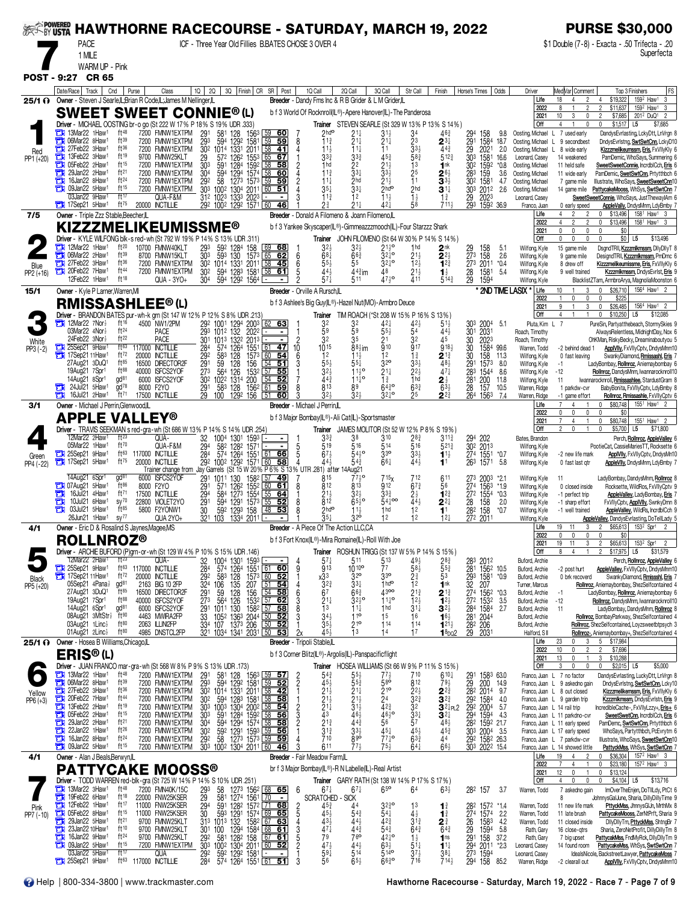| <b><i>SEERS POWERED</i></b> |                   | <b>PACE</b><br>1 MILE                                                                                                                                                                                                                                                                 |                                                                                                                                                                                                                                                                                                                                                                                                                                                                                                           | <b>HAWTHORNE RACECOURSE - SATURDAY, MARCH 19, 2022</b>                                                                                                                                                                                                                  |                                                                                                                                                                   |                                                                                                                                                                                                                             |                                                                                  | ICF - Three Year Old Fillies B.BATES CHOSE 3 OVER 4                                                                                                                                                                                 |                                                                                                                                                                                                           |                                                                                                                                            |                                                                                                                                           |                                                                                                                                                                                                 |                                                                                                                                                                                                                                     |                                                                                                                                                                                                        |                                                                                                                                                                                                                                                                                                                                               | <b>PURSE \$30,000</b><br>\$1 Double (7-8) - Exacta - 50 Trifecta - 20<br>Superfecta                                                                                                                                                                                                                                                                                                                                                                                                                                                                        |
|-----------------------------|-------------------|---------------------------------------------------------------------------------------------------------------------------------------------------------------------------------------------------------------------------------------------------------------------------------------|-----------------------------------------------------------------------------------------------------------------------------------------------------------------------------------------------------------------------------------------------------------------------------------------------------------------------------------------------------------------------------------------------------------------------------------------------------------------------------------------------------------|-------------------------------------------------------------------------------------------------------------------------------------------------------------------------------------------------------------------------------------------------------------------------|-------------------------------------------------------------------------------------------------------------------------------------------------------------------|-----------------------------------------------------------------------------------------------------------------------------------------------------------------------------------------------------------------------------|----------------------------------------------------------------------------------|-------------------------------------------------------------------------------------------------------------------------------------------------------------------------------------------------------------------------------------|-----------------------------------------------------------------------------------------------------------------------------------------------------------------------------------------------------------|--------------------------------------------------------------------------------------------------------------------------------------------|-------------------------------------------------------------------------------------------------------------------------------------------|-------------------------------------------------------------------------------------------------------------------------------------------------------------------------------------------------|-------------------------------------------------------------------------------------------------------------------------------------------------------------------------------------------------------------------------------------|--------------------------------------------------------------------------------------------------------------------------------------------------------------------------------------------------------|-----------------------------------------------------------------------------------------------------------------------------------------------------------------------------------------------------------------------------------------------------------------------------------------------------------------------------------------------|------------------------------------------------------------------------------------------------------------------------------------------------------------------------------------------------------------------------------------------------------------------------------------------------------------------------------------------------------------------------------------------------------------------------------------------------------------------------------------------------------------------------------------------------------------|
|                             |                   | WARM UP - Pink<br>POST - 9:27 CR 65                                                                                                                                                                                                                                                   |                                                                                                                                                                                                                                                                                                                                                                                                                                                                                                           |                                                                                                                                                                                                                                                                         |                                                                                                                                                                   |                                                                                                                                                                                                                             |                                                                                  |                                                                                                                                                                                                                                     |                                                                                                                                                                                                           |                                                                                                                                            |                                                                                                                                           |                                                                                                                                                                                                 |                                                                                                                                                                                                                                     |                                                                                                                                                                                                        |                                                                                                                                                                                                                                                                                                                                               |                                                                                                                                                                                                                                                                                                                                                                                                                                                                                                                                                            |
| 25/1 O                      |                   | Date/Race   Track                                                                                                                                                                                                                                                                     | Cnd                                                                                                                                                                                                                                                                                                                                                                                                                                                                                                       | Purse<br>Class<br>Owner - Steven J Searle, L.Brian R Code, L.James M Nellinger, L                                                                                                                                                                                       | $10 \mid 20$                                                                                                                                                      | 3Q Finish CR SR Post                                                                                                                                                                                                        |                                                                                  | 1Q Call<br>Breeder - Dandy Fms Inc & R B Grider & L M Grider, IL                                                                                                                                                                    | 2Q Call                                                                                                                                                                                                   | 3Q Call                                                                                                                                    | Str Call                                                                                                                                  | Finish                                                                                                                                                                                          | Horse's Times   Odds                                                                                                                                                                                                                | Driver<br>Life<br>2022                                                                                                                                                                                 | Med Var Comment<br>$\overline{2}$<br>18<br>$\overline{4}$                                                                                                                                                                                                                                                                                     | FS<br>Top 3 Finishers<br>159 <sup>2</sup> Haw <sup>1</sup> 3<br>\$19,322<br>$\overline{4}$<br>$\overline{\phantom{a}}$<br>\$11,637<br>159 <sup>2</sup> Haw <sup>1</sup><br>3                                                                                                                                                                                                                                                                                                                                                                               |
| Red<br>PP1 (+20)            | а<br>о<br>о<br>а  | 13Mar22 1Haw <sup>1</sup><br><b>THE OGMar22 8Haw1</b><br>27Feb22 3Haw <sup>1</sup><br>13Feb22 3Haw <sup>1</sup><br><b>Th</b> 05Feb22 2Haw <sup>1</sup><br>29Jan22 2Haw <sup>1</sup><br>16Jan22 8Haw1<br>09Jan22 5Haw <sup>1</sup><br>03Jan22 9Haw1                                    | ft48<br>ft39<br>ft36<br>ft19<br>ft15<br>ft21<br>ft24<br>ft15<br>ft17                                                                                                                                                                                                                                                                                                                                                                                                                                      | <b>SWEET SWEET CONNIE®(L)</b><br>Driver - MICHAEL OOSTING br-o go (St 222 W 17% P 18% S 19% UDR .333)<br>7200 FMNW1EXTPM<br>7200 FMNW1EXTPM<br>7200 FMNW1EXTPM<br>9700 FMNW25KLT<br>7200 FMNW1EXTPM<br>7200 FMNW1EXTPM<br>7200 FMNW1EXTPM<br>7200 FMNW1EXTPM<br>QUA-F&M | 291<br>581<br>293<br>594<br>30 <sup>2</sup> 1014 1331<br>29<br>303<br>591<br>304<br>594<br>292<br>58<br>312 1023 1333                                             | 128<br>1563<br>1292<br>$158^{\circ}$<br>2011<br>572 1262<br>1553<br>1284<br>1592<br>1294<br>1574<br>1273 1573<br>303 1002 1304 2011<br>2023                                                                                 | -60<br>59<br>41<br>65<br>67<br>58<br>60<br>59<br>59<br>  60<br>51                | b f 3 World Of Rocknroll(IL®)-Apere Hanover(IL)-The Panderosa<br>$2$ hd $\circ$<br>11 <sup>3</sup><br>$11\frac{1}{2}$<br>$3^{3}_{4}$<br>1 <sub>hd</sub><br>11 <sub>3</sub><br>11 <sub>1</sub><br>$35\frac{1}{4}$<br>$11\frac{3}{4}$ | Trainer STEVEN SEARLE (St 329 W 13% P 13% S 14%)<br>$21\frac{1}{4}$<br>$21\frac{1}{4}$<br>$11\frac{1}{4}$<br>$3^{3}$<br>22<br>$33\frac{1}{4}$<br>2 <sub>hd</sub><br>$33\frac{1}{4}$<br>12                 | $31\frac{1}{2}$<br>$\frac{211}{11}$<br>453<br>$2^{11}_{33}$<br>$21\frac{1}{2}$<br>2 <sup>hd</sup><br>11 <sub>3</sub>                       | 34<br>23<br>$33\frac{1}{2}$<br>583<br>1 <sup>3</sup><br>$\frac{25}{11}$<br>2 <sub>hd</sub><br>$1\frac{1}{2}$                              | 463<br>$\mathbf{2}^{3\ddagger}$<br>443<br>$5^{12}$<br>1 <sup>nk</sup><br>$2^{6}$<br>$\mathbf{3}^{3\frac{1}{2}}$<br>$\mathbf{3}^{1\downarrow}$<br>$1\frac{3}{4}$                                 | 294<br>158<br>9.8<br>291<br>1584 18.7<br>29<br>2021<br>2.0<br>$\overline{30}$ <sup>3</sup><br>1581<br>16.6<br>302<br>$*0.8$<br>1592<br>283<br>159<br>3.6<br>1581<br>302<br>4.7<br>30 <sup>3</sup><br>2012<br>2.6<br>29<br>2023      | 2021<br>Off<br>Oosting, Michael<br>Oosting, Michael<br>Oosting, Michael L<br>Leonard, Casey<br>Oosting, Michael<br>Oosting, Michael<br>Oosting, Michael<br>Oosting, Michael<br>Leonard, Casey          | 10<br>3<br>0<br>$\Delta$<br>0<br>7 used early<br>$\mathbf{L}$<br>L.<br>9 secondbest<br>8 wide early<br>14 weakened<br>11 held safe<br>11 wide early<br>7 game mile<br>14 game mile                                                                                                                                                            | \$7,685<br>201 <sup>2</sup> DuQ <sup>1</sup><br>$\overline{2}$<br>$\overline{\phantom{a}}$<br>$$1,517$ L5<br>\$7,685<br>$\mathbf 0$<br>DandysEvrlasting, LckyDtt, LnVrgn &<br>DndysEvrlstng, SwtSwtCnn, LckyD10<br>Kizzzmelikeumssm, Eris, FxVIIyKIy 6<br>PamDemic, WhoSays, Summering 6<br>SweetSweetConnie, IncrdblCch, Eris 6<br>PamDemic, SwetSwtCnn, Prtytthbch 6<br>Illustrate, WhoSays, SweetSweetCnn10<br>PattycakeMooss, WhSys, SwtSwtCnn 7<br>SweetSweetConnie, WhoSays, JustThewaylAm 6                                                         |
| 7/5                         |                   | 17Sep21 5Haw1<br>Owner - Triple Zzz Stable, Beecher, IL                                                                                                                                                                                                                               | ft <sup>75</sup>                                                                                                                                                                                                                                                                                                                                                                                                                                                                                          | 20000 INCTILLIE                                                                                                                                                                                                                                                         |                                                                                                                                                                   | 292 1002 1292 1571 60                                                                                                                                                                                                       | 46                                                                               | $2\frac{3}{4}$<br>Breeder - Donald A Filomeno & Joann Filomeno, L                                                                                                                                                                   | $21\frac{1}{4}$                                                                                                                                                                                           | 42}                                                                                                                                        | 58                                                                                                                                        | $711\frac{1}{2}$                                                                                                                                                                                | 293<br>1592 36.9                                                                                                                                                                                                                    | Franco, Juan<br>Life                                                                                                                                                                                   | 0 early speed<br>2                                                                                                                                                                                                                                                                                                                            | AppleVally, DndysMnm, LdyBmby 7<br>158 <sup>1</sup> Haw <sup>1</sup> 3<br>0<br>\$13,496                                                                                                                                                                                                                                                                                                                                                                                                                                                                    |
|                             |                   |                                                                                                                                                                                                                                                                                       |                                                                                                                                                                                                                                                                                                                                                                                                                                                                                                           | KIZZZMELIKEUMISSME®<br>Driver - KYLE WILFONG blk-s red-wh (St 792 W 19% P 14% S 13% UDR .311)                                                                                                                                                                           |                                                                                                                                                                   |                                                                                                                                                                                                                             |                                                                                  | b f 3 Yankee Skyscaper(IL®)-Gimmeazzzmooch(IL)-Four Starzzz Shark                                                                                                                                                                   | Trainer JOHN FILOMENO (St 64 W 30% P 14% S 14%)                                                                                                                                                           |                                                                                                                                            |                                                                                                                                           |                                                                                                                                                                                                 |                                                                                                                                                                                                                                     | 2022<br>2021<br>Off                                                                                                                                                                                    | 2<br>$\overline{\phantom{a}}$<br>$\mathbf{0}$<br>$\mathbf{0}$<br>0<br>$\Omega$                                                                                                                                                                                                                                                                | \$13,496<br>158 <sup>1</sup> Haw <sup>1</sup> 3<br>$\mathbf 0$<br>\$0<br>$\mathbf{0}$<br>$$0$ L5<br>\$13,496                                                                                                                                                                                                                                                                                                                                                                                                                                               |
| Blue<br>PP2 (+16)           |                   | $\frac{1}{2}$ 12Mar22 1Haw <sup>1</sup><br><b>THE OGMar22 2Haw1</b><br>27Feb22 3Haw1<br>20Feb22 7Haw1<br>12Feb22 1Haw <sup>1</sup>                                                                                                                                                    | ft20<br>ft39<br>ft36<br>ft44<br>ft18                                                                                                                                                                                                                                                                                                                                                                                                                                                                      | 10700 FMNW40KLT<br>8700 FMNW15KLT<br>7200 FMNW1EXTPM<br>7200 FMNW1EXTPM<br>QUA - 3YO+                                                                                                                                                                                   | 293<br>592<br>593<br>303<br>30 <sup>2</sup><br>304                                                                                                                | 128 <sup>4</sup><br>130<br>158<br>1573<br>30 <sup>2</sup> 1014 1331 2011 58<br>594 1283 1581 5<br>594 1292 1564 -                                                                                                           | $\frac{69}{65}$ 68<br>62<br>-45<br>58<br><u>61</u>                               | $68\frac{1}{4}$<br>6<br>6<br>55}<br>443<br>$57\frac{1}{4}$                                                                                                                                                                          | 3 <sub>2</sub><br>$66\frac{3}{4}$<br>55<br>$44\frac{3}{4}$ im<br>511                                                                                                                                      | $2^{110}_{22}$<br>$3^{210}_{4}$<br>32‡°<br>48<br>$47\frac{1}{2}$ <sup>o</sup>                                                              | 1 <sub>hd</sub><br>$21\frac{1}{2}$<br>12 <sub>3</sub><br>$2^{11}_{4}$                                                                     | 2 <sup>nk</sup><br>$2^{2\frac{1}{2}}$<br>$1^{2^{3}}$<br>$\mathbf{1}_{2}^{1}$<br>$5^{14}$                                                                                                        | 29<br>273<br>273<br>158<br>158<br>5.1<br>2.6<br>2011<br>$*0.4$<br>$\frac{28}{29}$<br>1581<br>1594<br>5.4                                                                                                                            | Wilfong, Kyle<br>Wilfong, Kyle<br>Wilfong, Kyle<br>Wilfong, Kyle<br>Wilfong, Kyle                                                                                                                      | 15 game mile<br>9 game mile<br>8 drew off<br>9 well trained                                                                                                                                                                                                                                                                                   | DsgndTRII, Kzzzmikmssm, DllyDllyT &<br>DesigndTRII, Kzzzmlkmssm, PmDmc 6<br>Kizzzmelikeumissme, Eris, FxVIIyKIy 6<br>Kzzzmikmssm, DndysEvrlst, Eris 9<br>BlacklistZTam, ArmbroArya, MagnoliaMoonston 6                                                                                                                                                                                                                                                                                                                                                     |
| 15/1                        |                   | Owner - Kyle P Larner, Warren, MI                                                                                                                                                                                                                                                     |                                                                                                                                                                                                                                                                                                                                                                                                                                                                                                           | <b>RMISSASHLEE®(L)</b>                                                                                                                                                                                                                                                  |                                                                                                                                                                   |                                                                                                                                                                                                                             |                                                                                  | Breeder - Orville A Rursch, L<br>b f 3 Ashlee's Big Guy(IL®)-Hazel Nut(MO)-Armbro Deuce                                                                                                                                             |                                                                                                                                                                                                           |                                                                                                                                            |                                                                                                                                           |                                                                                                                                                                                                 | * 2ND TIME LASIX                                                                                                                                                                                                                    | Life<br>2022                                                                                                                                                                                           | 10<br>0<br>$\mathbf 0$                                                                                                                                                                                                                                                                                                                        | 156 <sup>4</sup> Haw <sup>1</sup><br>\$26,710<br>$\mathbf{0}$<br>0<br>\$225                                                                                                                                                                                                                                                                                                                                                                                                                                                                                |
| White<br>PP3 (-2)           | т                 | $\frac{1}{2}$ 12Mar22 7Nor<br>03Mar22 4Nor <sup>1</sup><br>24Feb22 3Nor<br>25Sep21 9Haw<br>17Sep2111Haw1<br>27Aug21 3DuQ1<br>19Aug21 7Spr1<br>14Aug21 8Spr1<br>24Jul21 5Haw <sup>1</sup><br>16Jul21 2Haw <sup>1</sup>                                                                 | ft 16<br>ft <sup>24</sup><br>ft22<br>$f$ <sup>163</sup><br>ft $72$<br>$ft^{85}$<br>ft88<br>$\text{d}^{81}$<br>$\frac{1}{2}$<br>ft $^{71}$                                                                                                                                                                                                                                                                                                                                                                 | Driver - BRANDON BATES pur-wh-k grn (St 147 W 12% P 12% S 8% UDR .213)<br>4500 NW1/2PM<br><b>PACE</b><br><b>PACE</b><br>117000 INCTILLIE<br>20000 INCTILLIE<br>16500 DIRECTOR2F<br>40000 ISFCS2YOF<br>6000 ISFCS2YOF<br>8000 F2YO<br>17500 INCTILLIE                    | 292 1001 1294<br>293 1012 132<br>284<br>574<br>292<br>583<br>$\frac{29}{273}$<br>59<br>564<br>30 <sup>2</sup><br>1022 1314<br>$\frac{29}{29}$ <sup>1</sup><br>583 | 2003<br>2022<br>301 1013 1322 2013<br>1264<br>1551<br>128<br>1573 60<br>156<br>128<br>126<br>1532<br>200<br>128<br>1562<br>100 1292 156                                                                                     | 62 63<br>$61$ 47<br>54<br>$54$ 51<br>$57$ 55<br>54<br>52<br>61<br>59<br>51<br>60 | 32<br>59<br>32<br>1015<br>10<br>1 <sup>2</sup><br>6<br>553<br>$3^{2}$<br>443<br>813<br>$32\frac{1}{2}$                                                                                                                              | Trainer TIM ROACH (*St 208 W 15% P 16% S 13%)<br>32<br>59<br>35<br>$88$ / <sub>2</sub> im<br>$11\frac{1}{2}$<br>$55\frac{1}{4}$<br>$11^{10}$<br>$11^{10}$<br>89<br>32 <sub>3</sub>                        | $42\frac{1}{4}$<br>$55\frac{1}{2}$<br>21<br>910<br>12<br>320<br>21‡<br>$1\frac{3}{4}$<br>$64\frac{3}{4}$ <sup>o</sup><br>$3^{2^{10}}$      | $42\frac{1}{2}$<br>54<br>32<br>917<br>$1\frac{3}{4}$<br>$3^{31}_{22}$<br>1 <sub>hd</sub><br>$63\frac{3}{4}$<br>25                         | 51}<br>44}<br>45<br>918 <sub>2</sub><br>$2^{13}$<br>$4^{8\frac{1}{2}}$<br>47 <sup>1</sup><br>21<br>$63\frac{1}{2}$<br>$2^{2^{3}}$                                                               | 303<br>2004 5.1<br>2031<br>301<br>2023<br>30<br>30<br>1584 99.6<br>30<br>158<br>11.3<br>291<br>8.0<br>1573<br>283<br>1544<br>8.6<br>281<br>200<br>11.8<br>28<br>157<br>10.5<br>264<br>1563<br>7.4                                   | 2021<br>Off<br>Pluta, Kim L 7<br>Roach, Timothy<br>Roach, Timothy<br>Warren, Todd<br>Wilfong, Kyle<br>Wilfong, Kyle<br>Wilfong, Kyle<br>Wilfong, Kyle<br>Warren, Ridge<br>Warren, Ridge                | $\mathbf{1}$<br>3<br>$\overline{1}$<br>-2 behind dead 1<br>0 fast leaving<br>$-1$<br>$-12$<br>-11<br>1 parkdw-cvr<br>-1 game effort                                                                                                                                                                                                           | \$26,485<br>156 <sup>4</sup> Haw <sup>1</sup> 2<br>0<br>$$10.250$ L5<br>\$12,085<br>0<br>PureSin, Partyatthebeach, StormySkies 9<br>AlwaysRelentless, MidnightDay, Nox 6<br>OhKMan, RiskyBecky, Dreaminaboutyou 5<br><b>ApplVlly, FxVIIyCptv, DndysMnm10</b><br>SwankyDiamond, Rmissashl, Eris 7<br>LadyBombay, Rollnroz, Aniemaybombay 6<br>Rollnroz, DandysMnm, Iwannarocknroll10<br>Iwannarocknroll, Rmissashlee, StardustGram &<br>BabyBonita, FxVIIyCptv, LdyBmby &<br>Rollnroz, Rmissashle, FxVllyCptv 6                                             |
| 3/1                         |                   | Owner - Michael J Perrin, Glenwood, IL                                                                                                                                                                                                                                                |                                                                                                                                                                                                                                                                                                                                                                                                                                                                                                           | <b>APPLE VALLEY®</b>                                                                                                                                                                                                                                                    |                                                                                                                                                                   |                                                                                                                                                                                                                             |                                                                                  | Breeder - Michael J Perrin, IL<br>b f 3 Major Bombay(IL®)-Ali Cat(IL)-Sportsmaster                                                                                                                                                  |                                                                                                                                                                                                           |                                                                                                                                            |                                                                                                                                           |                                                                                                                                                                                                 |                                                                                                                                                                                                                                     | Life<br>2022                                                                                                                                                                                           | 0<br>0<br>0                                                                                                                                                                                                                                                                                                                                   | \$80,748<br>155 <sup>1</sup> Haw <sup>1</sup><br>$\mathbf 0$<br>\$0<br>0                                                                                                                                                                                                                                                                                                                                                                                                                                                                                   |
| Green<br>PP4 (-22)          |                   | 12Mar22 2Haw <sup>1</sup><br>05Mar22 1Haw <sup>1</sup><br><b>TH</b> 25Sep21 9Haw <sup>1</sup>                                                                                                                                                                                         | $ft^{23}$<br>ft70<br>ft63<br>$ft^{75}$                                                                                                                                                                                                                                                                                                                                                                                                                                                                    | Driver - TRAVIS SEEKMAN s red-gra-wh (St 686 W 13% P 14% S 14% UDR 254)<br>Qua-<br>QUA-F&M<br>117000 INCTILLIE<br>20000 INCTILLIE<br>Trainer change from Jay Garrels (St 15 W 20% P 6% S 13% UTR 281) after                                                             | 32<br>1004 1301<br>294<br>284 574 1264<br>292 1002 1292                                                                                                           | 1593<br>582 1282<br>1571<br>1551 61<br>1571 60                                                                                                                                                                              | 66<br>58                                                                         | Trainer<br>$3^{3}$<br>519<br>$67\frac{1}{2}$<br>44,                                                                                                                                                                                 | JAMES MOLITOR (St 52 W 12% P 8% S 19%)<br>38<br>516<br>543°<br>$5^{4}$<br>14Aug21                                                                                                                         | 310<br>514<br>$3^{30}$<br>$66\frac{1}{4}$                                                                                                  | $28\frac{3}{4}$<br>$\overline{5}16$<br>$3^{3\frac{1}{2}}$<br>44 <sup>1</sup>                                                              | 311}<br>$5^{21}$<br>$1^{11}$<br>1 <sup>1</sup>                                                                                                                                                  | 294 202<br>302 2013<br>$\frac{274}{263}$<br>1551<br>1571<br>*0.7<br>5.8                                                                                                                                                             | 2021<br>Off<br>Bates, Brandon<br>Wilfong, Kyle<br>Wilfong, Kyle<br>Wilfong, Kyle                                                                                                                       | $\overline{7}$<br>4<br>$\overline{1}$<br>$\Omega$<br>-2 new life mark<br>0 fast last gtr                                                                                                                                                                                                                                                      | \$80,748<br>1551 Haw1 2<br>$\mathbf 0$<br>\$71,800<br>$\mathbf{0}$<br>\$5,700<br>L <sub>5</sub><br>Perch, Rollnroz, AppleValley 6<br>PootieCat, CassieMariesTT, Rocksette 6<br><b>ApplVlly, FxVllyCptv, DndysMn10</b><br>AppleVIIy, DndysMnm, LdyBmby 7                                                                                                                                                                                                                                                                                                    |
|                             | ЕИ<br>а           | 14Aug21 6Spr1<br>107Aug21 5Haw1<br>16Jul21 4Haw <sup>1</sup><br>$10$ Jul $21$ 6Haw <sup>1</sup><br>03Jul21 5Haw1<br>26Jun21 1Haw <sup>1</sup>                                                                                                                                         | gd <sup>81</sup><br>ft86<br>ft71<br>$SV^{70}$<br>ft85<br>SV <sup>77</sup>                                                                                                                                                                                                                                                                                                                                                                                                                                 | 6000 ISFCS2YOF<br>8000 F2YO<br>17500 INCTILLIE<br>22800 VIOLET2YO<br>5800 F2YONW1<br>QUA 2YO+                                                                                                                                                                           | $\frac{29}{29}$ <sup>1</sup><br>1011<br>294<br>$\frac{29}{30}$ <sup>1</sup>                                                                                       | 130<br>158 <sup>2</sup><br>155 <sup>2</sup><br>571 1262<br>584 1273 1554<br>594 1291 1573 55<br>592 1293 158 48<br>321 103 1334 2011                                                                                        | -57<br><u>49</u><br>60 61<br>-64<br>52<br>53                                     | 815<br>812<br>21,<br>812<br>2hd <sup>o</sup><br>$\bar{3}5\frac{1}{4}$                                                                                                                                                               | $77\frac{1}{2}$ <sup>o</sup><br>813<br>32 <sub>3</sub><br>$65\frac{1}{2}$ <sup>o</sup><br>$11\frac{1}{2}$<br>32 <sup>o</sup>                                                                              | 715 <sub>x</sub><br>912<br>33 <sup>3</sup><br>$54^{100}_{4}$<br>12                                                                         | 712<br>$67\frac{3}{4}$<br>$2\frac{1}{2}$<br>$44\frac{1}{2}$<br>1 <sup>2</sup><br>12                                                       | 611<br>56<br>$1^{2^{3}}$<br>$2^{2\frac{1}{4}}$<br>$12\frac{1}{4}$                                                                                                                               | 273 2003<br>274 1563<br>*2.1<br>$*1.9$<br>27 <sup>2</sup><br>1554<br>$*0.3$<br>$\frac{28}{282}$<br>158<br>158<br>2.0<br>$*0.7$<br>272 2011                                                                                          | Wilfong, Kyle<br>Wilfong, Kyle<br>Wilfong, Kyle<br>Wilfong, Kyle<br>Wilfong, Kyle<br>Wilfong, Kyle                                                                                                     | 11<br>0 closed inside<br>-1 perfect trip<br>-1 sharp effort<br>-1 well trained                                                                                                                                                                                                                                                                | LadyBombay, DandysMnm, Rollnroz &<br>Rocksette, WildRos, FxVllyCptv 9<br>AppleValley, LadyBombay, Eris 7<br>FxVIIyCptv, ApplVIIy, SwnkyDmn 8<br>AppleValley, WildRs, IncrdblCch 9<br>AppleValley, DandysEvrlasting, DoTellLady 5                                                                                                                                                                                                                                                                                                                           |
| 4/1                         |                   | <b>ROLLNROZ®</b>                                                                                                                                                                                                                                                                      |                                                                                                                                                                                                                                                                                                                                                                                                                                                                                                           | <b>Owner</b> - Eric D & Rosalind S Jaynes, Magee, MS                                                                                                                                                                                                                    |                                                                                                                                                                   |                                                                                                                                                                                                                             |                                                                                  | Breeder - A Piece Of The Action LLC.CA<br>b f 3 Fort Knox(IL®)-Mira Romaine(IL)-Roll With Joe                                                                                                                                       |                                                                                                                                                                                                           |                                                                                                                                            |                                                                                                                                           |                                                                                                                                                                                                 |                                                                                                                                                                                                                                     | Life<br>2022                                                                                                                                                                                           | 19 11<br>3<br>0                                                                                                                                                                                                                                                                                                                               | $$65,613$ 153 <sup>2</sup> Spr1 2<br>$\overline{2}$<br>SO.                                                                                                                                                                                                                                                                                                                                                                                                                                                                                                 |
| Black<br>PP5 (+20)          |                   | 12Mar22 2Haw1<br>25Sep21 9Haw <sup>1</sup><br>17Sep21 11Haw <sup>1</sup><br>05Sep21 4Pana}<br>27Aug21 3DuQ1<br>19Aug21 7Spr1<br>14Aug21 6Spr1<br>08Aug21 3MtStr <sup>1</sup> ft <sup>90</sup><br>03Aug21 1Linc}<br>01Aug21 $2$ Linc $\frac{1}{2}$                                     | $\overline{f}$ $\uparrow$ $\overline{f}$ $\uparrow$ $\overline{f}$ $\uparrow$ $\overline{f}$ $\uparrow$ $\overline{f}$ $\uparrow$ $\overline{f}$ $\uparrow$ $\overline{f}$ $\uparrow$ $\overline{f}$ $\uparrow$ $\overline{f}$ $\uparrow$ $\overline{f}$ $\uparrow$ $\overline{f}$ $\uparrow$ $\overline{f}$ $\uparrow$ $\overline{f}$ $\uparrow$ $\overline{f}$ $\uparrow$ $\overline{f}$ $\$<br>ft <sup>72</sup><br>gd <sup>81</sup><br>$ft^{85}$<br>ft88<br>gd <sup>81</sup><br>$ft^{80}$<br>$ft^{80}$ | Driver - ARCHIE BUFORD (P)grn-or-wh (St 129 W 4% P 10% S 15% UDR .146)<br>QUA-<br>ft <sup>63</sup> 117000 INCTILLIE<br>20000 INCTILLIE<br>2163 BIG 10 2FP<br>16500 DIRECTOR2F<br>40000 ISFCS2YOF<br>6000 ISFCS2YOF<br>4463 MWIRA2FP<br>2063 ILLINI2FP<br>4985 DNSTCL2FP | 1004 1301<br>574 1264<br>32<br>284<br>292<br>583 128<br>$32^{4}$<br>106<br>59<br>291<br>273<br>$\frac{29}{33}$ <sup>1</sup>                                       | 1593<br>1551<br>$\frac{1}{125}$<br>$\frac{564}{1011}$ 126 1532 $\frac{157}{57}$ 62<br>1011 130 1582 57 58<br>1052 1363 2044 50 52<br>334 107 1373 206 50 52<br>321 1034 1341 2031 50 53                                     | 61 60<br>$1573$ $\overline{60}$ 52<br>207 51 54<br>156 54 58                     | $5^{7\frac{1}{4}}$<br>913<br>9<br>х33<br>$\frac{323}{67}$<br>6<br>$21\frac{1}{4}$<br>$\overline{1}3$<br>$34_{2}$<br>$35\frac{1}{2}$<br>45.                                                                                          | Trainer ROSHUN TRIGG (St 137 W 5% P 14% S 15%)<br>511<br>$10^{10^{\circ}}$<br>32 <sup>o</sup><br>$33\frac{1}{4}$<br>$66\frac{3}{4}$<br>$3^{210}$<br>$11\frac{1}{4}$<br>$11^{\circ}$<br>$21^{\circ}$<br>13 | 5 13<br>7 7<br>$3^{30}$<br>1 <sub>hd</sub> o<br>4300<br>$11^{10}_{4}$<br>1 <sub>hd</sub><br>15<br>114<br>14                                | $49\frac{1}{2}$<br>$58\frac{1}{2}$<br>$2\frac{3}{4}$<br>$\overline{1}2$<br>$2^{13}_{4}$<br>12 <sup>3</sup><br>$3^{11}$<br>16<br>114<br>17 | $2^{8}\frac{3}{4}$<br>55 $\frac{3}{4}$<br>53<br>1 <sup>nk</sup><br>$2^{13}$<br>$12\frac{1}{2}$<br>$\mathbf{3}^{2\frac{1}{2}}$<br>$16\frac{1}{2}$<br>$1^{21\frac{1}{2}}$<br>$18$ po <sub>2</sub> | 283 2012<br>281 1562 10.5<br>293 1581<br>32 207<br>274 1562<br>$*0.9$<br>$*0.3$<br>272 1532<br>284 1584<br>281 2044<br>3.5<br>2.7<br>282<br>206<br>29 2031                                                                          | 2021<br>Off<br>Buford, Archie<br>Buford, Archie<br>Buford, Archie<br>Turner, Marcus<br>Buford, Archie<br>Buford, Archie<br>Buford, Archie<br>Buford, Archie<br>Buford, Archie<br>Halford, S II<br>Life | 19<br>11<br>3<br>R<br>$\Delta$<br>-2 post hurt<br>0 brk recoverd<br>-1<br>$-12$<br>11<br>23<br>0<br>3                                                                                                                                                                                                                                         | \$65,613<br>1532<br>$\overline{\phantom{a}}$<br>Spr1<br>\$17,975<br>L <sub>5</sub><br>\$31,579<br>2<br>Perch, Rollnroz, AppleValley 6<br>AppleValley, FxVIIyCptv, DndysMnm10<br>SwankyDiamond, Rmissshl, Eris 7<br>Rollrroz, Aniemaybombay, ShezSelfcontained 4<br>LadyBombay, Rollnroz, Aniemaybombay 6<br>Rollnroz, DandysMnm, Iwannarocknroll10<br>LadyBombay, DandysMnm, Rollnroz 8<br>Rollnroz, BombayParkway, ShezSelfcontained 4<br>Rollnroz, ShezSelfcontained, Loyzsweetbtpsych 3<br>Rollnroz-, Aniemaybombay+, ShezSelfcontained 4<br>5 \$17,984 |
|                             |                   | 25/1 ? Owner - Hosea B Williams, Chicago, L<br><b>ERIS®(L)</b>                                                                                                                                                                                                                        |                                                                                                                                                                                                                                                                                                                                                                                                                                                                                                           |                                                                                                                                                                                                                                                                         |                                                                                                                                                                   |                                                                                                                                                                                                                             |                                                                                  | Breeder - Tripoli Stable,IL<br>b f 3 Corner Blitz(IL®)-Argolis(IL)-Panspacificflight                                                                                                                                                |                                                                                                                                                                                                           |                                                                                                                                            |                                                                                                                                           |                                                                                                                                                                                                 |                                                                                                                                                                                                                                     | 2022<br>2021                                                                                                                                                                                           | 10<br>$\overline{2}$<br>0<br>13<br>$\mathbf{0}$<br>$\mathbf{1}$                                                                                                                                                                                                                                                                               | $\overline{2}$<br>\$7,696<br>\$10,288<br>3                                                                                                                                                                                                                                                                                                                                                                                                                                                                                                                 |
| Yellow<br>$PP6 (+3)$        | a<br>百<br>о<br>Ō  | $\Box$ 13Mar22 1Haw <sup>1</sup><br><b>EN 06Mar22 8Haw1</b><br>27Feb22 3Haw1<br>20Feb22 7Haw1<br>13Feb22 2Haw <sup>1</sup><br>05Feb22 2Haw <sup>1</sup><br>29Jan22 2Haw <sup>1</sup><br>22Jan22 1Haw <sup>1</sup><br>16Jan22 8Haw <sup>1</sup><br>$\Box$ 09 Jan 22 5 Haw <sup>1</sup> | ft48<br>$ft^{39}$<br>ft36<br>ft44<br>ft19<br>ft15<br>ft <sup>21</sup><br>$ft^{26}$<br>$ft^{24}$<br>ft15                                                                                                                                                                                                                                                                                                                                                                                                   | Driver - JUAN FRANCO mar-gra-wh (St 568 W 8% P 9% S 13% UDR .173)<br>7200 FMNW1EXTPM<br>7200 FMNW1EXTPM<br>7200 FMNW1EXTPM<br>7200 FMNW1EXTPM<br>7200 FMNW1EXTPM<br>7200 FMNW1EXTPM<br>7200 FMNW1EXTPM<br>7200 FMNW1EXTPM<br>7200 FMNW1EXTPM<br>7200 FMNW1EXTPM         | 291<br>581<br>302<br>303<br>591<br>594<br>304<br>302<br>292                                                                                                       | 1563<br>128<br>293 594 1292 1581 59 52<br>302 1014 1331 2011 58 42<br>594 1283 1581<br>303 1003 1304 2002<br>1284 1592 58 56<br>1294 1574 58 58<br>59 <sup>2</sup> 1291 1593 59<br>58 1273 1573 59<br>303 1002 1304 2011 60 | $\frac{59}{57}$<br>$\sqrt{58}$ 58<br>58<br>54<br><u>56 </u><br>59<br>46          | 54}<br>$45\frac{1}{2}$<br>$2^{1\over 2}$<br>$2^{1\over 2}$<br>$\frac{21\overline{4}}{43}$<br>$2^{13}$<br>$3^{13}$<br>710<br>611                                                                                                     | Trainer HOSEA WILLIAMS (St 66 W 9% P 11% S 15%)<br>$5\frac{5}{2}$<br>$5\frac{3}{4}$<br>$21\frac{1}{4}$<br>21<br>$31\frac{1}{2}$<br>46<br>$44\frac{3}{4}$<br>$33\frac{1}{2}$<br>890<br>77.1                | $77\frac{1}{2}$<br>580<br>$\frac{218}{24}$<br>42 <sub>4</sub><br>$46^{10}_{2}$<br>56<br>$45\frac{1}{4}$<br>77‡°<br>75}                     | 710<br>812<br>$2^{2\frac{1}{2}}$<br>32 <sup>3</sup><br>32<br>$\frac{331}{57}$<br>$45\frac{1}{2}$<br>$63\frac{3}{4}$<br>$64\frac{1}{4}$    | $6^{10}$<br>$79\frac{1}{2}$<br>$2^{2^{3}}$<br>$3^{23}$<br>$3^{2}\#12$<br>$3^{2}$<br>$48\frac{1}{2}$<br>$45\frac{3}{4}$<br>44<br>$66\frac{1}{2}$                                                 | 291<br>1583 63.0<br>29 200<br>28 <sup>2</sup> 2014<br>292 1584<br>14.9<br>9.7<br>4.0<br>29 <sup>2</sup><br>2004<br>5.7<br>294<br>282<br>1594<br>4.3<br>1592 21.7<br>303 2004<br>- 3.5<br>292 1582 26.3<br>30 <sup>3</sup> 2022 15.4 | Off                                                                                                                                                                                                    | 3<br>0<br>0<br>Franco, Juan L 7 no factor<br>Franco, Juan L 9 askedno gain<br>Franco, Juan L 8 out closed<br>Franco, Juan L 9 garden trip<br>Franco, Juan L 14 rail trip<br>Franco, Juan L 11 parkdno-cvr<br>Franco, Juan L 11 early speed<br>Franco, Juan L 17 early speed<br>Franco, Juan L 7 parkdw-cvr<br>Franco, Juan L 14 showed little | $$2,015$ L5<br>\$5,000<br>0<br>DandysEvrlasting, LuckyDtt, LnVrgn &<br>DndysEvrlstng, SwtSwtCnn, Lcky10<br>Kizzzmelikemssm, Eris, FxVIIyKIy 6<br>Kzzzmikmssm, DndysEvrlstn, Eris 9<br>IncredibleCache-, FxVIIyLzzy+, Eris+ 6<br>SweetSwetCnn, IncrdblCch, Eris 6<br>PamDemc, SwtSwtCnn, Prtytthbch 6<br>WhoSays, Partytthbch, PcEvrytm 6<br>Illustrate, WhoSays, SweetSwtCnn10<br>PattyckMss, WhSys, SwtSwtCnn 7                                                                                                                                           |
| 4/1                         |                   | Owner - Alan J Beals, Berwyn, IL                                                                                                                                                                                                                                                      |                                                                                                                                                                                                                                                                                                                                                                                                                                                                                                           | <b>PATTYCAKE MOOSS®</b>                                                                                                                                                                                                                                                 |                                                                                                                                                                   |                                                                                                                                                                                                                             |                                                                                  | Breeder - Fair Meadow Farm,IL<br>br f 3 Major Bombay(IL®)-R N Labelle(IL)-Real Artist                                                                                                                                               |                                                                                                                                                                                                           |                                                                                                                                            |                                                                                                                                           |                                                                                                                                                                                                 |                                                                                                                                                                                                                                     | Life<br>2022<br>2021                                                                                                                                                                                   | 19<br>4<br>$\overline{2}$<br>4<br>12<br>0                                                                                                                                                                                                                                                                                                     | \$36,304 157 <sup>2</sup> Haw <sup>1</sup> 3<br>$^{\circ}$<br>\$23,180<br>157 <sup>2</sup> Haw <sup>1</sup> 3<br>0<br>\$13,124<br>0                                                                                                                                                                                                                                                                                                                                                                                                                        |
| Pink<br>PP7 (-10)           | E)<br>а<br>멂<br>О | 13Mar22 3Haw1<br>19Feb22 6Haw1<br>12Feb22 1Haw <sup>1</sup><br>05Feb22 8Haw <sup>1</sup><br>29Jan22 5Haw1<br>23Jan22 10Haw <sup>1</sup><br>16Jan22 9Haw <sup>1</sup><br>09Jan22 5Haw1<br>03Jan22 5Haw1<br>25Sep21 9Haw1                                                               | ft48<br>ft18<br>ft17<br>$ft^{15}$<br>ft <sup>21</sup><br>ft10<br>ft24<br>ft15<br>ft17<br>ft63                                                                                                                                                                                                                                                                                                                                                                                                             | Driver - TODD WARREN red-blk-gra (St 725 W 14% P 14% S 10% UDR .251)<br>7200 FMN40K/15C<br>22000 FNW25KSER<br>11000 FNW25KSER<br>11000 FNW25KSER<br>9700 FMNW25KLT<br>9700 FMNW25KLT<br>9700 FMNW25KLT<br>7200 FMNW1EXTPM<br>QUA<br>117000 INCTILLIE                    | 293<br>29<br>294<br>$\frac{58}{581}$<br>30<br>593<br>313 1013<br>30 <sup>1</sup><br>100<br>292<br>581<br>292                                                      | 1273 1562 68 65<br>1274 1561<br>591 1282 1572 71 68<br>1291<br>$\frac{1}{1294}$<br>1584<br>128 <sup>2</sup><br>158<br>303 1002 1304 2011 60 52<br>592 1292 1581<br>284 574 1264 1551 61 51                                  | $\sqrt{70}$<br>$\blacksquare$<br>1574 69 65<br>1582 67 63<br>$68$ 61<br>$67$ 61  | -6<br>$67\frac{1}{4}$<br>SCRATCHED - SICK<br>$\frac{2}{5}$<br>45)<br>45,<br>$43\frac{1}{2}$<br>$47\frac{1}{4}$<br>79<br>47 <sub>3</sub><br>$59\frac{1}{4}$<br>56                                                                    | Trainer GARY RATH (St 138 W 14% P 17% S 17%)<br>$67\frac{1}{4}$<br>44<br>$5^{4^3}$<br>44<br>$44\frac{3}{7}$<br>76 <sup>o</sup><br>443<br>514<br>$65\frac{1}{2}$                                           | 65 <sup>o</sup><br>$3^{230}$<br>$54\frac{1}{4}$<br>42 <sub>4</sub><br>$54\frac{3}{4}$<br>42‡°<br>$63\frac{1}{2}$<br>$51^{10}$<br>$66^{30}$ | 64<br>13<br>$4\frac{1}{2}$<br>$3^{13}$<br>$64\frac{3}{4}$<br>$1\frac{1}{2}$<br>$51\frac{1}{4}$<br>$37\frac{1}{2}$<br>716                  | $63\frac{1}{2}$<br>$1\frac{3}{4}$<br>$\mathbf{1}^{\frac{3}{4}}$<br>$2\frac{3}{4}$<br>643<br>1 <sub>ns</sub><br>$1^{11}$<br>$38\frac{1}{4}$<br>$714\frac{1}{2}$                                  | 282 157<br>-3.7<br>282 1572<br>*1.4<br>274<br>1574<br>$^{2.2}_{4.2}$<br>1583<br>$\frac{26}{29}$<br>$\frac{29}{29}$<br>1594<br>5.8<br>158<br>37.2<br>294 2011<br>273 1594<br>2011<br>$*23$<br>294 158<br>85.2                        | Off<br>Warren, Todd<br>Warren, Todd<br>Warren, Todd<br>Warren, Todd<br>Rath, Gary<br>Rath, Gary<br>Leonard, Casey<br>Leonard, Casey<br>Warren, Ridge                                                   | $\overline{4}$<br>0<br>$\mathbf 0$<br>7 askedno gain<br>8<br>11 new life mark<br>11 late brush<br>11 closed inside<br>16 close-gtrs<br>7 big upset<br>14 found room<br>-2 clearall out                                                                                                                                                        | $$4,104$ L5<br>\$13,716<br>$\mathbf{0}$<br>ImOverTheEnjen, DoTIILdy, PtCt 6<br>JohnnysGalJune, Sharia, DillyDillyTime 9<br>PttyckMss, JhnnysGiJn, MrthMx 8<br>PattycakeMooss, ZerNtPrft, Sharia 9<br>DllyDllyTm, PttyckMss, ShtngBr 7<br>Sharia, ZeroNetProfit, DillyDillyTm 8<br>PattycakMss, FndMyRck, DllyDllyTm 9<br>PattycakeMss, WhSys, SwtSwtCnn 7<br>IdealsNicole, BackstreetLawyer, PattycakeMoss 7<br><b>ApplVlly, FxVIIyCptv, DndysMnm10</b>                                                                                                    |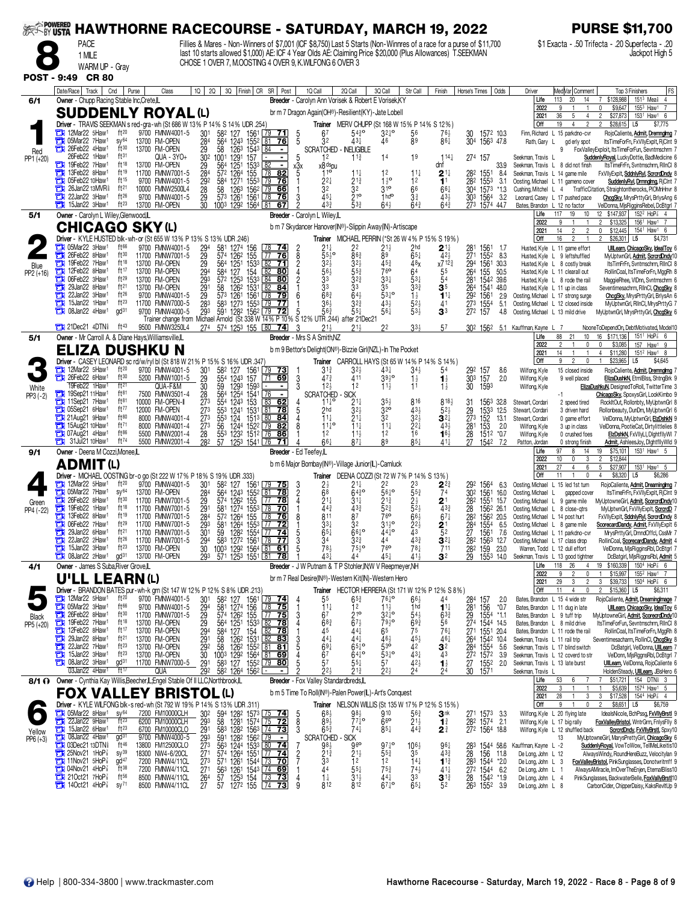| <b>EXAMPOWERED</b>        |                                                                                                        |                                       |                                                                                                                                                                                                                                                                              |                                                |                                                          |                                                                                                  | <b>HAWTHORNE RACECOURSE - SATURDAY, MARCH 19, 2022</b>                                                                                                                                                                                                                                       |                                                           |                                                |                                               |                                                     |                                                                                      | <b>PURSE \$11,700</b>                                                     |                                                                          |                                                                                                                |  |
|---------------------------|--------------------------------------------------------------------------------------------------------|---------------------------------------|------------------------------------------------------------------------------------------------------------------------------------------------------------------------------------------------------------------------------------------------------------------------------|------------------------------------------------|----------------------------------------------------------|--------------------------------------------------------------------------------------------------|----------------------------------------------------------------------------------------------------------------------------------------------------------------------------------------------------------------------------------------------------------------------------------------------|-----------------------------------------------------------|------------------------------------------------|-----------------------------------------------|-----------------------------------------------------|--------------------------------------------------------------------------------------|---------------------------------------------------------------------------|--------------------------------------------------------------------------|----------------------------------------------------------------------------------------------------------------|--|
|                           | <b>PACE</b>                                                                                            |                                       |                                                                                                                                                                                                                                                                              |                                                |                                                          |                                                                                                  | Fillies & Mares - Non-Winners of \$7,001 (ICF \$8,750) Last 5 Starts (Non-Winnres of a race for a purse of \$11,700<br>last 10 starts allowed \$1,000) AE: ICF 4 Year Olds AE: Claiming Price \$20,000 (Plus Allowances) T.SEEKMAN<br>CHOSE 1 OVER 7, M.OOSTING 4 OVER 9, K.WILFONG 6 OVER 3 |                                                           |                                                |                                               |                                                     |                                                                                      |                                                                           |                                                                          | \$1 Exacta - .50 Trifecta - .20 Superfecta - .20<br>Jackpot High 5                                             |  |
|                           | 1 MILE<br>WARM UP - Gray                                                                               |                                       |                                                                                                                                                                                                                                                                              |                                                |                                                          |                                                                                                  |                                                                                                                                                                                                                                                                                              |                                                           |                                                |                                               |                                                     |                                                                                      |                                                                           |                                                                          |                                                                                                                |  |
| <b>POST - 9:49</b>        | <b>CR 80</b>                                                                                           |                                       |                                                                                                                                                                                                                                                                              |                                                |                                                          |                                                                                                  |                                                                                                                                                                                                                                                                                              |                                                           |                                                |                                               |                                                     |                                                                                      |                                                                           |                                                                          |                                                                                                                |  |
|                           | Cnd<br>Date/Race   Track                                                                               | Purse                                 | Class                                                                                                                                                                                                                                                                        | 1Q<br>2Q                                       |                                                          | 3Q Finish CR SR   Post                                                                           | 1Q Call                                                                                                                                                                                                                                                                                      | 2Q Call                                                   | 3Q Call                                        | Str Call                                      | Finish                                              | Horse's Times<br>Odds                                                                | Driver                                                                    | Med Var Comment                                                          | <b>FS</b><br>Top 3 Finishers                                                                                   |  |
| 6/1                       | Owner - Chupp Racing Stable Inc, Crete, IL                                                             |                                       |                                                                                                                                                                                                                                                                              |                                                |                                                          |                                                                                                  | Breeder - Carolyn Ann Vorisek & Robert E Vorisek, KY                                                                                                                                                                                                                                         |                                                           |                                                |                                               |                                                     |                                                                                      | Life<br>2022                                                              | 113<br>20<br>14<br>9                                                     | $151^3$ Mea <sup>§</sup> 4<br>\$128,988<br>1553 Haw1<br>\$9,647                                                |  |
|                           | <b>SUDDENLY ROYAL (L)</b><br>Driver - TRAVIS SEEKMAN s red-gra-wh (St 686 W 13% P 14% S 14% UDR .254   |                                       |                                                                                                                                                                                                                                                                              |                                                |                                                          |                                                                                                  | br m 7 Dragon Again(OH®)-Resilient(KY)-Jate Lobell                                                                                                                                                                                                                                           | Trainer MERV CHUPP (St 168 W 15% P 14% S 12%)             |                                                |                                               |                                                     |                                                                                      | 2021<br>  Off                                                             | 36<br>5<br>$\overline{4}$<br>19<br>$\Delta$                              | \$27,873<br>153 <sup>1</sup> Haw <sup>1</sup> 6<br>$\overline{c}$<br>\$28,615<br>L <sub>5</sub><br>\$7,775     |  |
|                           | 12Mar22 5Haw <sup>1</sup><br>05Mar22 7Haw1                                                             | $ft^{20}$<br>$sy^{64}$                | 9700 FMNW4001-5<br>13700 FM-OPEN                                                                                                                                                                                                                                             | 30 <sup>1</sup>                                | 582 127                                                  | 1561 79<br><u>71</u>                                                                             | 67<br>5<br>32                                                                                                                                                                                                                                                                                | $54\frac{3}{4}$ <sup>o</sup><br>431                       | $3^{21}$ °                                     | 56<br>89                                      | 76½                                                 | 30<br>1572 10.3<br>304 1563 47.8                                                     |                                                                           | Finn, Richard L 15 parkdno-cvr                                           | RojoCaliente, Admit, Dremnglmg<br>ltsTimeForFn, FxVIIvExplt, RiCInt 9                                          |  |
| Red                       | о<br>26Feb22 4Haw1<br>о                                                                                | ft30                                  | 13700 FM-OPEN                                                                                                                                                                                                                                                                | $\frac{28}{29}$                                | $\frac{564}{58}$                                         | $\frac{1243}{1263}$ $\frac{1552}{1543}$ $\frac{81}{84}$ $\frac{76}{154}$                         | 5                                                                                                                                                                                                                                                                                            | <b>SCRATCHED - INELIGIBLE</b>                             | 46                                             |                                               | 861                                                 |                                                                                      | Rath, Gary L                                                              | gd erly spot                                                             | FoxValleyExploit, ItsTimeForFun, Sevntmschrm                                                                   |  |
| PP1 (+20)                 | 26Feb22 1Haw1<br>19Feb22 7Haw1<br>о                                                                    | ft31<br>ft18                          | QUA - 3YO+<br>13700 FM-OPEN                                                                                                                                                                                                                                                  | $30^2$ 1001<br>$\frac{29}{28}$                 | 1291<br>564<br>1251                                      | 157<br>$\blacksquare$                                                                            | 5<br>12<br>$x_5^3x$<br>x8 <sup>ds</sup> pu                                                                                                                                                                                                                                                   | $11\frac{3}{4}$                                           | 14                                             | 19                                            | $114\frac{1}{4}$<br>dnf                             | 274 157<br>33.9                                                                      | Seekman, Travis<br>Seekman, Travis L 8 did not finsh                      |                                                                          | SuddenlyRoyal, LuckyDottie, BadMedicine 6<br>ItsTimeFrFn, Svntmschrm, RllnCl 8                                 |  |
|                           | 13Feb22 8Haw1<br>05Feb22 10Haw <sup>1</sup>                                                            | ft19<br>ft15                          | 11700 FMNW7001-5<br>9700 FMNW4001-5                                                                                                                                                                                                                                          | 292                                            | 57 <sup>2</sup><br>1264<br>584<br>1271                   | 153 <sup>3</sup><br>155<br>82<br>  78<br>155 <sup>3</sup><br>79<br>76                            | 110<br>$2^{2}$                                                                                                                                                                                                                                                                               | $11\frac{1}{4}$<br>$21\frac{3}{4}$                        | 12<br>$1\frac{1}{2}$ <sup>o</sup>              | $11\frac{1}{4}$<br>12                         | $2^{11}$<br>1 <sup>1</sup>                          | 282<br>1551<br>8.4<br>282<br>1553<br>3.1                                             | Seekman, Travis L 14 game mile                                            | Oosting, Michael L 11 gameno cover                                       | FxVIIyExplt, SddnlyRyl, ScrcrdDndy &<br>SuddenlyRyl, Drmnglmg, RjCInt                                          |  |
|                           | 26Jan22 13MVR <sup>§</sup><br>22Jan22 3Haw1                                                            | ft <sup>21</sup><br>ft26              | 10000 FMNW2500L4<br>9700 FMNW4001-5                                                                                                                                                                                                                                          | 28<br>29<br>30                                 | 58 1263 1562 79<br>573 1261 1561 78                      | 66<br>76                                                                                         | 32<br>45+<br>3                                                                                                                                                                                                                                                                               | 32<br>$21^{\circ}$                                        | 310<br>1 <sub>hd</sub> o                       | 66<br>$3\frac{3}{4}$                          | $66\frac{1}{4}$<br>$43\frac{1}{2}$                  | 304 1573<br>*1.3<br>303<br>1564<br>-3.2                                              | Cushing, Mitchel L 4                                                      | Leonard, Casey L 17 pushed pace                                          | TrafficCitation, Straightontherocks, PIOMnHnvr 8<br>ChcgSky, MrysPrttyGrl, BrlysAng 6                          |  |
|                           | 15Jan22 3Haw <sup>1</sup><br>с                                                                         | $ft^{23}$                             | 13700 FM-OPEN                                                                                                                                                                                                                                                                |                                                | 1003 1292 1564 81                                        | 67                                                                                               | $43\frac{3}{4}$                                                                                                                                                                                                                                                                              | 533                                                       | $64\frac{1}{2}$                                | $64\frac{3}{4}$                               | $64\frac{3}{4}$                                     | 273<br>1574 44.7                                                                     | Bates, Brandon L 12 no factor                                             |                                                                          | VelDonna, MisRigginsRebel, DcBtgrl 7                                                                           |  |
| 5/1                       | Owner - Carolyn L Wiley, Glenwood, L                                                                   |                                       |                                                                                                                                                                                                                                                                              |                                                |                                                          |                                                                                                  | Breeder - Carolyn L Wiley,IL<br>b m 7 Skydancer Hanover(IN®)-Slippin Away(IN)-Artiscape                                                                                                                                                                                                      |                                                           |                                                |                                               |                                                     |                                                                                      | Life<br>2022                                                              | 117<br>19<br>$10$<br>9                                                   | 12 \$147,937<br>$152^2$ HoP <sup>7</sup> <sub>8</sub> 4<br>$\mathfrak{p}$<br>\$13,325<br>1561 Haw1 7           |  |
|                           | <b>CHICAGO SKY (L)</b><br>Driver - KYLE HUSTED blk-wh-or (St 655 W 13% P 13% S 13% UDR .246)           |                                       |                                                                                                                                                                                                                                                                              |                                                |                                                          |                                                                                                  |                                                                                                                                                                                                                                                                                              | Trainer MICHAEL PERRIN (*St 26 W 4% P 15% S 19%)          |                                                |                                               |                                                     |                                                                                      | 2021<br>Off                                                               | 14<br>$\overline{2}$<br>2<br>16<br>2                                     | \$12,445<br>154 <sup>1</sup> Haw <sup>1</sup> 6<br>0<br>\$26,301<br>\$4,731<br>L <sub>5</sub>                  |  |
|                           | $\Box$ 05Mar22 3Haw <sup>1</sup><br>26Feb22 8Haw <sup>1</sup>                                          | ft66<br>ft30                          | 9700 FMNW4001-5<br>11700 FMNW7001-5                                                                                                                                                                                                                                          |                                                | $\frac{581}{574}$<br>1274<br>1262                        | 156<br>155<br><u>74</u><br>$\sqrt{77}$ 76                                                        | $2^{11}_{55}$ o<br>$\frac{2}{8}$                                                                                                                                                                                                                                                             | 86 <sup>3</sup>                                           | 21}<br>$\bar{8}$ 9                             | 2 <sub>hd</sub><br>$65\frac{1}{4}$            | $\mathbf{2}$ 1 $\ddagger$<br>42 <sub>3</sub>        | $^{281}_{271}$<br>1561<br>1552<br>1.7<br>8.3                                         |                                                                           | Husted, Kyle L 11 game effort<br>Husted, Kyle L 9 leftshuffled           | UllLearn, ChicagoSky, IdealToy<br>MyUptwnGrl, Admit, ScrcrdDndy1                                               |  |
| Blue                      | 19Feb22 7Haw1<br>о                                                                                     | ft18                                  | 13700 FM-OPEN                                                                                                                                                                                                                                                                | 294<br>2929<br>293<br>293<br>293               | 564 1251                                                 | $153^3$ 82 71                                                                                    | $32\frac{1}{2}$                                                                                                                                                                                                                                                                              | $3^{2}\frac{1}{2}$                                        | $45\frac{3}{4}$                                | 48 <sub>X</sub>                               | x7123                                               | 1561<br>30.3                                                                         |                                                                           | Husted, Kyle L 8 costly break                                            | ItsTimFrFn, Svntmschrm, RlInCl 8                                                                               |  |
| PP2 (+16)                 | 12Feb22 8Haw1<br>О<br>06Feb22 3Haw <sup>1</sup>                                                        | ft17<br>$ft^{29}$                     | 13700 FM-OPEN<br>13700 FM-OPEN                                                                                                                                                                                                                                               |                                                | 127<br>584<br>$57^2$ $125^3$                             | $\frac{154}{1533}$ $\frac{82}{84}$<br>80<br> 80                                                  | $\frac{56}{3}$ <sup>6</sup><br>$\dot{2}$                                                                                                                                                                                                                                                     | $\frac{553}{324}$                                         | 76 <sup>o</sup><br>$33\frac{1}{4}$             | 64<br>$5^{3}$                                 | $\frac{5^5}{5^4}$                                   | $\frac{294}{26^4}$<br>155 50.5<br>1542 39.6                                          |                                                                           | Husted, Kyle L 11 clearall out<br>Husted, Kyle L 8 rode the rail         | RollinCoal, ItsTimeForFn, MggRh 8<br>MaggieRhee, VIDnn, Svntmschrm 6                                           |  |
|                           | 29Jan22 8Haw1<br>22Jan22 3Haw <sup>1</sup>                                                             | ft <sup>21</sup><br>ft26              | 13700 FM-OPEN<br>9700 FMNW4001-5                                                                                                                                                                                                                                             |                                                | 58                                                       | 1262 1531<br>84                                                                                  | 3 <sup>3</sup>                                                                                                                                                                                                                                                                               | $\bar{3}3$                                                | $\bar{3}5$                                     | $33\frac{3}{4}$<br>$\frac{1}{2}$              | 35<br>$11\frac{1}{4}$                               | 264<br>1541 48.0<br>2.9<br>156 <sup>°</sup>                                          | Oosting, Michael L 17 strong surge                                        | Husted, Kyle L 11 up in class                                            | Seventimesachrm, RllnCl, ChcgSky {<br>ChcgSky, MrysPrttyGrl, BrlysAn 6                                         |  |
|                           | 15Jan22 1Haw <sup>1</sup><br>08Jan22 4Haw1                                                             | $ft^{23}$<br>$\mathsf{qd}^{31}$       | 1700 FMW4001-5 29 573 1261 1561 228 201 1<br>1700 FMW7000-5 283 583 1273 1553 279 1 363 363 323<br>1700 FMW7000-5 283 583 1273 1553 279 1 363 323<br>1700 FMW74000-5 293 591 1282 1562 20 722 5 563 553<br>17ianer change from Michae<br>11700 FMNW7000-5<br>9700 FMNW4000-5 |                                                |                                                          |                                                                                                  |                                                                                                                                                                                                                                                                                              |                                                           | 431<br>561                                     | $52\frac{1}{2}$<br>$53\frac{1}{2}$            | 41<br>3 <sup>3</sup>                                | $\frac{292}{273}$<br>$\frac{1554}{157}$<br>5.1<br>4.8                                | Oosting, Michael L 13 mild drive                                          | Oosting, Michael L 12 closed inside                                      | MyUptwnGrl, RlInCl, MrysPrttyG 7<br>MyUptwnGrl, MrysPrttyGrl, ChcgSky 6                                        |  |
|                           | <b>The 21Dec21 4DTN</b>                                                                                | ft 43                                 | 9500 FMNW3250L4                                                                                                                                                                                                                                                              |                                                | 274 574 1253 155 80                                      |                                                                                                  |                                                                                                                                                                                                                                                                                              |                                                           | 22                                             | 33 <sup>1</sup>                               | 57                                                  |                                                                                      |                                                                           |                                                                          |                                                                                                                |  |
| 5/1                       | Owner - Mr Carroll A. & Diane Hays, Williamsville, L                                                   |                                       |                                                                                                                                                                                                                                                                              |                                                |                                                          | -74                                                                                              | -3<br>$21\frac{1}{2}$<br>Breeder - Mrs S A Smith.NZ                                                                                                                                                                                                                                          |                                                           |                                                |                                               |                                                     | 302 1562 5.1 Kauffman, Kayne                                                         | Life                                                                      | 88<br>21<br>10                                                           | NooneToDependOn, DebtMotivated, Model10<br>16<br>\$171,136<br>151 <sup>1</sup> HoP <sup>7</sup> <sub>8</sub> 6 |  |
|                           | ELIZA DUSHKU N                                                                                         |                                       |                                                                                                                                                                                                                                                                              |                                                |                                                          |                                                                                                  | b m 9 Bettor's Delight(ON®)-Bizzie Girl(NZL)-In The Pocket                                                                                                                                                                                                                                   |                                                           |                                                |                                               |                                                     |                                                                                      | 2022<br>2021                                                              | $\overline{c}$<br>$\mathbf{0}$<br>14<br>$\overline{1}$<br>$\overline{1}$ | \$3,085<br>157<br>Haw <sup>1</sup> 9<br>$\overline{4}$<br>\$11,280<br>$151^2$ Haw <sup>1</sup> 8               |  |
|                           | Driver - CASEY LEONARD sc rd/w/ryl bl (St 818 W 21% P 15% S 16% UDR .347)<br>12Mar22 5Haw1             | ft20                                  | 9700 FMNW4001-5                                                                                                                                                                                                                                                              |                                                |                                                          | $\begin{array}{ c c } \hline 79 & \textbf{73} \end{array}$                                       | $3^{13}$                                                                                                                                                                                                                                                                                     | Trainer CARROLL HAYS (St 65 W 14% P 14% S 14%)<br>$3^{2}$ | 431                                            | $34\frac{1}{2}$                               | 54                                                  | 8.6                                                                                  | Off<br>Wilfong, Kyle                                                      | 9<br>$\mathbf{0}$<br>15 closed inside                                    | \$23,965<br>L <sub>5</sub><br>\$4,645<br>RojoCaliente, Admit, Dremnglmg                                        |  |
|                           | п<br>26Feb22 6Haw1                                                                                     | ft30                                  | 5200 FMNW1001-5                                                                                                                                                                                                                                                              | $\begin{array}{c} 301 \\ 29 \\ 30 \end{array}$ | 58 <sup>2</sup> 127 1561<br>554 1243 157<br>59 1293 1593 | $\sqrt{71}$<br><u>69 </u>                                                                        | 47 <sub>3</sub><br>3                                                                                                                                                                                                                                                                         | 411                                                       | $39^{10}_{2}$                                  | $1\frac{1}{2}$                                | $\mathbf{1}_{2}^{1}$                                | 29 <sup>2</sup> 157<br>30 <sup>3</sup> 157<br>30 159<br>2.0                          | Wilfong, Kyle                                                             | 9 well placed                                                            | ElizaDushkN, EtrnIBlss, ShtngBrk 9                                                                             |  |
| White<br>$PP3(-2)$        | 19Feb22 1Haw1<br>19Sep21 11Haw <sup>1</sup>                                                            | ft <sup>21</sup><br>ft81              | QUA-F&M<br>7500 FMNW3501-4                                                                                                                                                                                                                                                   | $\frac{28}{273}$                               | 564                                                      | 1254 1541<br>τ                                                                                   | 123<br><b>SCRATCHED</b>                                                                                                                                                                                                                                                                      | 12<br>· SICK                                              | $11\frac{1}{2}$                                | 11                                            | $\overline{1\overline{2}}$                          | 1593                                                                                 | Wilfong, Kyle                                                             |                                                                          | ElizaDushkuN, DesignedToRoll, TwitterTime 3<br>ChicagoSky, SpoxysGirl, LookKimbo 9                             |  |
|                           | 11Sep21 7Haw1<br>05Sep21 6Haw <sup>1</sup>                                                             | ft81<br>ft77                          | 10000 FM-OPEN-II<br>12000 FM-OPEN                                                                                                                                                                                                                                            |                                                | $55^{4}$<br>1243 153<br>1241                             | 83<br>62<br>1531<br>81<br>$\overline{78}$                                                        | 11‡°<br>2hd<br>5                                                                                                                                                                                                                                                                             | $2^{11}_{32}$                                             | $3^{51}_{20}$                                  | 816<br>43 <sub>3</sub>                        | 8184<br>$52\frac{1}{2}$                             | 1563 32.8<br>31<br>1533<br>12.5                                                      | Stewart, Cordari<br>Stewart, Cordari                                      | 2 speed tired<br>3 driven hard                                           | RockItOut, Rollonbty, MyUptwnGrl 8<br>Rollonbeauty, DunDm, MyUptwnGrl 6                                        |  |
|                           | $\frac{1}{2}$ 21 Aug 21 9 Haw <sup>1</sup><br>$\frac{1}{2}$ 15Aug21 10Haw <sup>1</sup>                 | ft80<br>ft71                          | 8000 FMNW4001-4<br>8000 FMNW4001-4                                                                                                                                                                                                                                           | $\frac{273}{273}$<br>273                       | 1959<br>1959<br>1953<br>124<br>1244 1522                 | 1513 80<br>84<br>82<br>  79                                                                      | $11\frac{1}{4}$<br>8<br>$11^{10}$                                                                                                                                                                                                                                                            | $21\frac{1}{4}$<br>$11\frac{1}{4}$                        | $\overline{3}$ <sup>2</sup><br>11 <sub>1</sub> | $32\frac{1}{2}$                               | $\mathbf{3}^{2\ddagger}$<br>$43\frac{1}{2}$         | $\frac{29}{273}$<br>152<br>13.1<br>2.0<br>153                                        | Stewart, Cordari<br>Wilfong, Kyle                                         | 0 game effort<br>3 up in class                                           | VelDonna, MyUptwnGrl, ElzDshkN<br>VelDonna, PootieCat, Dirtylittlelies 8                                       |  |
|                           | $\frac{1}{2}$ 07Aug21 4Haw <sup>1</sup>                                                                | ft86<br>$ft^{74}$                     | 5500 FMNW2001-4                                                                                                                                                                                                                                                              | $\frac{28}{282}$                               | 123 <sup>2</sup>                                         | $151^2$ $\sqrt{76}$<br>86<br>71                                                                  | 12                                                                                                                                                                                                                                                                                           | $11\frac{1}{2}$                                           | 12<br>89                                       | $\frac{2}{1}$ <sup>2</sup><br>$85\frac{1}{4}$ | $16\frac{1}{2}$                                     | 281<br>28<br>27<br>1512 *0.7                                                         | Wilfong, Kyle                                                             | 0 crushed foes                                                           | ElzDshkN, FxVIIyLI, DightfllyWI                                                                                |  |
| 9/1                       | $31$ Jul21 10Haw <sup>1</sup><br>Owner - Deena M Cozzi, Monee, IL                                      |                                       | 5500 FMNW2001-4                                                                                                                                                                                                                                                              |                                                | 57 1253 1541 76                                          |                                                                                                  | 661<br>Breeder - Ed Teefey,IL                                                                                                                                                                                                                                                                | $87\frac{1}{4}$                                           |                                                |                                               | $41\frac{1}{4}$                                     | 1542<br>7.2                                                                          | Patton, Jordan<br>Life                                                    | 0 strong finish<br>97<br>14<br>8                                         | Admit, AshleesJoy, DightfllyWid 9<br>153 <sup>1</sup> Haw <sup>1</sup> 5<br>19<br>\$75,101                     |  |
|                           | <b>ADMIT(L)</b>                                                                                        |                                       |                                                                                                                                                                                                                                                                              |                                                |                                                          |                                                                                                  | b m 6 Major Bombay(IN®)-Village Junior(IL)-Camluck                                                                                                                                                                                                                                           |                                                           |                                                |                                               |                                                     |                                                                                      | 2022<br>2021                                                              | 10<br>3<br>$\mathbf{0}$<br>27<br>4<br>6                                  | \$12,844<br>5<br>\$27,907<br>153 <sup>1</sup> Haw <sup>1</sup> 5                                               |  |
|                           | Driver - MICHAEL OOSTING br-o go (St 222 W 17% P 18% S 19% UDR .333)<br>12Mar22 5Haw <sup>1</sup><br>о | ft $20$                               | 9700 FMNW4001-5                                                                                                                                                                                                                                                              | 301                                            |                                                          | 75                                                                                               |                                                                                                                                                                                                                                                                                              | Trainer DEENA COZZI (St 72 W 7% P 14% S 13%)<br>21‡       |                                                |                                               |                                                     |                                                                                      | <b>Off</b>                                                                | 11<br>$\overline{1}$<br>$\mathbf 0$                                      | \$8,320<br>\$6,286<br>4<br>L5                                                                                  |  |
|                           | 05Mar22 7Haw1<br>о                                                                                     | $SV^{64}$                             | 13700 FM-OPEN                                                                                                                                                                                                                                                                |                                                | 582 127<br>564 1243 1552<br>574 1262 155                 | 1561<br>$81$ 78                                                                                  | $\frac{2\frac{1}{2}}{68}$<br>$\frac{3}{2}$                                                                                                                                                                                                                                                   | 6430                                                      | 22<br>$56^{10}$                                | $55\frac{3}{4}$                               | $2^{2^3}$                                           | 1564<br>292<br>6.3<br>1561<br>16.0<br>302                                            | Oosting, Michael<br>Oosting, Michael                                      | L 15 led 1st turn<br>gapped cover                                        | RojoCaliente, Admit, Dreaminglmg<br>ItsTimeFrFn, FxVIIyExplt, RjCInt 9                                         |  |
| Green<br>PP4 (-22)        | 26Feb22 8Haw <sup>1</sup><br>о<br>19Feb22 1Haw <sup>1</sup>                                            | ft30<br>ft18                          | 11700 FMNW7001-5<br>11700 FMNW7001-5                                                                                                                                                                                                                                         | 284<br>291<br>284<br>293                       | 581                                                      | $ 77$ 78<br>1274 1553 78<br>70                                                                   | $21\frac{1}{4}$<br>$443$<br>811                                                                                                                                                                                                                                                              | $31\frac{1}{4}$<br>$rac{433}{87}$                         | 21}<br>$\frac{523}{760}$                       | $2\frac{1}{2}$<br>$\frac{52}{66}$             | $2^{\scriptscriptstyle \dagger}$<br>$43\frac{3}{4}$ | 282<br>1551<br>15.7<br>$^{28}_{282}$<br>1562 26.1                                    | Oosting, Michael L<br>Oosting, Michael L                                  | 9 game mile<br>8 close-atrs                                              | MyUptowneGirl, Admit, ScorcrdDndy10<br>MyUptwnGrl, FxVIIyExplt, ScrcrdD                                        |  |
|                           | 13Feb22 8Haw <sup>1</sup><br>06Feb22 7Haw1<br>σ                                                        | ft19<br>ft29                          | 11700 FMNW7001-5<br>11700 FMNW7001-5                                                                                                                                                                                                                                         |                                                |                                                          | 572 1264 155 78 76                                                                               | $33\frac{1}{4}$                                                                                                                                                                                                                                                                              | 32                                                        | $31^{10}_{2}$                                  | $22\frac{1}{2}$                               | $67\frac{1}{4}$<br>$2^{\scriptscriptstyle \dagger}$ | 1562 20.5<br>284<br>1554<br>6.5                                                      | Oosting, Michael L 14 post hurt<br>Oosting, Michael L 8 game mile         |                                                                          | FxVIIyExplt, SddnlyRyl, ScrcrdDndy 8<br>ScorecardDandy, Admit, FxVIIyExplt 6                                   |  |
|                           | 29Jan22 6Haw <sup>1</sup><br>о<br>22Jan22 2Haw <sup>1</sup>                                            | ft21<br>ft $26$                       | 11700 FMNW7001-5<br>11700 FMNW7001-5                                                                                                                                                                                                                                         | $\frac{301}{294}$                              |                                                          |                                                                                                  | $65\frac{1}{4}$                                                                                                                                                                                                                                                                              | $66^{10}$                                                 | $44\frac{1}{4}$ <sup>o</sup><br>44             | $43\frac{3}{4}$                               |                                                     | 1561<br>27                                                                           | 7.6 Oosting, Michael L 11 parkdno-cvr<br>Oosting, Michael L 17 class drop |                                                                          | MrysPrttyGrl, DmndOffcl, CssMr 7<br>RollinCoal, ScorecardDandy, Admit                                          |  |
|                           | 15Jan22 3Haw <sup>1</sup><br>о                                                                         | $ft^{23}$                             | 13700 FM-OPEN                                                                                                                                                                                                                                                                |                                                |                                                          | 59 1282 1554 77 74<br>583 1272 1561 78 77<br>1003 1292 1564 81 61                                | $\frac{34}{78}$<br>$\frac{3}{5}$                                                                                                                                                                                                                                                             | $3^{23}_{4}$<br>75 <sup>1</sup> <sup>0</sup>              | 76 <sup>o</sup>                                | $78\frac{1}{4}$<br>$41\frac{1}{2}$            | $3^{2\frac{1}{4}}$                                  | 28 <sup>2</sup><br>28 <sup>2</sup><br>1563 12.7<br>159 23.0<br>155 <sup>3</sup> 14.0 |                                                                           | Warren, Todd L 12 dull effort                                            | VelDonna, MjsRigginsRbl, DcBtgrl                                                                               |  |
| 4/1                       | $\frac{1}{2}$ 08 Jan 22 2 Haw <sup>1</sup><br>Owner - James S Suba, River Grove, IL                    | gd <sup>31</sup>                      | 13700 FM-OPEN                                                                                                                                                                                                                                                                | 293                                            |                                                          | 571 1253 1551 81 78                                                                              | 43 <sub>7</sub><br>Breeder - J W Putnam & T P Stohler, IN; W V Reepmeyer, NH                                                                                                                                                                                                                 | 44                                                        | 45                                             |                                               | 3 <sup>2</sup>                                      | 29                                                                                   | Seekman, Travis L 13 good tightner<br>Life                                | 118 26<br>$\overline{4}$                                                 | DcBatgirl, MisRiggnsRbl, Admit 5<br>19 \$160,339 1504 HoP 3 6                                                  |  |
|                           | <b>U'LL LEARN(L)</b>                                                                                   |                                       |                                                                                                                                                                                                                                                                              |                                                |                                                          |                                                                                                  | br m 7 Real Desire(IN®)-Western Kit(IN)-Western Hero                                                                                                                                                                                                                                         |                                                           |                                                |                                               |                                                     |                                                                                      | 2022<br>2021                                                              | 9<br>$\overline{2}$<br>29<br>$\overline{2}$<br>3                         | \$15,997<br>155 <sup>2</sup> Haw <sup>1</sup> 7<br>$150^4$ HoP $\frac{7}{8}$ 6<br>3<br>\$39,733                |  |
|                           | Driver - BRANDON BATES pur-wh-k grn (St 147 W 12% P 12% S 8% UDR .213)<br>12Mar22 5Haw <sup>1</sup>    | $ft^{20}$                             | 9700 FMNW4001-5                                                                                                                                                                                                                                                              |                                                |                                                          | $79$ 74                                                                                          |                                                                                                                                                                                                                                                                                              | Trainer HECTOR HERRERA (St 171 W 12% P 12% S 8%)          | $76\frac{1}{4}$ <sup>o</sup>                   |                                               |                                                     |                                                                                      | Off                                                                       | 11<br>$\overline{4}$<br>$\mathbf 0$                                      | \$15,360<br>\$6,311<br>L <sub>5</sub><br>RojoCaliente, Admit, DreamingImage                                    |  |
|                           | 05Mar22 3Haw1<br>Э                                                                                     | $ft^{66}$                             | 9700 FMNW4001-5                                                                                                                                                                                                                                                              | 301<br>294                                     | 58 <sup>2</sup> 127 1561<br>581 1274 156                 | 78 75                                                                                            | $\frac{5^5}{1^{1\frac{1}{4}}}$<br>4                                                                                                                                                                                                                                                          | $65\frac{3}{4}$<br>12                                     | $11\frac{1}{2}$                                | $6^{6}\frac{1}{2}$<br>1hd                     | 44<br>$1^{11}$                                      | $^{284}_{281}$<br>157<br>2.0<br>156<br>$*0.7$                                        | Bates, Brandon L 15 4 wide str<br>Bates, Brandon L 11 dug in late         |                                                                          | UIILearn, ChicagoSky, IdealToy 6                                                                               |  |
| <b>Black</b><br>PP5 (+20) | 26Feb22 8Haw1<br>о<br>19Feb22 7Haw1<br>З                                                               | ft30<br>$ft^{18}$                     | 11700 FMNW7001-5<br>13700 FM-OPEN                                                                                                                                                                                                                                            | 29<br>29<br>29 <sup>4</sup>                    |                                                          |                                                                                                  | 6 <sup>7</sup><br>3<br>68 <sub>3</sub><br>4                                                                                                                                                                                                                                                  | $\frac{216}{67}$                                          | $3^{2^{10}}$<br>$79\frac{1}{2}$ °<br>65        | $\frac{54\frac{1}{2}}{69\frac{3}{4}}$         | $63\frac{3}{4}$<br>56                               | $\frac{29}{274}$<br>1554 *1.1<br>1544 14.5                                           | Bates, Brandon L 9 tuff trip<br>Bates, Brandon L 8 mild drive             |                                                                          | MyUptowneGirl, Admit, ScorecrdDndy1<br>ItsTimeForFun, Sevntmschrm, RllnCl 8                                    |  |
|                           | 12Feb22 8Haw1<br>о<br>29Jan22 8Haw1                                                                    | ft17<br>ft <sup>21</sup>              | 13700 FM-OPEN<br>13700 FM-OPEN                                                                                                                                                                                                                                               | 29 <sup>1</sup>                                |                                                          |                                                                                                  | 45<br>3<br>$44\frac{1}{4}$                                                                                                                                                                                                                                                                   | 441<br>441                                                | 46}                                            | $45\frac{1}{2}$                               | $76\frac{1}{4}$<br>$46\frac{1}{4}$                  | 271<br>1551 20.4<br>1542 10.4<br>264                                                 | Seekman, Travis L 11 rail trip                                            | Bates, Brandon L 11 rode the rail                                        | RollinCoal, ItsTimeForFn, MggRh &<br>Seventimesacharm, RollinCl, ChcqSky                                       |  |
|                           | 22Jan22 7Haw1<br>15Jan22 3Haw1<br>с                                                                    | $ft^{23}$<br>$ft^{23}$                | 13700 FM-OPEN<br>13700 FM-OPEN                                                                                                                                                                                                                                               | $\frac{292}{30}$                               |                                                          |                                                                                                  | $69\frac{1}{4}$<br>67                                                                                                                                                                                                                                                                        | $65\frac{1}{4}$ <sup>o</sup><br>$64^{10}_{4}$             | 530<br>53 <sup>1</sup> °                       | 42<br>$43\frac{1}{4}$                         | 32<br>43                                            | 284<br>272<br>1554 5.6                                                               | Seekman, Travis L 17 blind switch                                         |                                                                          | DcBatgirl, VelDonna, UllLearn                                                                                  |  |
|                           | 08Jan22 3Haw1                                                                                          | gd <sup>31</sup>                      | 11700 FMNW7000-5                                                                                                                                                                                                                                                             | 29 <sup>1</sup>                                |                                                          | 583 127 1552 79 80                                                                               | 57                                                                                                                                                                                                                                                                                           | $55\frac{1}{4}$                                           | 57                                             | 42 <sub>3</sub>                               | $\mathbf{1}\frac{1}{2}$                             | 1572<br>-3.9<br>27<br>1552<br>2.0                                                    | Seekman, Travis L 12 coverd to str<br>Seekman, Travis L 13 late burst     |                                                                          | VelDonn, MjsRggnsRbl, DcBtgrl 7<br><b>UllLearn</b> , VelDonna, RojoCaliente 6                                  |  |
|                           | 03Jan22 4Haw1<br>8/1 ? Owner - Cynthia Kay Willis, Beecher, IL; Engel Stable Of II LLC, Northbrook, IL | ft17                                  | QUA                                                                                                                                                                                                                                                                          | 292                                            | 582<br>1264                                              | 1562                                                                                             | 22,<br>Breeder - Fox Valley Standardbreds,IL                                                                                                                                                                                                                                                 | $21\frac{3}{4}$                                           | 223                                            | 24                                            | 24                                                  | 30<br>1571                                                                           | Seekman, Travis<br>Life                                                   | 53<br>6                                                                  | HoldenSteady, <b>UllLearn</b> , JBsHero 6<br>\$51,721<br>154 DTN <sub>\$</sub> 3<br>$\overline{7}$             |  |
|                           | <b>FOX VALLEY BRISTOL(L)</b>                                                                           |                                       |                                                                                                                                                                                                                                                                              |                                                |                                                          |                                                                                                  | b m 5 Time To Roll(IN®)-Palen Power(IL)-Art's Conquest                                                                                                                                                                                                                                       |                                                           |                                                |                                               |                                                     |                                                                                      | 2022<br>2021                                                              | 3<br>28<br>3                                                             | 1574 Haw1 5<br>\$5,639<br>\$17,528<br>1544 HoP <sup>3</sup> 4<br>3                                             |  |
|                           | Driver - KYLE WILFONG blk-s red-wh (St 792 W 19% P 14% S 13% UDR .311)<br><b>EN 05Mar22 8Haw1</b>      | $SV^{64}$                             |                                                                                                                                                                                                                                                                              |                                                |                                                          |                                                                                                  |                                                                                                                                                                                                                                                                                              | <b>Trainer</b> NELSON WILLIS (St 135 W 17% P 12% S 15%)   |                                                |                                               |                                                     |                                                                                      | Off                                                                       | 9<br>$\overline{1}$<br>$\mathbf 0$                                       | $\overline{2}$<br>\$8,651<br>\$6,759<br>L5                                                                     |  |
|                           | 22Jan22 9Haw <sup>1</sup>                                                                              | $ft^{23}$                             | 7200 FM10000CLH<br>6200 FM10000CLH                                                                                                                                                                                                                                           | $\frac{30^2}{29^3}$                            | 58                                                       | 594 1282 1573 75 74<br>$1281$ $1574$ $\overline{75}$ 72                                          | $68\frac{1}{2}$<br>5<br>8<br>$89\frac{1}{2}$                                                                                                                                                                                                                                                 | $\frac{98\frac{1}{2}}{77\frac{1}{4}}$ o                   | 910<br>66                                      | $56\frac{3}{4}$<br>$21\frac{1}{2}$            | З⊪<br>$1\frac{3}{4}$                                | 271 1573 3.3<br>28 <sup>2</sup> 1574 2.1                                             | Wilfong, Kyle L 17 big rally                                              | Wilfong, Kyle L 20 flying late                                           | IdealsNicole, BchPssg, FxVIIyBrstI 9<br>FoxValleyBristol, WntrGrm, FnlysFlly &                                 |  |
| Yellow<br>PP6 (+3)        | 15Jan22 6Haw1<br>08Jan22 4Haw1<br>о                                                                    | $ft^{23}$<br>$qd^{31}$                | 6700 FM10000CLO<br>9700 FMNW4000-5                                                                                                                                                                                                                                           | 291<br>293<br>273                              | 591 1282 1562 79                                         | 583 1282 1563 74 73                                                                              | $65\frac{3}{4}$<br>3<br><b>SCRATCHED</b>                                                                                                                                                                                                                                                     | $74\frac{1}{4}$<br><b>SICK</b>                            | $85\frac{1}{4}$                                | $44\frac{3}{4}$                               |                                                     | 272 1564 18.8                                                                        |                                                                           | Wilfong, Kyle L 12 shuffled back<br>13                                   | ScrcrdDndy, FxVIIvBrstI, Spxy10<br>MyUptowneGirl, MarysPrettyGirl, ChicagoSky 6                                |  |
|                           | 03Dec21 13DTN<br>с<br>25Nov21 1HoP $\frac{7}{8}$<br>α                                                  | ft46<br>$sy^{39}$                     | 13800 FM12500CLO<br>18300 NW4-6/20CL                                                                                                                                                                                                                                         | 271                                            | 574<br>1264                                              | 563 1244 1533 80 74<br>1551 77 74                                                                | $98\frac{1}{2}$                                                                                                                                                                                                                                                                              | 960                                                       | $97\frac{1}{4}$ <sup>o</sup>                   | $106\frac{1}{2}$<br>35                        | $96\frac{1}{4}$<br>$43\frac{3}{4}$                  |                                                                                      | Kauffman, Kayne L-2<br>De Long, John L 12                                 |                                                                          | SuddenlyRoyal, VowToWow, TellMeLikeitis10<br>AlwaysWindy, RoundHereBuzz, Velocitylan 9                         |  |
|                           | 11Nov21 5HoP <sup>3</sup><br>04Nov21 4HoP3                                                             | $\alpha$ d <sup>47</sup><br>$ft^{38}$ | 7200 FMNW4/11CL                                                                                                                                                                                                                                                              | 273<br>$\overline{27}$ <sup>1</sup>            | 1261<br>571<br>563                                       | 1544 73 70                                                                                       | $\frac{213}{33}$<br>$\frac{2}{7}$                                                                                                                                                                                                                                                            | $\frac{21}{12}$                                           | $\frac{553}{12}$                               | $14\frac{1}{4}$<br>74 <sub>2</sub>            | $1^{13}$                                            | 283 1544 58.6<br>28 156 11.8<br>283 1544 *2.0<br>272 1544 6.2                        | De Long, John L 3                                                         |                                                                          | FoxValleyBristol, PinkSunglasses, Donotwritmff 9                                                               |  |
|                           | 21Oct21 7HoP <sup>3</sup>                                                                              | $ft^{56}$                             | 7200 FMNW4/11CL<br>8500 FMNW4/11CL                                                                                                                                                                                                                                           | $\frac{26}{27}$                                | $\frac{57}{57}$                                          | 1261 1543 <u>74 69</u><br>125 <sup>3</sup> 154 73 <b>73</b><br>127 <sup>2</sup> 155 74 <b>73</b> | 44<br>$1\frac{1}{4}$<br>4<br>9                                                                                                                                                                                                                                                               | $5^{51}$<br>$31\frac{1}{2}$                               | $75\frac{3}{4}$<br>441                         | 3 <sup>3</sup>                                | $41\frac{1}{4}$<br>$3^{13}$                         | 28 1542 *1.9<br>263 1552 3.9                                                         | De Long, John L 1<br>De Long, John L 4                                    |                                                                          | AlwaysAMiracle, ImOverTheEnjen, EternalBliss10<br>PinkSunglasses, BackwaterBelle, FoxVallyBrstl10              |  |
|                           | $\frac{1}{2}$ 140ct21 4HoP <sup>7</sup>                                                                | SV <sup>71</sup>                      | 8500 FMNW4/11CL                                                                                                                                                                                                                                                              |                                                |                                                          |                                                                                                  | 812                                                                                                                                                                                                                                                                                          | $\bar{8}$ 12                                              | $67\frac{1}{4}$ <sup>o</sup>                   | $65\frac{1}{4}$                               | 52                                                  |                                                                                      | De Long, John L 8                                                         |                                                                          | CarbonCider, ChipperDaisy, KaksRevItUp 9                                                                       |  |